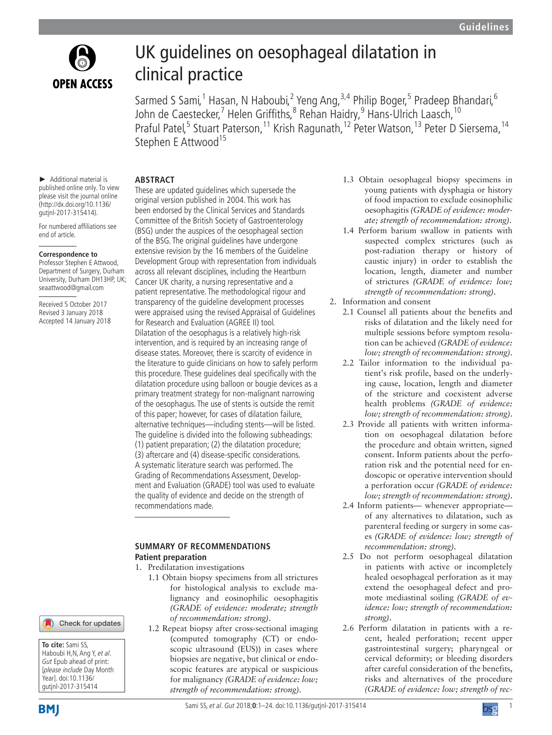

# UK guidelines on oesophageal dilatation in clinical practice

Sarmed S Sami,<sup>1</sup> Hasan, N Haboubi,<sup>2</sup> Yeng Ang,<sup>3,4</sup> Philip Boger,<sup>5</sup> Pradeep Bhandari,<sup>6</sup> John de Caestecker,<sup>7</sup> Helen Griffiths,<sup>8</sup> Rehan Haidry,<sup>9</sup> Hans-Ulrich Laasch,<sup>10</sup> Praful Patel,<sup>5</sup> Stuart Paterson,<sup>11</sup> Krish Ragunath,<sup>12</sup> Peter Watson,<sup>13</sup> Peter D Siersema,<sup>14</sup> Stephen E Attwood<sup>15</sup>

#### ► Additional material is published online only. To view please visit the journal online (http://dx.doi.org/10.1136/

**Abstract**

gutjnl-2017-315414). For numbered affiliations see end of article.

#### **Correspondence to**

Professor Stephen E Attwood, Department of Surgery, Durham University, Durham DH13HP, UK; seaattwood@gmail.com

Received 5 October 2017 Revised 3 January 2018 Accepted 14 January 2018 These are updated guidelines which supersede the original version published in 2004. This work has been endorsed by the Clinical Services and Standards Committee of the British Society of Gastroenterology (BSG) under the auspices of the oesophageal section of the BSG. The original guidelines have undergone extensive revision by the 16 members of the Guideline Development Group with representation from individuals across all relevant disciplines, including the Heartburn Cancer UK charity, a nursing representative and a patient representative. The methodological rigour and transparency of the guideline development processes were appraised using the revised Appraisal of Guidelines for Research and Evaluation (AGREE II) tool. Dilatation of the oesophagus is a relatively high-risk intervention, and is required by an increasing range of disease states. Moreover, there is scarcity of evidence in the literature to guide clinicians on how to safely perform this procedure. These guidelines deal specifically with the dilatation procedure using balloon or bougie devices as a primary treatment strategy for non-malignant narrowing of the oesophagus. The use of stents is outside the remit of this paper; however, for cases of dilatation failure, alternative techniques—including stents—will be listed. The guideline is divided into the following subheadings: (1) patient preparation; (2) the dilatation procedure; (3) aftercare and (4) disease-specific considerations. A systematic literature search was performed. The Grading of Recommendations Assessment, Development and Evaluation (GRADE) tool was used to evaluate the quality of evidence and decide on the strength of recommendations made.

## **Summary of recommendations Patient preparation**

1. Predilatation investigations

- 1.1 Obtain biopsy specimens from all strictures for histological analysis to exclude malignancy and eosinophilic oesophagitis *(GRADE of evidence: moderate; strength of recommendation: strong)*.
- 1.2 Repeat biopsy after cross-sectional imaging (computed tomography (CT) or endoscopic ultrasound (EUS)) in cases where biopsies are negative, but clinical or endoscopic features are atypical or suspicious for malignancy *(GRADE of evidence: low; strength of recommendation: strong)*.
- 1.3 Obtain oesophageal biopsy specimens in young patients with dysphagia or history of food impaction to exclude eosinophilic oesophagitis *(GRADE of evidence: moderate; strength of recommendation: strong)*.
- 1.4 Perform barium swallow in patients with suspected complex strictures (such as post-radiation therapy or history of caustic injury) in order to establish the location, length, diameter and number of strictures *(GRADE of evidence: low; strength of recommendation: strong)*.
- 2. Information and consent
	- 2.1 Counsel all patients about the benefits and risks of dilatation and the likely need for multiple sessions before symptom resolution can be achieved *(GRADE of evidence: low; strength of recommendation: strong)*.
	- 2.2 Tailor information to the individual patient's risk profile, based on the underlying cause, location, length and diameter of the stricture and coexistent adverse health problems *(GRADE of evidence: low; strength of recommendation: strong)*.
	- 2.3 Provide all patients with written information on oesophageal dilatation before the procedure and obtain written, signed consent. Inform patients about the perforation risk and the potential need for endoscopic or operative intervention should a perforation occur *(GRADE of evidence: low; strength of recommendation: strong)*.
	- 2.4 Inform patients— whenever appropriate of any alternatives to dilatation, such as parenteral feeding or surgery in some cases *(GRADE of evidence: low; strength of recommendation: strong)*.
	- 2.5 Do not perform oesophageal dilatation in patients with active or incompletely healed oesophageal perforation as it may extend the oesophageal defect and promote mediastinal soiling *(GRADE of evidence: low; strength of recommendation: strong)*.
	- 2.6 Perform dilatation in patients with a recent, healed perforation; recent upper gastrointestinal surgery; pharyngeal or cervical deformity; or bleeding disorders after careful consideration of the benefits, risks and alternatives of the procedure *(GRADE of evidence: low; strength of rec-*



**To cite:** Sami SS, Haboubi H,N, Ang Y, et al. Gut Epub ahead of print: [please include Day Month Year]. doi:10.1136/ gutjnl-2017-315414



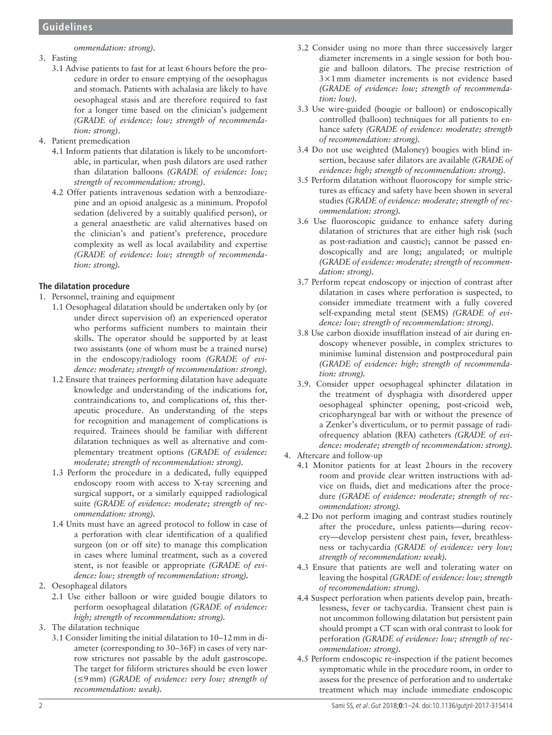## *ommendation: strong)*.

# 3. Fasting

- 3.1 Advise patients to fast for at least 6hours before the procedure in order to ensure emptying of the oesophagus and stomach. Patients with achalasia are likely to have oesophageal stasis and are therefore required to fast for a longer time based on the clinician's judgement *(GRADE of evidence: low; strength of recommendation: strong)*.
- 4. Patient premedication
	- 4.1 Inform patients that dilatation is likely to be uncomfortable, in particular, when push dilators are used rather than dilatation balloons *(GRADE of evidence: low; strength of recommendation: strong)*.
	- 4.2 Offer patients intravenous sedation with a benzodiazepine and an opioid analgesic as a minimum. Propofol sedation (delivered by a suitably qualified person), or a general anaesthetic are valid alternatives based on the clinician's and patient's preference, procedure complexity as well as local availability and expertise *(GRADE of evidence: low; strength of recommendation: strong).*

# **The dilatation procedure**

- 1. Personnel, training and equipment
	- 1.1 Oesophageal dilatation should be undertaken only by (or under direct supervision of) an experienced operator who performs sufficient numbers to maintain their skills. The operator should be supported by at least two assistants (one of whom must be a trained nurse) in the endoscopy/radiology room *(GRADE of evidence: moderate; strength of recommendation: strong).*
	- 1.2 Ensure that trainees performing dilatation have adequate knowledge and understanding of the indications for, contraindications to, and complications of, this therapeutic procedure. An understanding of the steps for recognition and management of complications is required. Trainees should be familiar with different dilatation techniques as well as alternative and complementary treatment options *(GRADE of evidence: moderate; strength of recommendation: strong).*
	- 1.3 Perform the procedure in a dedicated, fully equipped endoscopy room with access to X-ray screening and surgical support, or a similarly equipped radiological suite *(GRADE of evidence: moderate; strength of recommendation: strong).*
	- 1.4 Units must have an agreed protocol to follow in case of a perforation with clear identification of a qualified surgeon (on or off site) to manage this complication in cases where luminal treatment, such as a covered stent, is not feasible or appropriate *(GRADE of evidence: low; strength of recommendation: strong).*
- 2. Oesophageal dilators
	- 2.1 Use either balloon or wire guided bougie dilators to perform oesophageal dilatation *(GRADE of evidence: high; strength of recommendation: strong).*
- 3. The dilatation technique
	- 3.1 Consider limiting the initial dilatation to 10–12mm in diameter (corresponding to 30–36F) in cases of very narrow strictures not passable by the adult gastroscope. The target for filiform strictures should be even lower (≤9 mm) *(GRADE of evidence: very low; strength of recommendation: weak).*
- 3.2 Consider using no more than three successively larger diameter increments in a single session for both bougie and balloon dilators. The precise restriction of 3×1mm diameter increments is not evidence based *(GRADE of evidence: low; strength of recommendation: low).*
- 3.3 Use wire-guided (bougie or balloon) or endoscopically controlled (balloon) techniques for all patients to enhance safety *(GRADE of evidence: moderate; strength of recommendation: strong).*
- 3.4 Do not use weighted (Maloney) bougies with blind insertion, because safer dilators are available *(GRADE of evidence: high; strength of recommendation: strong).*
- 3.5 Perform dilatation without fluoroscopy for simple strictures as efficacy and safety have been shown in several studies *(GRADE of evidence: moderate; strength of recommendation: strong).*
- 3.6 Use fluoroscopic guidance to enhance safety during dilatation of strictures that are either high risk (such as post-radiation and caustic); cannot be passed endoscopically and are long; angulated; or multiple *(GRADE of evidence: moderate; strength of recommendation: strong).*
- 3.7 Perform repeat endoscopy or injection of contrast after dilatation in cases where perforation is suspected, to consider immediate treatment with a fully covered self-expanding metal stent (SEMS) *(GRADE of evidence: low; strength of recommendation: strong).*
- 3.8 Use carbon dioxide insufflation instead of air during endoscopy whenever possible, in complex strictures to minimise luminal distension and postprocedural pain *(GRADE of evidence: high; strength of recommendation: strong).*
- 3.9. Consider upper oesophageal sphincter dilatation in the treatment of dysphagia with disordered upper oesophageal sphincter opening, post-cricoid web, cricopharyngeal bar with or without the presence of a Zenker's diverticulum, or to permit passage of radiofrequency ablation (RFA) catheters *(GRADE of evidence: moderate; strength of recommendation: strong).*
- 4. Aftercare and follow-up
	- 4.1 Monitor patients for at least 2hours in the recovery room and provide clear written instructions with advice on fluids, diet and medications after the procedure *(GRADE of evidence: moderate; strength of recommendation: strong).*
	- 4.2 Do not perform imaging and contrast studies routinely after the procedure, unless patients—during recovery—develop persistent chest pain, fever, breathlessness or tachycardia *(GRADE of evidence: very low; strength of recommendation: weak).*
	- 4.3 Ensure that patients are well and tolerating water on leaving the hospital *(GRADE of evidence: low; strength of recommendation: strong).*
	- 4.4 Suspect perforation when patients develop pain, breathlessness, fever or tachycardia. Transient chest pain is not uncommon following dilatation but persistent pain should prompt a CT scan with oral contrast to look for perforation *(GRADE of evidence: low; strength of recommendation: strong)*.
	- 4.5 Perform endoscopic re-inspection if the patient becomes symptomatic while in the procedure room, in order to assess for the presence of perforation and to undertake treatment which may include immediate endoscopic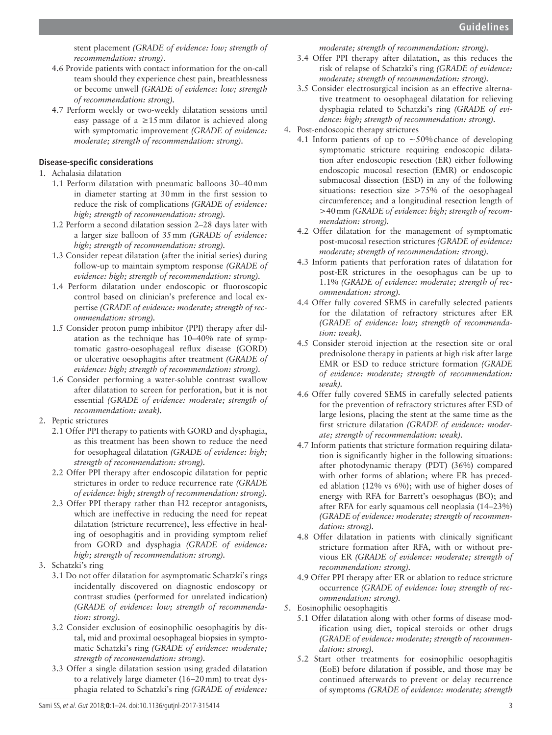stent placement *(GRADE of evidence: low; strength of recommendation: strong)*.

- 4.6 Provide patients with contact information for the on-call team should they experience chest pain, breathlessness or become unwell *(GRADE of evidence: low; strength of recommendation: strong).*
- 4.7 Perform weekly or two-weekly dilatation sessions until easy passage of a  $\geq 15$  mm dilator is achieved along with symptomatic improvement *(GRADE of evidence: moderate; strength of recommendation: strong).*

# **Disease-specific considerations**

- 1. Achalasia dilatation
	- 1.1 Perform dilatation with pneumatic balloons 30–40mm in diameter starting at 30mm in the first session to reduce the risk of complications *(GRADE of evidence: high; strength of recommendation: strong).*
	- 1.2 Perform a second dilatation session 2–28 days later with a larger size balloon of 35mm *(GRADE of evidence: high; strength of recommendation: strong).*
	- 1.3 Consider repeat dilatation (after the initial series) during follow-up to maintain symptom response *(GRADE of evidence: high; strength of recommendation: strong).*
	- 1.4 Perform dilatation under endoscopic or fluoroscopic control based on clinician's preference and local expertise *(GRADE of evidence: moderate; strength of recommendation: strong).*
	- 1.5 Consider proton pump inhibitor (PPI) therapy after dilatation as the technique has 10–40% rate of symptomatic gastro-oesophageal reflux disease (GORD) or ulcerative oesophagitis after treatment *(GRADE of evidence: high; strength of recommendation: strong).*
	- 1.6 Consider performing a water-soluble contrast swallow after dilatation to screen for perforation, but it is not essential *(GRADE of evidence: moderate; strength of recommendation: weak).*
- 2. Peptic strictures
	- 2.1 Offer PPI therapy to patients with GORD and dysphagia, as this treatment has been shown to reduce the need for oesophageal dilatation *(GRADE of evidence: high; strength of recommendation: strong).*
	- 2.2 Offer PPI therapy after endoscopic dilatation for peptic strictures in order to reduce recurrence rate *(GRADE of evidence: high; strength of recommendation: strong).*
	- 2.3 Offer PPI therapy rather than H2 receptor antagonists, which are ineffective in reducing the need for repeat dilatation (stricture recurrence), less effective in healing of oesophagitis and in providing symptom relief from GORD and dysphagia *(GRADE of evidence: high; strength of recommendation: strong).*
- 3. Schatzki's ring
	- 3.1 Do not offer dilatation for asymptomatic Schatzki's rings incidentally discovered on diagnostic endoscopy or contrast studies (performed for unrelated indication) *(GRADE of evidence: low; strength of recommendation: strong).*
	- 3.2 Consider exclusion of eosinophilic oesophagitis by distal, mid and proximal oesophageal biopsies in symptomatic Schatzki's ring *(GRADE of evidence: moderate; strength of recommendation: strong).*
	- 3.3 Offer a single dilatation session using graded dilatation to a relatively large diameter (16–20mm) to treat dysphagia related to Schatzki's ring *(GRADE of evidence:*

*moderate; strength of recommendation: strong).*

- 3.4 Offer PPI therapy after dilatation, as this reduces the risk of relapse of Schatzki's ring *(GRADE of evidence: moderate; strength of recommendation: strong).*
- 3.5 Consider electrosurgical incision as an effective alternative treatment to oesophageal dilatation for relieving dysphagia related to Schatzki's ring *(GRADE of evidence: high; strength of recommendation: strong).*
- 4. Post-endoscopic therapy strictures
	- 4.1 Inform patients of up to  $\sim$  50% chance of developing symptomatic stricture requiring endoscopic dilatation after endoscopic resection (ER) either following endoscopic mucosal resection (EMR) or endoscopic submucosal dissection (ESD) in any of the following situations: resection size >75% of the oesophageal circumference; and a longitudinal resection length of >40mm *(GRADE of evidence: high; strength of recommendation: strong).*
	- 4.2 Offer dilatation for the management of symptomatic post-mucosal resection strictures *(GRADE of evidence: moderate; strength of recommendation: strong).*
	- 4.3 Inform patients that perforation rates of dilatation for post-ER strictures in the oesophagus can be up to 1.1% *(GRADE of evidence: moderate; strength of recommendation: strong).*
	- 4.4 Offer fully covered SEMS in carefully selected patients for the dilatation of refractory strictures after ER *(GRADE of evidence: low; strength of recommendation: weak).*
	- 4.5 Consider steroid injection at the resection site or oral prednisolone therapy in patients at high risk after large EMR or ESD to reduce stricture formation *(GRADE of evidence: moderate; strength of recommendation: weak).*
	- 4.6 Offer fully covered SEMS in carefully selected patients for the prevention of refractory strictures after ESD of large lesions, placing the stent at the same time as the first stricture dilatation *(GRADE of evidence: moderate; strength of recommendation: weak).*
	- 4.7 Inform patients that stricture formation requiring dilatation is significantly higher in the following situations: after photodynamic therapy (PDT) (36%) compared with other forms of ablation; where ER has preceded ablation (12% vs 6%); with use of higher doses of energy with RFA for Barrett's oesophagus (BO); and after RFA for early squamous cell neoplasia (14–23%) *(GRADE of evidence: moderate; strength of recommendation: strong).*
	- 4.8 Offer dilatation in patients with clinically significant stricture formation after RFA, with or without previous ER *(GRADE of evidence: moderate; strength of recommendation: strong).*
	- 4.9 Offer PPI therapy after ER or ablation to reduce stricture occurrence *(GRADE of evidence: low; strength of recommendation: strong).*
- 5. Eosinophilic oesophagitis
	- 5.1 Offer dilatation along with other forms of disease modification using diet, topical steroids or other drugs *(GRADE of evidence: moderate; strength of recommendation: strong).*
	- 5.2 Start other treatments for eosinophilic oesophagitis (EoE) before dilatation if possible, and those may be continued afterwards to prevent or delay recurrence of symptoms *(GRADE of evidence: moderate; strength*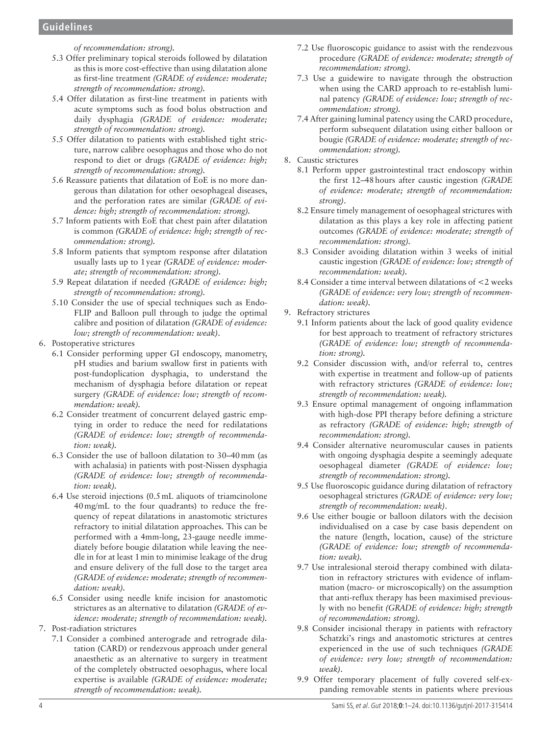*of recommendation: strong).*

- 5.3 Offer preliminary topical steroids followed by dilatation as this is more cost-effective than using dilatation alone as first-line treatment *(GRADE of evidence: moderate; strength of recommendation: strong).*
- 5.4 Offer dilatation as first-line treatment in patients with acute symptoms such as food bolus obstruction and daily dysphagia *(GRADE of evidence: moderate; strength of recommendation: strong).*
- 5.5 Offer dilatation to patients with established tight stricture, narrow calibre oesophagus and those who do not respond to diet or drugs *(GRADE of evidence: high; strength of recommendation: strong).*
- 5.6 Reassure patients that dilatation of EoE is no more dangerous than dilatation for other oesophageal diseases, and the perforation rates are similar *(GRADE of evidence: high; strength of recommendation: strong).*
- 5.7 Inform patients with EoE that chest pain after dilatation is common *(GRADE of evidence: high; strength of recommendation: strong).*
- 5.8 Inform patients that symptom response after dilatation usually lasts up to 1year *(GRADE of evidence: moderate; strength of recommendation: strong).*
- 5.9 Repeat dilatation if needed *(GRADE of evidence: high; strength of recommendation: strong).*
- 5.10 Consider the use of special techniques such as Endo-FLIP and Balloon pull through to judge the optimal calibre and position of dilatation *(GRADE of evidence: low; strength of recommendation: weak)*.
- 6. Postoperative strictures
	- 6.1 Consider performing upper GI endoscopy, manometry, pH studies and barium swallow first in patients with post-fundoplication dysphagia, to understand the mechanism of dysphagia before dilatation or repeat surgery *(GRADE of evidence: low; strength of recommendation: weak).*
	- 6.2 Consider treatment of concurrent delayed gastric emptying in order to reduce the need for redilatations *(GRADE of evidence: low; strength of recommendation: weak).*
	- 6.3 Consider the use of balloon dilatation to 30–40mm (as with achalasia) in patients with post-Nissen dysphagia *(GRADE of evidence: low; strength of recommendation: weak).*
	- 6.4 Use steroid injections (0.5mL aliquots of triamcinolone 40mg/mL to the four quadrants) to reduce the frequency of repeat dilatations in anastomotic strictures refractory to initial dilatation approaches. This can be performed with a 4mm-long, 23-gauge needle immediately before bougie dilatation while leaving the needle in for at least 1min to minimise leakage of the drug and ensure delivery of the full dose to the target area *(GRADE of evidence: moderate; strength of recommendation: weak).*
	- 6.5 Consider using needle knife incision for anastomotic strictures as an alternative to dilatation *(GRADE of evidence: moderate; strength of recommendation: weak).*

# 7. Post-radiation strictures

7.1 Consider a combined anterograde and retrograde dilatation (CARD) or rendezvous approach under general anaesthetic as an alternative to surgery in treatment of the completely obstructed oesophagus, where local expertise is available *(GRADE of evidence: moderate; strength of recommendation: weak).*

- 7.2 Use fluoroscopic guidance to assist with the rendezvous procedure *(GRADE of evidence: moderate; strength of recommendation: strong).*
- 7.3 Use a guidewire to navigate through the obstruction when using the CARD approach to re-establish luminal patency *(GRADE of evidence: low; strength of recommendation: strong).*
- 7.4 After gaining luminal patency using the CARD procedure, perform subsequent dilatation using either balloon or bougie *(GRADE of evidence: moderate; strength of recommendation: strong).*
- 8. Caustic strictures
	- 8.1 Perform upper gastrointestinal tract endoscopy within the first 12–48hours after caustic ingestion *(GRADE of evidence: moderate; strength of recommendation: strong)*.
	- 8.2 Ensure timely management of oesophageal strictures with dilatation as this plays a key role in affecting patient outcomes *(GRADE of evidence: moderate; strength of recommendation: strong).*
	- 8.3 Consider avoiding dilatation within 3 weeks of initial caustic ingestion *(GRADE of evidence: low; strength of recommendation: weak).*
	- 8.4 Consider a time interval between dilatations of <2 weeks *(GRADE of evidence: very low; strength of recommendation: weak).*
- 9. Refractory strictures
	- 9.1 Inform patients about the lack of good quality evidence for best approach to treatment of refractory strictures *(GRADE of evidence: low; strength of recommendation: strong).*
	- 9.2 Consider discussion with, and/or referral to, centres with expertise in treatment and follow-up of patients with refractory strictures *(GRADE of evidence: low; strength of recommendation: weak).*
	- 9.3 Ensure optimal management of ongoing inflammation with high-dose PPI therapy before defining a stricture as refractory *(GRADE of evidence: high; strength of recommendation: strong).*
	- 9.4 Consider alternative neuromuscular causes in patients with ongoing dysphagia despite a seemingly adequate oesophageal diameter *(GRADE of evidence: low; strength of recommendation: strong).*
	- 9.5 Use fluoroscopic guidance during dilatation of refractory oesophageal strictures *(GRADE of evidence: very low; strength of recommendation: weak)*.
	- 9.6 Use either bougie or balloon dilators with the decision individualised on a case by case basis dependent on the nature (length, location, cause) of the stricture *(GRADE of evidence: low; strength of recommendation: weak).*
	- 9.7 Use intralesional steroid therapy combined with dilatation in refractory strictures with evidence of inflammation (macro- or microscopically) on the assumption that anti-reflux therapy has been maximised previously with no benefit *(GRADE of evidence: high; strength of recommendation: strong).*
	- 9.8 Consider incisional therapy in patients with refractory Schatzki's rings and anastomotic strictures at centres experienced in the use of such techniques *(GRADE of evidence: very low; strength of recommendation: weak)*.
	- 9.9 Offer temporary placement of fully covered self-expanding removable stents in patients where previous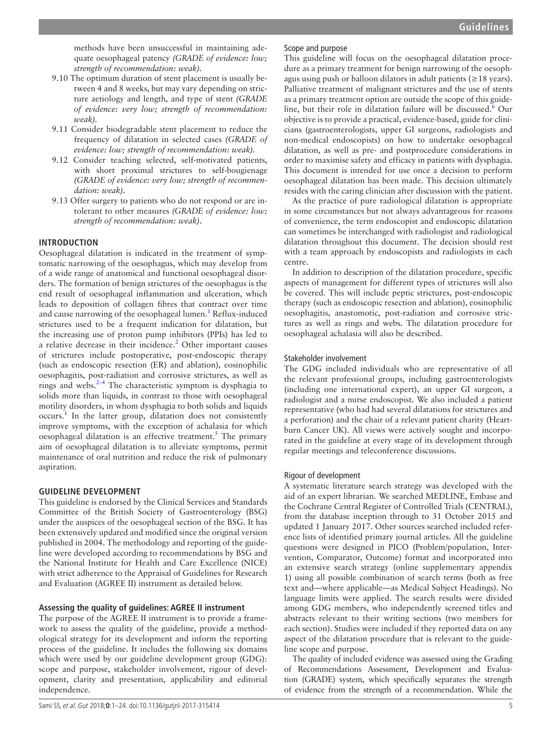methods have been unsuccessful in maintaining adequate oesophageal patency *(GRADE of evidence: low; strength of recommendation: weak).*

- 9.10 The optimum duration of stent placement is usually between 4 and 8 weeks, but may vary depending on stricture aetiology and length, and type of stent *(GRADE of evidence: very low; strength of recommendation: weak).*
- 9.11 Consider biodegradable stent placement to reduce the frequency of dilatation in selected cases *(GRADE of evidence: low; strength of recommendation: weak).*
- 9.12 Consider teaching selected, self-motivated patients, with short proximal strictures to self-bougienage *(GRADE of evidence: very low; strength of recommendation: weak).*
- 9.13 Offer surgery to patients who do not respond or are intolerant to other measures *(GRADE of evidence: low; strength of recommendation: weak)*.

# **Introduction**

Oesophageal dilatation is indicated in the treatment of symptomatic narrowing of the oesophagus, which may develop from of a wide range of anatomical and functional oesophageal disorders. The formation of benign strictures of the oesophagus is the end result of oesophageal inflammation and ulceration, which leads to deposition of collagen fibres that contract over time and cause narrowing of the oesophageal lumen.<sup>[1](#page-18-0)</sup> Reflux-induced strictures used to be a frequent indication for dilatation, but the increasing use of proton pump inhibitors (PPIs) has led to a relative decrease in their incidence.<sup>2</sup> Other important causes of strictures include postoperative, post-endoscopic therapy (such as endoscopic resection (ER) and ablation), eosinophilic oesophagitis, post-radiation and corrosive strictures, as well as rings and webs.[2–4](#page-18-1) The characteristic symptom is dysphagia to solids more than liquids, in contrast to those with oesophageal motility disorders, in whom dysphagia to both solids and liquids occurs.<sup>1</sup> In the latter group, dilatation does not consistently improve symptoms, with the exception of achalasia for which oesophageal dilatation is an effective treatment.<sup>5</sup> The primary aim of oesophageal dilatation is to alleviate symptoms, permit maintenance of oral nutrition and reduce the risk of pulmonary aspiration.

## **Guideline development**

This guideline is endorsed by the Clinical Services and Standards Committee of the British Society of Gastroenterology (BSG) under the auspices of the oesophageal section of the BSG. It has been extensively updated and modified since the original version published in 2004. The methodology and reporting of the guideline were developed according to recommendations by BSG and the National Institute for Health and Care Excellence (NICE) with strict adherence to the Appraisal of Guidelines for Research and Evaluation (AGREE II) instrument as detailed below.

## **Assessing the quality of guidelines: AGREE II instrument**

The purpose of the AGREE II instrument is to provide a framework to assess the quality of the guideline, provide a methodological strategy for its development and inform the reporting process of the guideline. It includes the following six domains which were used by our guideline development group (GDG): scope and purpose, stakeholder involvement, rigour of development, clarity and presentation, applicability and editorial independence.

## Scope and purpose

This guideline will focus on the oesophageal dilatation procedure as a primary treatment for benign narrowing of the oesophagus using push or balloon dilators in adult patients ( $\geq$ 18 years). Palliative treatment of malignant strictures and the use of stents as a primary treatment option are outside the scope of this guide-line, but their role in dilatation failure will be discussed.<sup>[6](#page-18-3)</sup> Our objective is to provide a practical, evidence-based, guide for clinicians (gastroenterologists, upper GI surgeons, radiologists and non-medical endoscopists) on how to undertake oesophageal dilatation, as well as pre- and postprocedure considerations in order to maximise safety and efficacy in patients with dysphagia. This document is intended for use once a decision to perform oesophageal dilatation has been made. This decision ultimately resides with the caring clinician after discussion with the patient.

As the practice of pure radiological dilatation is appropriate in some circumstances but not always advantageous for reasons of convenience, the term endoscopist and endoscopic dilatation can sometimes be interchanged with radiologist and radiological dilatation throughout this document. The decision should rest with a team approach by endoscopists and radiologists in each centre.

In addition to description of the dilatation procedure, specific aspects of management for different types of strictures will also be covered. This will include peptic strictures, post-endoscopic therapy (such as endoscopic resection and ablation), eosinophilic oesophagitis, anastomotic, post-radiation and corrosive strictures as well as rings and webs. The dilatation procedure for oesophageal achalasia will also be described.

## Stakeholder involvement

The GDG included individuals who are representative of all the relevant professional groups, including gastroenterologists (including one international expert), an upper GI surgeon, a radiologist and a nurse endoscopist. We also included a patient representative (who had had several dilatations for strictures and a perforation) and the chair of a relevant patient charity (Heartburn Cancer UK). All views were actively sought and incorporated in the guideline at every stage of its development through regular meetings and teleconference discussions.

## Rigour of development

A systematic literature search strategy was developed with the aid of an expert librarian. We searched MEDLINE, Embase and the Cochrane Central Register of Controlled Trials (CENTRAL), from the database inception through to 31 October 2015 and updated 1 January 2017. Other sources searched included reference lists of identified primary journal articles. All the guideline questions were designed in PICO (Problem/population, Intervention, Comparator, Outcome) format and incorporated into an extensive search strategy (online [supplementary appendix](https://dx.doi.org/10.1136/gutjnl-2017-315414) [1\)](https://dx.doi.org/10.1136/gutjnl-2017-315414) using all possible combination of search terms (both as free text and—where applicable—as Medical Subject Headings). No language limits were applied. The search results were divided among GDG members, who independently screened titles and abstracts relevant to their writing sections (two members for each section). Studies were included if they reported data on any aspect of the dilatation procedure that is relevant to the guideline scope and purpose.

The quality of included evidence was assessed using the Grading of Recommendations Assessment, Development and Evaluation (GRADE) system, which specifically separates the strength of evidence from the strength of a recommendation. While the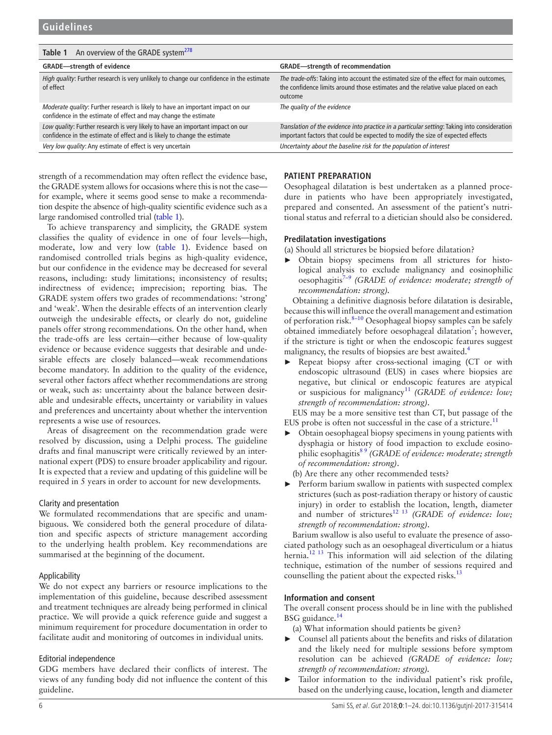<span id="page-5-0"></span>

| An overview of the GRADE system <sup>278</sup><br>Table 1                                                                                                    |                                                                                                                                                                                          |
|--------------------------------------------------------------------------------------------------------------------------------------------------------------|------------------------------------------------------------------------------------------------------------------------------------------------------------------------------------------|
| <b>GRADE-strength of evidence</b>                                                                                                                            | <b>GRADE-strength of recommendation</b>                                                                                                                                                  |
| High quality: Further research is very unlikely to change our confidence in the estimate<br>of effect                                                        | The trade-offs: Taking into account the estimated size of the effect for main outcomes,<br>the confidence limits around those estimates and the relative value placed on each<br>outcome |
| Moderate quality: Further research is likely to have an important impact on our<br>confidence in the estimate of effect and may change the estimate          | The quality of the evidence                                                                                                                                                              |
| Low quality: Further research is very likely to have an important impact on our<br>confidence in the estimate of effect and is likely to change the estimate | Translation of the evidence into practice in a particular setting: Taking into consideration<br>important factors that could be expected to modify the size of expected effects          |
| Very low quality: Any estimate of effect is very uncertain                                                                                                   | Uncertainty about the baseline risk for the population of interest                                                                                                                       |

strength of a recommendation may often reflect the evidence base, the GRADE system allows for occasions where this is not the case for example, where it seems good sense to make a recommendation despite the absence of high-quality scientific evidence such as a large randomised controlled trial ([table](#page-5-0) 1).

To achieve transparency and simplicity, the GRADE system classifies the quality of evidence in one of four levels—high, moderate, low and very low [\(table](#page-5-0) 1). Evidence based on randomised controlled trials begins as high-quality evidence, but our confidence in the evidence may be decreased for several reasons, including: study limitations; inconsistency of results; indirectness of evidence; imprecision; reporting bias. The GRADE system offers two grades of recommendations: 'strong' and 'weak'. When the desirable effects of an intervention clearly outweigh the undesirable effects, or clearly do not, guideline panels offer strong recommendations. On the other hand, when the trade-offs are less certain—either because of low-quality evidence or because evidence suggests that desirable and undesirable effects are closely balanced—weak recommendations become mandatory. In addition to the quality of the evidence, several other factors affect whether recommendations are strong or weak, such as: uncertainty about the balance between desirable and undesirable effects, uncertainty or variability in values and preferences and uncertainty about whether the intervention represents a wise use of resources.

Areas of disagreement on the recommendation grade were resolved by discussion, using a Delphi process. The guideline drafts and final manuscript were critically reviewed by an international expert (PDS) to ensure broader applicability and rigour. It is expected that a review and updating of this guideline will be required in 5 years in order to account for new developments.

## Clarity and presentation

We formulated recommendations that are specific and unambiguous. We considered both the general procedure of dilatation and specific aspects of stricture management according to the underlying health problem. Key recommendations are summarised at the beginning of the document.

# Applicability

We do not expect any barriers or resource implications to the implementation of this guideline, because described assessment and treatment techniques are already being performed in clinical practice. We will provide a quick reference guide and suggest a minimum requirement for procedure documentation in order to facilitate audit and monitoring of outcomes in individual units.

# Editorial independence

GDG members have declared their conflicts of interest. The views of any funding body did not influence the content of this guideline.

# **Patient preparation**

Oesophageal dilatation is best undertaken as a planned procedure in patients who have been appropriately investigated, prepared and consented. An assessment of the patient's nutritional status and referral to a dietician should also be considered.

# **Predilatation investigations**

(a) Should all strictures be biopsied before dilatation?

► Obtain biopsy specimens from all strictures for histological analysis to exclude malignancy and eosinophilic oesophagitis[7–9](#page-18-4) *(GRADE of evidence: moderate; strength of recommendation: strong).*

Obtaining a definitive diagnosis before dilatation is desirable, because this will influence the overall management and estimation of perforation risk.<sup>8–10</sup> Oesophageal biopsy samples can be safely obtained immediately before oesophageal dilatation<sup>[7](#page-18-4)</sup>; however, if the stricture is tight or when the endoscopic features suggest malignancy, the results of biopsies are best awaited.<sup>4</sup>

Repeat biopsy after cross-sectional imaging (CT or with endoscopic ultrasound (EUS) in cases where biopsies are negative, but clinical or endoscopic features are atypical or suspicious for malignancy[11](#page-18-7) *(GRADE of evidence: low; strength of recommendation: strong)*.

EUS may be a more sensitive test than CT, but passage of the EUS probe is often not successful in the case of a stricture. $11$ 

► Obtain oesophageal biopsy specimens in young patients with dysphagia or history of food impaction to exclude eosinophilic esophagitis[8](#page-18-5) <sup>9</sup>  *(GRADE of evidence: moderate; strength of recommendation: strong)*.

(b) Are there any other recommended tests?

Perform barium swallow in patients with suspected complex strictures (such as post-radiation therapy or history of caustic injury) in order to establish the location, length, diameter and number of strictures<sup>[12 13](#page-18-8)</sup> (GRADE of evidence: low; *strength of recommendation: strong)*.

Barium swallow is also useful to evaluate the presence of associated pathology such as an oesophageal diverticulum or a hiatus hernia.<sup>[12 13](#page-18-8)</sup> This information will aid selection of the dilating technique, estimation of the number of sessions required and counselling the patient about the expected risks.<sup>13</sup>

# **Information and consent**

The overall consent process should be in line with the published BSG guidance.<sup>14</sup>

(a) What information should patients be given?

- Counsel all patients about the benefits and risks of dilatation and the likely need for multiple sessions before symptom resolution can be achieved *(GRADE of evidence: low; strength of recommendation: strong).*
- Tailor information to the individual patient's risk profile, based on the underlying cause, location, length and diameter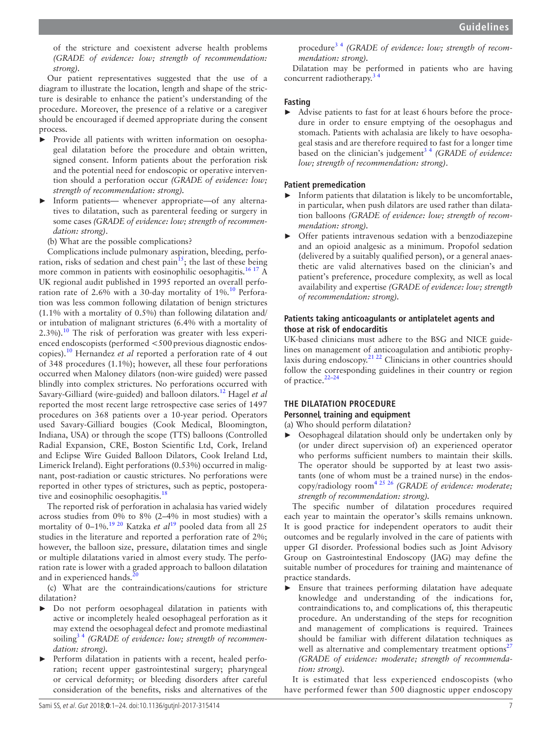of the stricture and coexistent adverse health problems *(GRADE of evidence: low; strength of recommendation: strong).*

Our patient representatives suggested that the use of a diagram to illustrate the location, length and shape of the stricture is desirable to enhance the patient's understanding of the procedure. Moreover, the presence of a relative or a caregiver should be encouraged if deemed appropriate during the consent process.

- ► Provide all patients with written information on oesophageal dilatation before the procedure and obtain written, signed consent. Inform patients about the perforation risk and the potential need for endoscopic or operative intervention should a perforation occur *(GRADE of evidence: low; strength of recommendation: strong).*
- Inform patients— whenever appropriate—of any alternatives to dilatation, such as parenteral feeding or surgery in some cases *(GRADE of evidence: low; strength of recommendation: strong)*.
	- (b) What are the possible complications?

Complications include pulmonary aspiration, bleeding, perforation, risks of sedation and chest pain<sup>15</sup>; the last of these being more common in patients with eosinophilic oesophagitis.<sup>16 17</sup> A UK regional audit published in 1995 reported an overall perforation rate of 2.6% with a 30-day mortality of 1%.[10](#page-18-13) Perforation was less common following dilatation of benign strictures (1.1% with a mortality of 0.5%) than following dilatation and/ or intubation of malignant strictures (6.4% with a mortality of  $2.3\%$ ).<sup>10</sup> The risk of perforation was greater with less experienced endoscopists (performed <500 previous diagnostic endoscopies).[10](#page-18-13) Hernandez *et al* reported a perforation rate of 4 out of 348 procedures (1.1%); however, all these four perforations occurred when Maloney dilators (non-wire guided) were passed blindly into complex strictures. No perforations occurred with Savary-Gilliard (wire-guided) and balloon dilators[.12](#page-18-8) Hagel *et al* reported the most recent large retrospective case series of 1497 procedures on 368 patients over a 10-year period. Operators used Savary-Gilliard bougies (Cook Medical, Bloomington, Indiana, USA) or through the scope (TTS) balloons (Controlled Radial Expansion, CRE, Boston Scientific Ltd, Cork, Ireland and Eclipse Wire Guided Balloon Dilators, Cook Ireland Ltd, Limerick Ireland). Eight perforations (0.53%) occurred in malignant, post-radiation or caustic strictures. No perforations were reported in other types of strictures, such as peptic, postopera-tive and eosinophilic oesophagitis.<sup>[18](#page-18-14)</sup>

The reported risk of perforation in achalasia has varied widely across studies from 0% to 8% (2–4% in most studies) with a mortality of 0–1%.<sup>19 [20](#page-18-15)</sup> Katzka *et al*<sup>[19](#page-18-15)</sup> pooled data from all 25 studies in the literature and reported a perforation rate of 2%; however, the balloon size, pressure, dilatation times and single or multiple dilatations varied in almost every study. The perforation rate is lower with a graded approach to balloon dilatation and in experienced hands.<sup>2</sup>

(c) What are the contraindications/cautions for stricture dilatation?

- ► Do not perform oesophageal dilatation in patients with active or incompletely healed oesophageal perforation as it may extend the oesophageal defect and promote mediastinal soiling[3 4](#page-18-17) *(GRADE of evidence: low; strength of recommendation: strong).*
- ► Perform dilatation in patients with a recent, healed perforation; recent upper gastrointestinal surgery; pharyngeal or cervical deformity; or bleeding disorders after careful consideration of the benefits, risks and alternatives of the

procedure[3 4](#page-18-17) *(GRADE of evidence: low; strength of recommendation: strong).*

Dilatation may be performed in patients who are having concurrent radiotherapy. $3$ 

#### **Fasting**

► Advise patients to fast for at least 6hours before the procedure in order to ensure emptying of the oesophagus and stomach. Patients with achalasia are likely to have oesophageal stasis and are therefore required to fast for a longer time based on the clinician's judgement<sup>34</sup> (GRADE of evidence: *low; strength of recommendation: strong)*.

#### **Patient premedication**

- Inform patients that dilatation is likely to be uncomfortable, in particular, when push dilators are used rather than dilatation balloons *(GRADE of evidence: low; strength of recommendation: strong).*
- Offer patients intravenous sedation with a benzodiazepine and an opioid analgesic as a minimum. Propofol sedation (delivered by a suitably qualified person), or a general anaesthetic are valid alternatives based on the clinician's and patient's preference, procedure complexity, as well as local availability and expertise *(GRADE of evidence: low; strength of recommendation: strong).*

## **Patients taking anticoagulants or antiplatelet agents and those at risk of endocarditis**

UK-based clinicians must adhere to the BSG and NICE guidelines on management of anticoagulation and antibiotic prophylaxis during endoscopy.[21 22](#page-18-18) Clinicians in other countries should follow the corresponding guidelines in their country or region of practice.<sup>22–24</sup>

## **The dilatation procedure**

**Personnel, training and equipment**

- (a) Who should perform dilatation?
- ► Oesophageal dilatation should only be undertaken only by (or under direct supervision of) an experienced operator who performs sufficient numbers to maintain their skills. The operator should be supported by at least two assistants (one of whom must be a trained nurse) in the endoscopy/radiology room[4 25 26](#page-18-6) *(GRADE of evidence: moderate; strength of recommendation: strong).*

The specific number of dilatation procedures required each year to maintain the operator's skills remains unknown. It is good practice for independent operators to audit their outcomes and be regularly involved in the care of patients with upper GI disorder. Professional bodies such as Joint Advisory Group on Gastrointestinal Endoscopy (JAG) may define the suitable number of procedures for training and maintenance of practice standards.

Ensure that trainees performing dilatation have adequate knowledge and understanding of the indications for, contraindications to, and complications of, this therapeutic procedure. An understanding of the steps for recognition and management of complications is required. Trainees should be familiar with different dilatation techniques as well as alternative and complementary treatment options<sup>[27](#page-19-0)</sup> *(GRADE of evidence: moderate; strength of recommendation: strong).*

It is estimated that less experienced endoscopists (who have performed fewer than 500 diagnostic upper endoscopy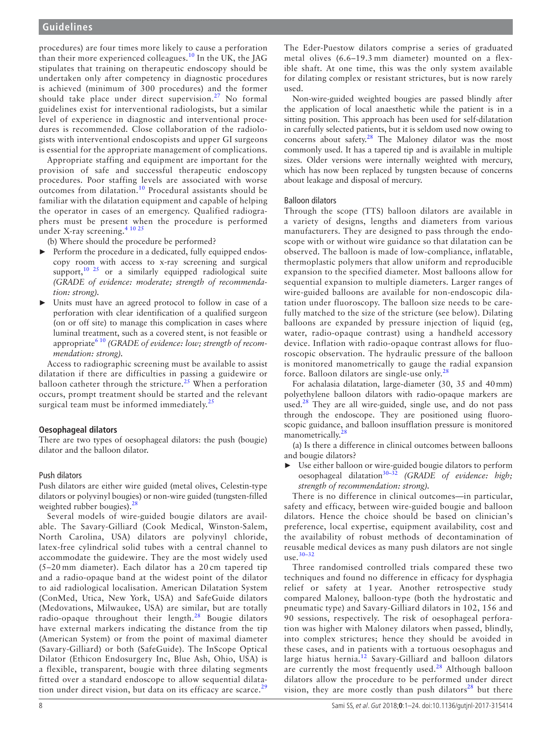procedures) are four times more likely to cause a perforation than their more experienced colleagues.<sup>[10](#page-18-13)</sup> In the UK, the JAG stipulates that training on therapeutic endoscopy should be undertaken only after competency in diagnostic procedures is achieved (minimum of 300 procedures) and the former should take place under direct supervision.<sup>27</sup> No formal guidelines exist for interventional radiologists, but a similar level of experience in diagnostic and interventional procedures is recommended. Close collaboration of the radiologists with interventional endoscopists and upper GI surgeons is essential for the appropriate management of complications.

Appropriate staffing and equipment are important for the provision of safe and successful therapeutic endoscopy procedures. Poor staffing levels are associated with worse outcomes from dilatation.[10](#page-18-13) Procedural assistants should be familiar with the dilatation equipment and capable of helping the operator in cases of an emergency. Qualified radiographers must be present when the procedure is performed under X-ray screening.[4 10 25](#page-18-6)

(b) Where should the procedure be performed?

- ► Perform the procedure in a dedicated, fully equipped endoscopy room with access to x-ray screening and surgical support, $10^{-25}$  or a similarly equipped radiological suite *(GRADE of evidence: moderate; strength of recommendation: strong).*
- ► Units must have an agreed protocol to follow in case of a perforation with clear identification of a qualified surgeon (on or off site) to manage this complication in cases where luminal treatment, such as a covered stent, is not feasible or appropriate[6 10](#page-18-3) *(GRADE of evidence: low; strength of recommendation: strong).*

Access to radiographic screening must be available to assist dilatation if there are difficulties in passing a guidewire or balloon catheter through the stricture.<sup>[25](#page-19-1)</sup> When a perforation occurs, prompt treatment should be started and the relevant surgical team must be informed immediately. $^{25}$  $^{25}$  $^{25}$ 

## **Oesophageal dilators**

There are two types of oesophageal dilators: the push (bougie) dilator and the balloon dilator.

## Push dilators

Push dilators are either wire guided (metal olives, Celestin-type dilators or polyvinyl bougies) or non-wire guided (tungsten-filled weighted rubber bougies).<sup>28</sup>

Several models of wire-guided bougie dilators are available. The Savary-Gilliard (Cook Medical, Winston-Salem, North Carolina, USA) dilators are polyvinyl chloride, latex-free cylindrical solid tubes with a central channel to accommodate the guidewire. They are the most widely used (5–20 mm diameter). Each dilator has a 20 cm tapered tip and a radio-opaque band at the widest point of the dilator to aid radiological localisation. American Dilatation System (ConMed, Utica, New York, USA) and SafeGuide dilators (Medovations, Milwaukee, USA) are similar, but are totally radio-opaque throughout their length. $^{28}$  Bougie dilators have external markers indicating the distance from the tip (American System) or from the point of maximal diameter (Savary-Gilliard) or both (SafeGuide). The InScope Optical Dilator (Ethicon Endosurgery Inc, Blue Ash, Ohio, USA) is a flexible, transparent, bougie with three dilating segments fitted over a standard endoscope to allow sequential dilatation under direct vision, but data on its efficacy are scarce. $^{29}$  $^{29}$  $^{29}$ 

The Eder-Puestow dilators comprise a series of graduated metal olives (6.6–19.3 mm diameter) mounted on a flexible shaft. At one time, this was the only system available for dilating complex or resistant strictures, but is now rarely used.

Non-wire-guided weighted bougies are passed blindly after the application of local anaesthetic while the patient is in a sitting position. This approach has been used for self-dilatation in carefully selected patients, but it is seldom used now owing to concerns about safety.<sup>28</sup> The Maloney dilator was the most commonly used. It has a tapered tip and is available in multiple sizes. Older versions were internally weighted with mercury, which has now been replaced by tungsten because of concerns about leakage and disposal of mercury.

## Balloon dilators

Through the scope (TTS) balloon dilators are available in a variety of designs, lengths and diameters from various manufacturers. They are designed to pass through the endoscope with or without wire guidance so that dilatation can be observed. The balloon is made of low-compliance, inflatable, thermoplastic polymers that allow uniform and reproducible expansion to the specified diameter. Most balloons allow for sequential expansion to multiple diameters. Larger ranges of wire-guided balloons are available for non-endoscopic dilatation under fluoroscopy. The balloon size needs to be carefully matched to the size of the stricture (see below). Dilating balloons are expanded by pressure injection of liquid (eg, water, radio-opaque contrast) using a handheld accessory device. Inflation with radio-opaque contrast allows for fluoroscopic observation. The hydraulic pressure of the balloon is monitored manometrically to gauge the radial expansion force. Balloon dilators are single-use only.<sup>[28](#page-19-2)</sup>

For achalasia dilatation, large-diameter (30, 35 and 40mm) polyethylene balloon dilators with radio-opaque markers are used.<sup>[28](#page-19-2)</sup> They are all wire-guided, single use, and do not pass through the endoscope. They are positioned using fluoroscopic guidance, and balloon insufflation pressure is monitored manometrically.<sup>28</sup>

(a) Is there a difference in clinical outcomes between balloons and bougie dilators?

► Use either balloon or wire-guided bougie dilators to perform oesophageal dilatation<sup>30–32</sup> (GRADE of evidence: high; *strength of recommendation: strong).*

There is no difference in clinical outcomes—in particular, safety and efficacy, between wire-guided bougie and balloon dilators. Hence the choice should be based on clinician's preference, local expertise, equipment availability, cost and the availability of robust methods of decontamination of reusable medical devices as many push dilators are not single use. $30-32$ 

Three randomised controlled trials compared these two techniques and found no difference in efficacy for dysphagia relief or safety at 1 year. Another retrospective study compared Maloney, balloon-type (both the hydrostatic and pneumatic type) and Savary-Gilliard dilators in 102, 156 and 90 sessions, respectively. The risk of oesophageal perforation was higher with Maloney dilators when passed, blindly, into complex strictures; hence they should be avoided in these cases, and in patients with a tortuous oesophagus and large hiatus hernia.<sup>[12](#page-18-8)</sup> Savary-Gilliard and balloon dilators are currently the most frequently used.<sup>28</sup> Although balloon dilators allow the procedure to be performed under direct vision, they are more costly than push dilators<sup>[28](#page-19-2)</sup> but there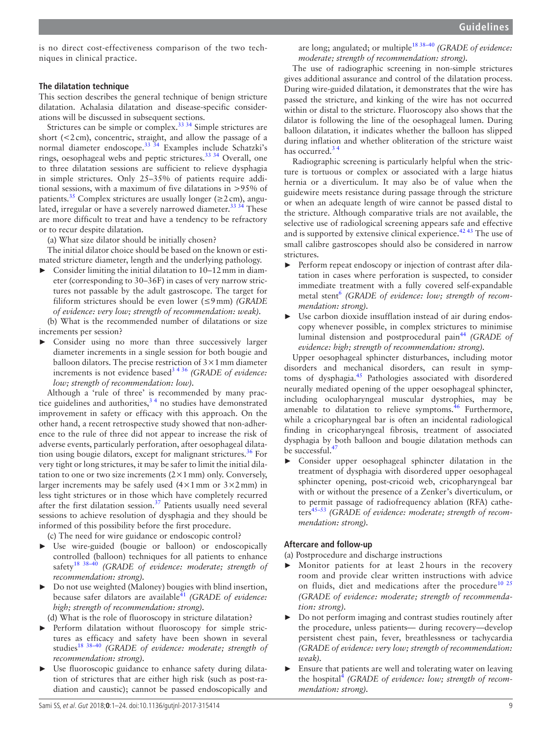is no direct cost-effectiveness comparison of the two techniques in clinical practice.

#### **The dilatation technique**

This section describes the general technique of benign stricture dilatation. Achalasia dilatation and disease-specific considerations will be discussed in subsequent sections.

Strictures can be simple or complex.<sup>33 34</sup> Simple strictures are short (<2cm), concentric, straight, and allow the passage of a normal diameter endoscope.<sup>[33 34](#page-19-5)</sup> Examples include Schatzki's rings, oesophageal webs and peptic strictures.[33 34](#page-19-5) Overall, one to three dilatation sessions are sufficient to relieve dysphagia in simple strictures. Only 25–35% of patients require additional sessions, with a maximum of five dilatations in >95% of patients.<sup>[35](#page-19-6)</sup> Complex strictures are usually longer ( $\geq 2$  cm), angulated, irregular or have a severely narrowed diameter.<sup>33 34</sup> These are more difficult to treat and have a tendency to be refractory or to recur despite dilatation.

(a) What size dilator should be initially chosen?

The initial dilator choice should be based on the known or estimated stricture diameter, length and the underlying pathology.

► Consider limiting the initial dilatation to 10–12mm in diameter (corresponding to 30–36F) in cases of very narrow strictures not passable by the adult gastroscope. The target for filiform strictures should be even lower (≤9 mm) *(GRADE of evidence: very low; strength of recommendation: weak).*

(b) What is the recommended number of dilatations or size increments per session?

► Consider using no more than three successively larger diameter increments in a single session for both bougie and balloon dilators. The precise restriction of  $3 \times 1$  mm diameter increments is not evidence based<sup>[3 4 36](#page-18-17)</sup> (GRADE of evidence: *low; strength of recommendation: low).*

Although a 'rule of three' is recommended by many practice guidelines and authorities, $3<sup>4</sup>$  no studies have demonstrated improvement in safety or efficacy with this approach. On the other hand, a recent retrospective study showed that non-adherence to the rule of three did not appear to increase the risk of adverse events, particularly perforation, after oesophageal dilatation using bougie dilators, except for malignant strictures.<sup>36</sup> For very tight or long strictures, it may be safer to limit the initial dilatation to one or two size increments  $(2 \times 1$  mm) only. Conversely, larger increments may be safely used  $(4 \times 1$  mm or  $3 \times 2$  mm) in less tight strictures or in those which have completely recurred after the first dilatation session.<sup>37</sup> Patients usually need several sessions to achieve resolution of dysphagia and they should be informed of this possibility before the first procedure.

(c) The need for wire guidance or endoscopic control?

- Use wire-guided (bougie or balloon) or endoscopically controlled (balloon) techniques for all patients to enhance safety[18 38–40](#page-18-14) *(GRADE of evidence: moderate; strength of recommendation: strong).*
- ► Do not use weighted (Maloney) bougies with blind insertion, because safer dilators are available<sup>41</sup> (GRADE of evidence: *high; strength of recommendation: strong).*

(d) What is the role of fluoroscopy in stricture dilatation?

- ► Perform dilatation without fluoroscopy for simple strictures as efficacy and safety have been shown in several studies[18 38–40](#page-18-14) *(GRADE of evidence: moderate; strength of recommendation: strong).*
- ► Use fluoroscopic guidance to enhance safety during dilatation of strictures that are either high risk (such as post-radiation and caustic); cannot be passed endoscopically and

are long; angulated; or multiple<sup>18 38-40</sup> (GRADE of evidence: *moderate; strength of recommendation: strong).*

The use of radiographic screening in non-simple strictures gives additional assurance and control of the dilatation process. During wire-guided dilatation, it demonstrates that the wire has passed the stricture, and kinking of the wire has not occurred within or distal to the stricture. Fluoroscopy also shows that the dilator is following the line of the oesophageal lumen. During balloon dilatation, it indicates whether the balloon has slipped during inflation and whether obliteration of the stricture waist has occurred.<sup>34</sup>

Radiographic screening is particularly helpful when the stricture is tortuous or complex or associated with a large hiatus hernia or a diverticulum. It may also be of value when the guidewire meets resistance during passage through the stricture or when an adequate length of wire cannot be passed distal to the stricture. Although comparative trials are not available, the selective use of radiological screening appears safe and effective and is supported by extensive clinical experience.<sup> $42\frac{43}{1}$ </sup> The use of small calibre gastroscopes should also be considered in narrow strictures.

- ► Perform repeat endoscopy or injection of contrast after dilatation in cases where perforation is suspected, to consider immediate treatment with a fully covered self-expandable metal stent<sup>[6](#page-18-3)</sup> (GRADE of evidence: low; strength of recom*mendation: strong).*
- Use carbon dioxide insufflation instead of air during endoscopy whenever possible, in complex strictures to minimise luminal distension and postprocedural pain<sup>[44](#page-19-11)</sup> (GRADE of *evidence: high; strength of recommendation: strong).*

Upper oesophageal sphincter disturbances, including motor disorders and mechanical disorders, can result in symp-toms of dysphagia.<sup>[45](#page-19-12)</sup> Pathologies associated with disordered neurally mediated opening of the upper oesophageal sphincter, including oculopharyngeal muscular dystrophies, may be amenable to dilatation to relieve symptoms.<sup>[46](#page-19-13)</sup> Furthermore, while a cricopharyngeal bar is often an incidental radiological finding in cricopharyngeal fibrosis, treatment of associated dysphagia by both balloon and bougie dilatation methods can be successful.<sup>47</sup>

► Consider upper oesophageal sphincter dilatation in the treatment of dysphagia with disordered upper oesophageal sphincter opening, post-cricoid web, cricopharyngeal bar with or without the presence of a Zenker's diverticulum, or to permit passage of radiofrequency ablation (RFA) catheters[45–53](#page-19-12) *(GRADE of evidence: moderate; strength of recommendation: strong).*

## **Aftercare and follow-up**

(a) Postprocedure and discharge instructions

- Monitor patients for at least 2 hours in the recovery room and provide clear written instructions with advice on fluids, diet and medications after the procedure<sup>[10 25](#page-18-13)</sup> *(GRADE of evidence: moderate; strength of recommendation: strong).*
- Do not perform imaging and contrast studies routinely after the procedure, unless patients— during recovery—develop persistent chest pain, fever, breathlessness or tachycardia *(GRADE of evidence: very low; strength of recommendation: weak).*
- Ensure that patients are well and tolerating water on leaving the hospital<sup>[4](#page-18-6)</sup> (GRADE of evidence: low; strength of recom*mendation: strong).*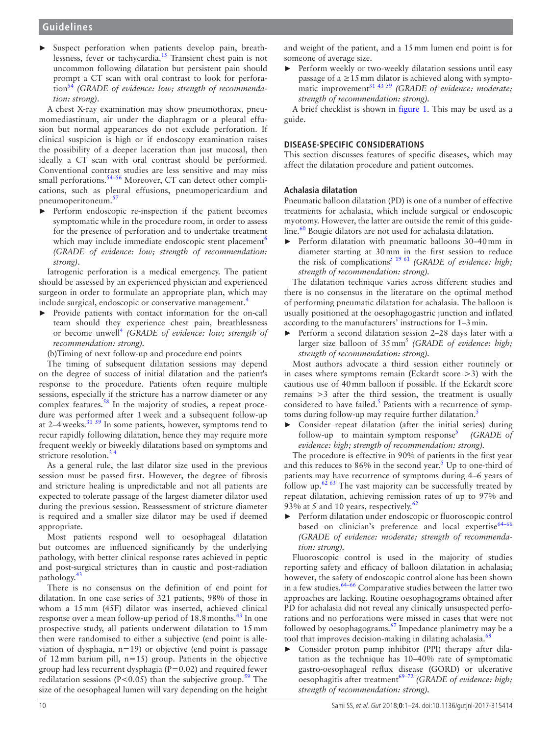► Suspect perforation when patients develop pain, breathlessness, fever or tachycardia.[15](#page-18-11) Transient chest pain is not uncommon following dilatation but persistent pain should prompt a CT scan with oral contrast to look for perforation[54](#page-19-15) *(GRADE of evidence: low; strength of recommendation: strong)*.

A chest X-ray examination may show pneumothorax, pneumomediastinum, air under the diaphragm or a pleural effusion but normal appearances do not exclude perforation. If clinical suspicion is high or if endoscopy examination raises the possibility of a deeper laceration than just mucosal, then ideally a CT scan with oral contrast should be performed. Conventional contrast studies are less sensitive and may miss small perforations.<sup>54–56</sup> Moreover, CT can detect other complications, such as pleural effusions, pneumopericardium and pneumoperitoneum.[57](#page-19-16)

► Perform endoscopic re-inspection if the patient becomes symptomatic while in the procedure room, in order to assess for the presence of perforation and to undertake treatment which may include immediate endoscopic stent placement<sup>6</sup> *(GRADE of evidence: low; strength of recommendation: strong)*.

Iatrogenic perforation is a medical emergency. The patient should be assessed by an experienced physician and experienced surgeon in order to formulate an appropriate plan, which may include surgical, endoscopic or conservative management.<sup>4</sup>

Provide patients with contact information for the on-call team should they experience chest pain, breathlessness or become unwell<sup>4</sup> (GRADE of evidence: low; strength of *recommendation: strong).*

(b)Timing of next follow-up and procedure end points

The timing of subsequent dilatation sessions may depend on the degree of success of initial dilatation and the patient's response to the procedure. Patients often require multiple sessions, especially if the stricture has a narrow diameter or any complex features.<sup>58</sup> In the majority of studies, a repeat procedure was performed after 1week and a subsequent follow-up at  $2-4$  weeks.<sup>31 [59](#page-19-19)</sup> In some patients, however, symptoms tend to recur rapidly following dilatation, hence they may require more frequent weekly or biweekly dilatations based on symptoms and stricture resolution.<sup>34</sup>

As a general rule, the last dilator size used in the previous session must be passed first. However, the degree of fibrosis and stricture healing is unpredictable and not all patients are expected to tolerate passage of the largest diameter dilator used during the previous session. Reassessment of stricture diameter is required and a smaller size dilator may be used if deemed appropriate.

Most patients respond well to oesophageal dilatation but outcomes are influenced significantly by the underlying pathology, with better clinical response rates achieved in peptic and post-surgical strictures than in caustic and post-radiation pathology[.43](#page-19-20)

There is no consensus on the definition of end point for dilatation. In one case series of 321 patients, 98% of those in whom a 15mm (45F) dilator was inserted, achieved clinical response over a mean follow-up period of 18.8 months.<sup>43</sup> In one prospective study, all patients underwent dilatation to 15mm then were randomised to either a subjective (end point is alleviation of dysphagia, n=19) or objective (end point is passage of 12mm barium pill, n=15) group. Patients in the objective group had less recurrent dysphagia ( $P=0.02$ ) and required fewer redilatation sessions ( $P < 0.05$ ) than the subjective group.<sup>[59](#page-19-19)</sup> The size of the oesophageal lumen will vary depending on the height

and weight of the patient, and a 15mm lumen end point is for someone of average size.

► Perform weekly or two-weekly dilatation sessions until easy passage of a  $\geq$ 15 mm dilator is achieved along with symptopassage of a  $\pm$ 15 mm diator is definited along white symples matic improvement<sup>31 [43](#page-19-18) 59</sup> (GRADE of evidence: moderate; *strength of recommendation: strong).*

A brief checklist is shown in [figure](#page-10-0) 1. This may be used as a guide.

## **Disease-specific considerations**

This section discusses features of specific diseases, which may affect the dilatation procedure and patient outcomes.

## **Achalasia dilatation**

Pneumatic balloon dilatation (PD) is one of a number of effective treatments for achalasia, which include surgical or endoscopic myotomy. However, the latter are outside the remit of this guideline.<sup>60</sup> Bougie dilators are not used for achalasia dilatation.

► Perform dilatation with pneumatic balloons 30–40mm in diameter starting at 30mm in the first session to reduce the risk of complications<sup>5</sup> [19](#page-18-2) <sup>61</sup> *(GRADE of evidence: high; strength of recommendation: strong).*

The dilatation technique varies across different studies and there is no consensus in the literature on the optimal method of performing pneumatic dilatation for achalasia. The balloon is usually positioned at the oesophagogastric junction and inflated according to the manufacturers' instructions for 1–3min.

Perform a second dilatation session 2–28 days later with a larger size balloon of 35 mm<sup>5</sup> (GRADE of evidence: high; *strength of recommendation: strong).*

Most authors advocate a third session either routinely or in cases where symptoms remain (Eckardt score >3) with the cautious use of 40mm balloon if possible. If the Eckardt score remains >3 after the third session, the treatment is usually considered to have failed. $5$  Patients with a recurrence of symp-toms during follow-up may require further dilatation.<sup>[5](#page-18-2)</sup>

► Consider repeat dilatation (after the initial series) during follow-up to maintain symptom response<sup>[5](#page-18-2)</sup> (GRADE of *evidence: high; strength of recommendation: strong).*

The procedure is effective in 90% of patients in the first year and this reduces to 86% in the second year.<sup>[5](#page-18-2)</sup> Up to one-third of patients may have recurrence of symptoms during 4–6 years of follow up.<sup>62 63</sup> The vast majority can be successfully treated by repeat dilatation, achieving remission rates of up to 97% and 93% at 5 and 10 years, respectively. $62$ 

Perform dilatation under endoscopic or fluoroscopic control based on clinician's preference and local expertise<sup>64-66</sup> *(GRADE of evidence: moderate; strength of recommendation: strong).*

Fluoroscopic control is used in the majority of studies reporting safety and efficacy of balloon dilatation in achalasia; however, the safety of endoscopic control alone has been shown in a few studies.[64–66](#page-19-23) Comparative studies between the latter two approaches are lacking. Routine oesophagograms obtained after PD for achalasia did not reveal any clinically unsuspected perforations and no perforations were missed in cases that were not followed by oesophagograms. $67$  Impedance planimetry may be a tool that improves decision-making in dilating achalasia.<sup>[68](#page-19-25)</sup>

► Consider proton pump inhibitor (PPI) therapy after dilatation as the technique has 10–40% rate of symptomatic gastro-oesophageal reflux disease (GORD) or ulcerative oesophagitis after treatment<sup>69-72</sup> (GRADE of evidence: high; *strength of recommendation: strong).*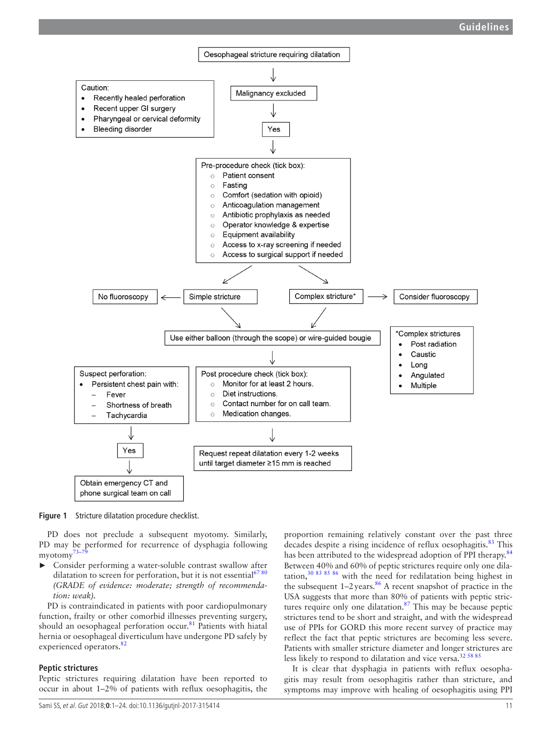

<span id="page-10-0"></span>**Figure 1** Stricture dilatation procedure checklist.

PD does not preclude a subsequent myotomy. Similarly, PD may be performed for recurrence of dysphagia following myotomy $^{73}$ 

► Consider performing a water-soluble contrast swallow after dilatation to screen for perforation, but it is not essential<sup>6780</sup> *(GRADE of evidence: moderate; strength of recommendation: weak).*

PD is contraindicated in patients with poor cardiopulmonary function, frailty or other comorbid illnesses preventing surgery, should an oesophageal perforation occur.<sup>81</sup> Patients with hiatal hernia or oesophageal diverticulum have undergone PD safely by experienced operators.<sup>82</sup>

## **Peptic strictures**

Peptic strictures requiring dilatation have been reported to occur in about 1–2% of patients with reflux oesophagitis, the

proportion remaining relatively constant over the past three decades despite a rising incidence of reflux oesophagitis.<sup>83</sup> This has been attributed to the widespread adoption of PPI therapy.<sup>[84](#page-20-1)</sup> Between 40% and 60% of peptic strictures require only one dilatation,[30 83 85 86](#page-19-4) with the need for redilatation being highest in the subsequent  $1-2$  years.<sup>[86](#page-20-2)</sup> A recent snapshot of practice in the USA suggests that more than 80% of patients with peptic strictures require only one dilatation.<sup>87</sup> This may be because peptic strictures tend to be short and straight, and with the widespread use of PPIs for GORD this more recent survey of practice may reflect the fact that peptic strictures are becoming less severe. Patients with smaller stricture diameter and longer strictures are less likely to respond to dilatation and vice versa.<sup>32 58</sup> 85

It is clear that dysphagia in patients with reflux oesophagitis may result from oesophagitis rather than stricture, and symptoms may improve with healing of oesophagitis using PPI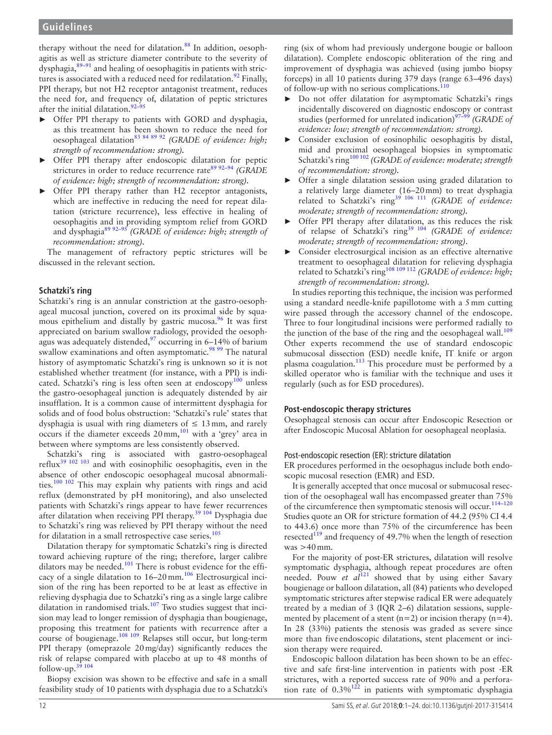therapy without the need for dilatation.<sup>88</sup> In addition, oesophagitis as well as stricture diameter contribute to the severity of dysphagia,[89–91](#page-20-5) and healing of oesophagitis in patients with stric-tures is associated with a reduced need for redilatation.<sup>[92](#page-20-6)</sup> Finally, PPI therapy, but not H2 receptor antagonist treatment, reduces the need for, and frequency of, dilatation of peptic strictures after the initial dilatation. $92-5$ 

- ► Offer PPI therapy to patients with GORD and dysphagia, as this treatment has been shown to reduce the need for oesophageal dilatation<sup>83</sup> [84](#page-20-0) <sup>89</sup> <sup>92</sup> *(GRADE of evidence: high; strength of recommendation: strong).*
- ► Offer PPI therapy after endoscopic dilatation for peptic strictures in order to reduce recurrence rate<sup>89 [92–94](#page-20-5)</sup> (GRADE *of evidence: high; strength of recommendation: strong).*
- ► Offer PPI therapy rather than H2 receptor antagonists, which are ineffective in reducing the need for repeat dilatation (stricture recurrence), less effective in healing of oesophagitis and in providing symptom relief from GORD and dysphagia<sup>89</sup> [92–95](#page-20-5) *(GRADE of evidence: high; strength of recommendation: strong).*

The management of refractory peptic strictures will be discussed in the relevant section.

## **Schatzki's ring**

Schatzki's ring is an annular constriction at the gastro-oesophageal mucosal junction, covered on its proximal side by squa-mous epithelium and distally by gastric mucosa.<sup>[96](#page-20-7)</sup> It was first appreciated on barium swallow radiology, provided the oesophagus was adequately distended, $\frac{97}{7}$  $\frac{97}{7}$  $\frac{97}{7}$  occurring in 6–14% of barium swallow examinations and often asymptomatic.<sup>98 [99](#page-20-9)</sup> The natural history of asymptomatic Schatzki's ring is unknown so it is not established whether treatment (for instance, with a PPI) is indicated. Schatzki's ring is less often seen at endoscopy<sup>100</sup> unless the gastro-oesophageal junction is adequately distended by air insufflation. It is a common cause of intermittent dysphagia for solids and of food bolus obstruction: 'Schatzki's rule' states that dysphagia is usual with ring diameters of  $\leq 13$  mm, and rarely occurs if the diameter exceeds  $20 \text{ mm}$ ,  $101 \text{ with a 'grey' area in}$  $101 \text{ with a 'grey' area in}$ between where symptoms are less consistently observed.

Schatzki's ring is associated with gastro-oesophageal reflux<sup>39</sup> [102](#page-19-31) <sup>103</sup> and with eosinophilic oesophagitis, even in the absence of other endoscopic oesophageal mucosal abnormalities.<sup>100 102</sup> This may explain why patients with rings and acid reflux (demonstrated by pH monitoring), and also unselected patients with Schatzki's rings appear to have fewer recurrences after dilatation when receiving PPI therapy. $39\frac{104}{9}$  $39\frac{104}{9}$  $39\frac{104}{9}$  Dysphagia due to Schatzki's ring was relieved by PPI therapy without the need for dilatation in a small retrospective case series.<sup>105</sup>

Dilatation therapy for symptomatic Schatzki's ring is directed toward achieving rupture of the ring; therefore, larger calibre dilators may be needed.<sup>101</sup> There is robust evidence for the efficacy of a single dilatation to 16–20 mm.<sup>106</sup> Electrosurgical incision of the ring has been reported to be at least as effective in relieving dysphagia due to Schatzki's ring as a single large calibre dilatation in randomised trials. $107$  Two studies suggest that incision may lead to longer remission of dysphagia than bougienage, proposing this treatment for patients with recurrence after a course of bougienage.<sup>[108](#page-20-15) 109</sup> Relapses still occur, but long-term PPI therapy (omeprazole 20mg/day) significantly reduces the risk of relapse compared with placebo at up to 48 months of follow-up. $3\overline{9}$  [104](#page-19-31)

Biopsy excision was shown to be effective and safe in a small feasibility study of 10 patients with dysphagia due to a Schatzki's

ring (six of whom had previously undergone bougie or balloon dilatation). Complete endoscopic obliteration of the ring and improvement of dysphagia was achieved (using jumbo biopsy forceps) in all 10 patients during 379 days (range 63–496 days) of follow-up with no serious complications.<sup>[110](#page-20-16)</sup>

- ► Do not offer dilatation for asymptomatic Schatzki's rings incidentally discovered on diagnostic endoscopy or contrast studies (performed for unrelated indication)[97–99](#page-20-8) *(GRADE of evidence: low; strength of recommendation: strong).*
- Consider exclusion of eosinophilic oesophagitis by distal, mid and proximal oesophageal biopsies in symptomatic Schatzki's ring<sup>[100 102](#page-20-10)</sup> (GRADE of evidence: moderate; strength *of recommendation: strong).*
- ► Offer a single dilatation session using graded dilatation to a relatively large diameter (16–20mm) to treat dysphagia related to Schatzki's ring<sup>39 [106](#page-19-31) 111</sup> (GRADE of evidence: *moderate; strength of recommendation: strong).*
- ► Offer PPI therapy after dilatation, as this reduces the risk of relapse of Schatzki's ring<sup>39 [104](#page-19-31)</sup> (GRADE of evidence: *moderate; strength of recommendation: strong)*.
- Consider electrosurgical incision as an effective alternative treatment to oesophageal dilatation for relieving dysphagia related to Schatzki's ring<sup>[108](#page-20-15) 109 112</sup> (GRADE of evidence: high; *strength of recommendation: strong).*

In studies reporting this technique, the incision was performed using a standard needle-knife papillotome with a 5mm cutting wire passed through the accessory channel of the endoscope. Three to four longitudinal incisions were performed radially to the junction of the base of the ring and the oesophageal wall.<sup>[109](#page-20-17)</sup> Other experts recommend the use of standard endoscopic submucosal dissection (ESD) needle knife, IT knife or argon plasma coagulation.<sup>113</sup> This procedure must be performed by a skilled operator who is familiar with the technique and uses it regularly (such as for ESD procedures).

## **Post-endoscopic therapy strictures**

Oesophageal stenosis can occur after Endoscopic Resection or after Endoscopic Mucosal Ablation for oesophageal neoplasia.

#### Post-endoscopic resection (ER): stricture dilatation

ER procedures performed in the oesophagus include both endoscopic mucosal resection (EMR) and ESD.

It is generally accepted that once mucosal or submucosal resection of the oesophageal wall has encompassed greater than 75% of the circumference then symptomatic stenosis will occur.<sup>114-120</sup> Studies quote an OR for stricture formation of 44.2 (95% CI 4.4 to 443.6) once more than 75% of the circumference has been resected $119$  and frequency of 49.7% when the length of resection was  $>40$  mm.

For the majority of post-ER strictures, dilatation will resolve symptomatic dysphagia, although repeat procedures are often needed. Pouw *et al*<sup>121</sup> showed that by using either Savary bougienage or balloon dilatation, all (84) patients who developed symptomatic strictures after stepwise radical ER were adequately treated by a median of 3 (IQR 2–6) dilatation sessions, supplemented by placement of a stent  $(n=2)$  or incision therapy  $(n=4)$ . In 28 (33%) patients the stenosis was graded as severe since more than five endoscopic dilatations, stent placement or incision therapy were required.

Endoscopic balloon dilatation has been shown to be an effective and safe first-line intervention in patients with post -ER strictures, with a reported success rate of 90% and a perforation rate of  $0.3\%^{122}$  in patients with symptomatic dysphagia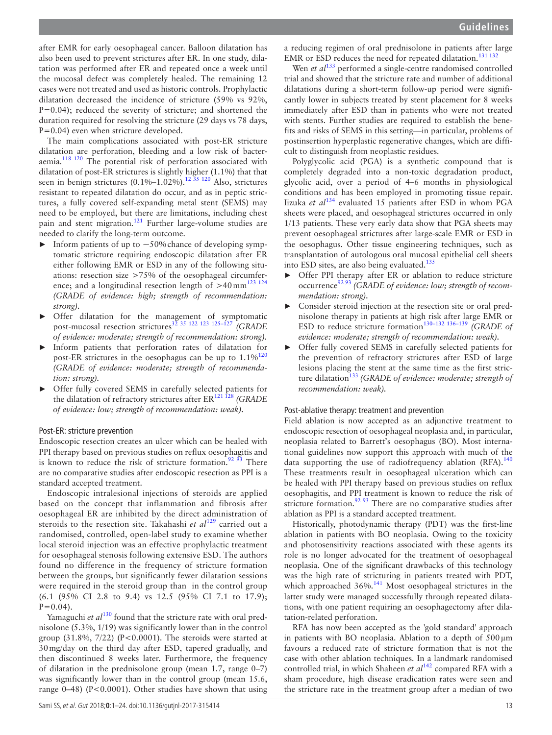after EMR for early oesophageal cancer. Balloon dilatation has also been used to prevent strictures after ER. In one study, dilatation was performed after ER and repeated once a week until the mucosal defect was completely healed. The remaining 12 cases were not treated and used as historic controls. Prophylactic dilatation decreased the incidence of stricture (59% vs 92%,  $P=0.04$ ; reduced the severity of stricture; and shortened the duration required for resolving the stricture (29 days vs 78 days, P=0.04) even when stricture developed.

The main complications associated with post-ER stricture dilatation are perforation, bleeding and a low risk of bacteraemia[.118 120](#page-20-23) The potential risk of perforation associated with dilatation of post-ER strictures is slightly higher (1.1%) that that seen in benign strictures  $(0.1\% - 1.02\%)$ .<sup>12 35</sup> <sup>120</sup> Also, strictures resistant to repeated dilatation do occur, and as in peptic strictures, a fully covered self-expanding metal stent (SEMS) may need to be employed, but there are limitations, including chest pain and stent migration.<sup>[121](#page-20-21)</sup> Further large-volume studies are needed to clarify the long-term outcome.

- $\blacktriangleright$  Inform patients of up to  $\sim$  50% chance of developing symptomatic stricture requiring endoscopic dilatation after ER either following EMR or ESD in any of the following situations: resection size >75% of the oesophageal circumference; and a longitudinal resection length of  $>40$  mm<sup>[123 124](#page-20-24)</sup> *(GRADE of evidence: high; strength of recommendation: strong).*
- ► Offer dilatation for the management of symptomatic post-mucosal resection strictures<sup>32 35 122 123 125-127</sup> *(GRADE of evidence: moderate; strength of recommendation: strong).*
- Inform patients that perforation rates of dilatation for post-ER strictures in the oesophagus can be up to  $1.1\%^{120}$  $1.1\%^{120}$  $1.1\%^{120}$ *(GRADE of evidence: moderate; strength of recommendation: strong).*
- Offer fully covered SEMS in carefully selected patients for the dilatation of refractory strictures after ER<sup>121 128</sup> (GRADE *of evidence: low; strength of recommendation: weak).*

#### Post-ER: stricture prevention

Endoscopic resection creates an ulcer which can be healed with PPI therapy based on previous studies on reflux oesophagitis and is known to reduce the risk of stricture formation.<sup>[92](#page-20-6) 93</sup> There are no comparative studies after endoscopic resection as PPI is a standard accepted treatment.

Endoscopic intralesional injections of steroids are applied based on the concept that inflammation and fibrosis after oesophageal ER are inhibited by the direct administration of steroids to the resection site. Takahashi *et al*<sup>[129](#page-20-26)</sup> carried out a randomised, controlled, open-label study to examine whether local steroid injection was an effective prophylactic treatment for oesophageal stenosis following extensive ESD. The authors found no difference in the frequency of stricture formation between the groups, but significantly fewer dilatation sessions were required in the steroid group than in the control group (6.1 (95% CI 2.8 to 9.4) vs 12.5 (95% CI 7.1 to 17.9);  $P=0.04$ ).

Yamaguchi *et al*<sup>130</sup> found that the stricture rate with oral prednisolone (5.3%, 1/19) was significantly lower than in the control group (31.8%, 7/22) (P<0.0001). The steroids were started at 30mg/day on the third day after ESD, tapered gradually, and then discontinued 8 weeks later. Furthermore, the frequency of dilatation in the prednisolone group (mean 1.7, range 0–7) was significantly lower than in the control group (mean 15.6, range 0–48) (P<0.0001). Other studies have shown that using

a reducing regimen of oral prednisolone in patients after large EMR or ESD reduces the need for repeated dilatation.<sup>131 132</sup>

Wen *et al*<sup>133</sup> performed a single-centre randomised controlled trial and showed that the stricture rate and number of additional dilatations during a short-term follow-up period were significantly lower in subjects treated by stent placement for 8 weeks immediately after ESD than in patients who were not treated with stents. Further studies are required to establish the benefits and risks of SEMS in this setting—in particular, problems of postinsertion hyperplastic regenerative changes, which are difficult to distinguish from neoplastic residues.

Polyglycolic acid (PGA) is a synthetic compound that is completely degraded into a non-toxic degradation product, glycolic acid, over a period of 4–6 months in physiological conditions and has been employed in promoting tissue repair. Iizuka *et al*[134](#page-20-30) evaluated 15 patients after ESD in whom PGA sheets were placed, and oesophageal strictures occurred in only 1/13 patients. These very early data show that PGA sheets may prevent oesophageal strictures after large-scale EMR or ESD in the oesophagus. Other tissue engineering techniques, such as transplantation of autologous oral mucosal epithelial cell sheets into ESD sites, are also being evaluated. $135$ 

- Offer PPI therapy after ER or ablation to reduce stricture occurrence[92](#page-20-6) <sup>93</sup> *(GRADE of evidence: low; strength of recommendation: strong).*
- Consider steroid injection at the resection site or oral prednisolone therapy in patients at high risk after large EMR or ESD to reduce stricture formation<sup>[130–132](#page-20-27)</sup> <sup>136–139</sup> (GRADE of *evidence: moderate; strength of recommendation: weak).*
- Offer fully covered SEMS in carefully selected patients for the prevention of refractory strictures after ESD of large lesions placing the stent at the same time as the first stric-ture dilatation<sup>[133](#page-20-29)</sup> (GRADE of evidence: moderate; strength of *recommendation: weak).*

#### Post-ablative therapy: treatment and prevention

Field ablation is now accepted as an adjunctive treatment to endoscopic resection of oesophageal neoplasia and, in particular, neoplasia related to Barrett's oesophagus (BO). Most international guidelines now support this approach with much of the data supporting the use of radiofrequency ablation  $(RFA)$ .<sup>140</sup> These treatments result in oesophageal ulceration which can be healed with PPI therapy based on previous studies on reflux oesophagitis, and PPI treatment is known to reduce the risk of stricture formation.<sup>92 [93](#page-20-6)</sup> There are no comparative studies after ablation as PPI is a standard accepted treatment.

Historically, photodynamic therapy (PDT) was the first-line ablation in patients with BO neoplasia. Owing to the toxicity and photosensitivity reactions associated with these agents its role is no longer advocated for the treatment of oesophageal neoplasia. One of the significant drawbacks of this technology was the high rate of stricturing in patients treated with PDT, which approached  $36\%$ .<sup>141</sup> Most oesophageal strictures in the latter study were managed successfully through repeated dilatations, with one patient requiring an oesophagectomy after dilatation-related perforation.

RFA has now been accepted as the 'gold standard' approach in patients with BO neoplasia. Ablation to a depth of 500µm favours a reduced rate of stricture formation that is not the case with other ablation techniques. In a landmark randomised controlled trial, in which Shaheen *et al*<sup>142</sup> compared RFA with a sham procedure, high disease eradication rates were seen and the stricture rate in the treatment group after a median of two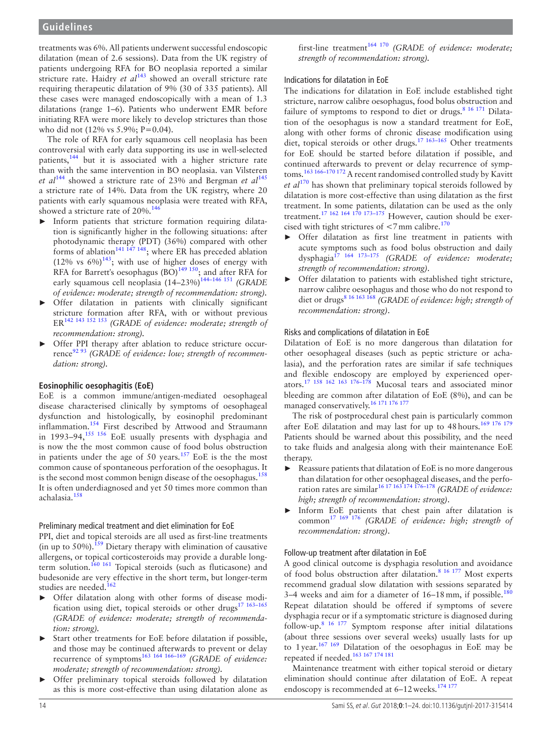treatments was 6%. All patients underwent successful endoscopic dilatation (mean of 2.6 sessions). Data from the UK registry of patients undergoing RFA for BO neoplasia reported a similar stricture rate. Haidry *et al*<sup>143</sup> showed an overall stricture rate requiring therapeutic dilatation of 9% (30 of 335 patients). All these cases were managed endoscopically with a mean of 1.3 dilatations (range 1–6). Patients who underwent EMR before initiating RFA were more likely to develop strictures than those who did not (12% vs 5.9%; P=0.04).

The role of RFA for early squamous cell neoplasia has been controversial with early data supporting its use in well-selected patients,<sup>144</sup> but it is associated with a higher stricture rate than with the same intervention in BO neoplasia. van Vilsteren *et al*[144](#page-21-3) showed a stricture rate of 23% and Bergman *et al*[145](#page-21-4) a stricture rate of 14%. Data from the UK registry, where 20 patients with early squamous neoplasia were treated with RFA, showed a stricture rate of  $20\%$ .<sup>146</sup>

- ► Inform patients that stricture formation requiring dilatation is significantly higher in the following situations: after photodynamic therapy (PDT) (36%) compared with other forms of ablation<sup>141 147 148</sup>; where ER has preceded ablation  $(12\% \text{ vs } 6\%)$ <sup>[143](#page-21-2)</sup>; with use of higher doses of energy with RFA for Barrett's oesophagus  $(BO)^{149}$  $(BO)^{149}$  $(BO)^{149}$ <sup>150</sup>; and after RFA for early squamous cell neoplasia (14-23%)<sup>144-146</sup><sup>151</sup> (GRADE *of evidence: moderate; strength of recommendation: strong).*
- Offer dilatation in patients with clinically significant stricture formation after RFA, with or without previous E[R142 143 152 153](#page-21-1) *(GRADE of evidence: moderate; strength of recommendation: strong).*
- Offer PPI therapy after ablation to reduce stricture occur-rence<sup>[92](#page-20-6) 93</sup> (GRADE of evidence: low; strength of recommen*dation: strong).*

# **Eosinophilic oesophagitis (EoE)**

EoE is a common immune/antigen-mediated oesophageal disease characterised clinically by symptoms of oesophageal dysfunction and histologically, by eosinophil predominant inflammation.[154](#page-21-7) First described by Attwood and Straumann in 1993–94,<sup>155</sup> 156 EoE usually presents with dysphagia and is now the the most common cause of food bolus obstruction in patients under the age of 50 years.<sup>157</sup> EoE is the the most common cause of spontaneous perforation of the oesophagus. It is the second most common benign disease of the oesophagus.<sup>[158](#page-21-10)</sup> It is often underdiagnosed and yet 50 times more common than achalasia.<sup>[158](#page-21-10)</sup>

# Preliminary medical treatment and diet elimination for EoE

PPI, diet and topical steroids are all used as first-line treatments (in up to 50%).<sup>[159](#page-21-11)</sup> Dietary therapy with elimination of causative allergens, or topical corticosteroids may provide a durable long-term solution.<sup>[160 161](#page-21-12)</sup> Topical steroids (such as fluticasone) and budesonide are very effective in the short term, but longer-term studies are needed.<sup>16</sup>

- ► Offer dilatation along with other forms of disease modification using diet, topical steroids or other drugs<sup>17 163-165</sup> *(GRADE of evidence: moderate; strength of recommendation: strong).*
- ► Start other treatments for EoE before dilatation if possible, and those may be continued afterwards to prevent or delay recurrence of symptoms<sup>163 164 166-169</sup> (GRADE of evidence: *moderate; strength of recommendation: strong).*
- Offer preliminary topical steroids followed by dilatation as this is more cost-effective than using dilatation alone as

first-line treatment<sup>[164 170](#page-21-15)</sup> (GRADE of evidence: moderate; *strength of recommendation: strong).*

## Indications for dilatation in EoE

The indications for dilatation in EoE include established tight stricture, narrow calibre oesophagus, food bolus obstruction and failure of symptoms to respond to diet or drugs.  $8\frac{16\frac{171}{16}}$  Dilatation of the oesophagus is now a standard treatment for EoE, along with other forms of chronic disease modification using diet, topical steroids or other drugs.[17 163–165](#page-18-20) Other treatments for EoE should be started before dilatation if possible, and continued afterwards to prevent or delay recurrence of symptoms.[163 166–170 172](#page-21-14) A recent randomised controlled study by Kavitt *et al*[170](#page-21-16) has shown that preliminary topical steroids followed by dilatation is more cost-effective than using dilatation as the first treatment. In some patients, dilatation can be used as the only treatment.<sup>17 162 164 170 173-175</sup> However, caution should be exercised with tight strictures of  $<$ 7mm calibre.<sup>[170](#page-21-16)</sup>

- ► Offer dilatation as first line treatment in patients with acute symptoms such as food bolus obstruction and daily dysphagia[17 164 173–175](#page-18-20) *(GRADE of evidence: moderate; strength of recommendation: strong)*.
- ► Offer dilatation to patients with established tight stricture, narrow calibre oesophagus and those who do not respond to diet or drugs<sup>[8 16 163 168](#page-18-5)</sup> (GRADE of evidence: high; strength of *recommendation: strong)*.

## Risks and complications of dilatation in EoE

Dilatation of EoE is no more dangerous than dilatation for other oesophageal diseases (such as peptic stricture or achalasia), and the perforation rates are similar if safe techniques and flexible endoscopy are employed by experienced operators.[17 158 162 163 176–178](#page-18-20) Mucosal tears and associated minor bleeding are common after dilatation of EoE (8%), and can be managed conservatively.<sup>[16 171 176 177](#page-18-12)</sup>

The risk of postprocedural chest pain is particularly common after EoE dilatation and may last for up to 48hours.<sup>169</sup> [176](#page-21-17) <sup>179</sup> Patients should be warned about this possibility, and the need to take fluids and analgesia along with their maintenance EoE therapy.

- Reassure patients that dilatation of EoE is no more dangerous than dilatation for other oesophageal diseases, and the perforation rates are similar<sup>16 17 163 174 176-178</sup> (GRADE of evidence: *high; strength of recommendation: strong)*.
- Inform EoE patients that chest pain after dilatation is common<sup>17 [169](#page-18-20) 176</sup> (GRADE of evidence: high; strength of *recommendation: strong)*.

## Follow-up treatment after dilatation in EoE

A good clinical outcome is dysphagia resolution and avoidance of food bolus obstruction after dilatation.[8 16 177](#page-18-5) Most experts recommend gradual slow dilatation with sessions separated by 3–4 weeks and aim for a diameter of  $16-18$  mm, if possible.<sup>180</sup> Repeat dilatation should be offered if symptoms of severe dysphagia recur or if a symptomatic stricture is diagnosed during follow-up.[8 16 177](#page-18-5) Symptom response after initial dilatations (about three sessions over several weeks) usually lasts for up to 1 year.<sup>[167](#page-21-19) 169</sup> Dilatation of the oesophagus in EoE may be repeated if needed.<sup>163</sup> <sup>167</sup> <sup>174</sup> <sup>181</sup>

Maintenance treatment with either topical steroid or dietary elimination should continue after dilatation of EoE. A repeat endoscopy is recommended at 6-12 weeks.<sup>[174 177](#page-21-20)</sup>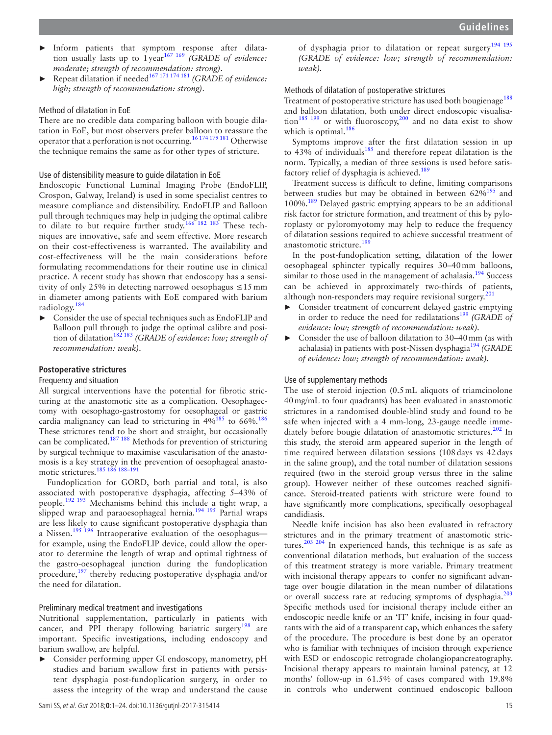- ► Inform patients that symptom response after dilata-tion usually lasts up to 1 year<sup>167 [169](#page-21-19)</sup> (GRADE of evidence: *moderate; strength of recommendation: strong)*.
- Repeat dilatation if needed<sup>[167 171 174 181](#page-21-19)</sup> (GRADE of evidence: *high; strength of recommendation: strong)*.

#### Method of dilatation in EoE

There are no credible data comparing balloon with bougie dilatation in EoE, but most observers prefer balloon to reassure the operator that a perforation is not occurring.<sup>16 [174](#page-18-12) 179 181</sup> Otherwise the technique remains the same as for other types of stricture.

#### Use of distensibility measure to guide dilatation in EoE

Endoscopic Functional Luminal Imaging Probe (EndoFLIP, Crospon, Galway, Ireland) is used in some specialist centres to measure compliance and distensibility. EndoFLIP and Balloon pull through techniques may help in judging the optimal calibre to dilate to but require further study.<sup>166 182 183</sup> These techniques are innovative, safe and seem effective. More research on their cost-effectiveness is warranted. The availability and cost-effectiveness will be the main considerations before formulating recommendations for their routine use in clinical practice. A recent study has shown that endoscopy has a sensitivity of only 25% in detecting narrowed oesophagus ≤15 mm in diameter among patients with EoE compared with barium radiology.[184](#page-21-22)

Consider the use of special techniques such as EndoFLIP and Balloon pull through to judge the optimal calibre and position of dilatatio[n182 183](#page-21-23) *(GRADE of evidence: low; strength of recommendation: weak)*.

## **Postoperative strictures**

#### Frequency and situation

All surgical interventions have the potential for fibrotic stricturing at the anastomotic site as a complication. Oesophagectomy with oesophago-gastrostomy for oesophageal or gastric cardia malignancy can lead to stricturing in  $4\%$ <sup>185</sup> to 66%.<sup>[186](#page-21-25)</sup> These strictures tend to be short and straight, but occasionally can be complicated.<sup>[187 188](#page-21-26)</sup> Methods for prevention of stricturing by surgical technique to maximise vascularisation of the anastomosis is a key strategy in the prevention of oesophageal anastomotic strictures.<sup>185</sup> <sup>186</sup> [188–191](#page-21-24)

Fundoplication for GORD, both partial and total, is also associated with postoperative dysphagia, affecting 5–43% of people.[192](#page-21-27) <sup>193</sup> Mechanisms behind this include a tight wrap, a slipped wrap and paraoesophageal hernia.<sup>[194](#page-21-28) 195</sup> Partial wraps are less likely to cause significant postoperative dysphagia than a Nissen.<sup>[195](#page-21-29) 196</sup> Intraoperative evaluation of the oesophagusfor example, using the EndoFLIP device, could allow the operator to determine the length of wrap and optimal tightness of the gastro-oesophageal junction during the fundoplication procedure,<sup>[197](#page-21-30)</sup> thereby reducing postoperative dysphagia and/or the need for dilatation.

#### Preliminary medical treatment and investigations

Nutritional supplementation, particularly in patients with cancer, and PPI therapy following bariatric surgery<sup>[198](#page-22-0)</sup> are important. Specific investigations, including endoscopy and barium swallow, are helpful.

► Consider performing upper GI endoscopy, manometry, pH studies and barium swallow first in patients with persistent dysphagia post-fundoplication surgery, in order to assess the integrity of the wrap and understand the cause of dysphagia prior to dilatation or repeat surgery<sup>[194](#page-21-28) 195</sup> *(GRADE of evidence: low; strength of recommendation: weak).*

#### Methods of dilatation of postoperative strictures

Treatment of postoperative stricture has used both bougienage<sup>[188](#page-21-31)</sup> and balloon dilatation, both under direct endoscopic visualisa-tion<sup>[185](#page-21-24)</sup> <sup>199</sup> or with fluoroscopy,<sup>200</sup> and no data exist to show which is optimal.<sup>[186](#page-21-25)</sup>

Symptoms improve after the first dilatation session in up to  $43\%$  of individuals<sup>185</sup> and therefore repeat dilatation is the norm. Typically, a median of three sessions is used before satis-factory relief of dysphagia is achieved.<sup>[189](#page-21-32)</sup>

Treatment success is difficult to define, limiting comparisons between studies but may be obtained in between  $62\%^{195}$  $62\%^{195}$  $62\%^{195}$  and 100%.<sup>[189](#page-21-32)</sup> Delayed gastric emptying appears to be an additional risk factor for stricture formation, and treatment of this by pyloroplasty or pyloromyotomy may help to reduce the frequency of dilatation sessions required to achieve successful treatment of anastomotic stricture.<sup>[199](#page-22-2)</sup>

In the post-fundoplication setting, dilatation of the lower oesophageal sphincter typically requires 30–40mm balloons, similar to those used in the management of achalasia.<sup>[194](#page-21-28)</sup> Success can be achieved in approximately two-thirds of patients, although non-responders may require revisional surgery.<sup>[201](#page-22-3)</sup>

- ► Consider treatment of concurrent delayed gastric emptying in order to reduce the need for redilatations<sup>[199](#page-22-2)</sup> (GRADE of *evidence: low; strength of recommendation: weak).*
- ► Consider the use of balloon dilatation to 30–40mm (as with achalasia) in patients with post-Nissen dysphagia<sup>[194](#page-21-28)</sup> (GRADE *of evidence: low; strength of recommendation: weak).*

#### Use of supplementary methods

The use of steroid injection (0.5mL aliquots of triamcinolone 40mg/mL to four quadrants) has been evaluated in anastomotic strictures in a randomised double-blind study and found to be safe when injected with a 4 mm-long, 23-gauge needle immediately before bougie dilatation of anastomotic strictures.<sup>202</sup> In this study, the steroid arm appeared superior in the length of time required between dilatation sessions (108days vs 42days in the saline group), and the total number of dilatation sessions required (two in the steroid group versus three in the saline group). However neither of these outcomes reached significance. Steroid-treated patients with stricture were found to have significantly more complications, specifically oesophageal candidiasis.

Needle knife incision has also been evaluated in refractory strictures and in the primary treatment of anastomotic strictures.[203 204](#page-22-5) In experienced hands, this technique is as safe as conventional dilatation methods, but evaluation of the success of this treatment strategy is more variable. Primary treatment with incisional therapy appears to confer no significant advantage over bougie dilatation in the mean number of dilatations or overall success rate at reducing symptoms of dysphagia[.203](#page-22-5) Specific methods used for incisional therapy include either an endoscopic needle knife or an 'IT' knife, incising in four quadrants with the aid of a transparent cap, which enhances the safety of the procedure. The procedure is best done by an operator who is familiar with techniques of incision through experience with ESD or endoscopic retrograde cholangiopancreatography. Incisional therapy appears to maintain luminal patency, at 12 months' follow-up in 61.5% of cases compared with 19.8% in controls who underwent continued endoscopic balloon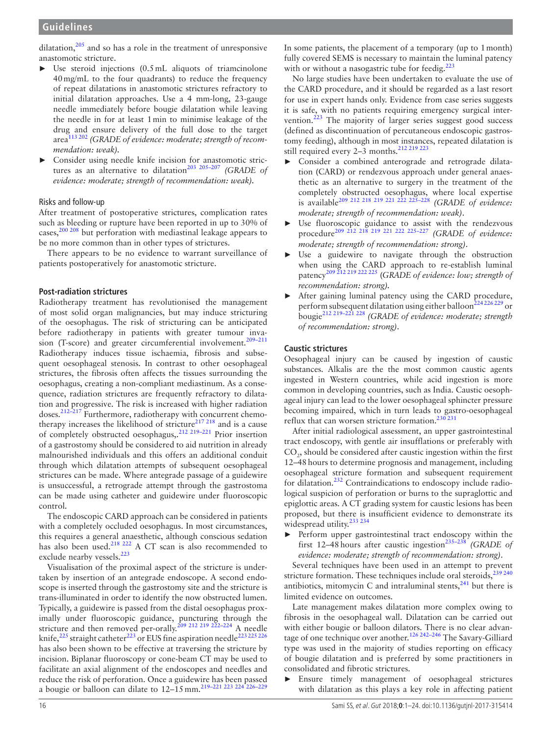dilatation, $205$  and so has a role in the treatment of unresponsive anastomotic stricture.

- Use steroid injections  $(0.5 \text{ mL } \text{ aliquots of } \text{ triangulation})$ 40mg/mL to the four quadrants) to reduce the frequency of repeat dilatations in anastomotic strictures refractory to initial dilatation approaches. Use a 4 mm-long, 23-gauge needle immediately before bougie dilatation while leaving the needle in for at least 1min to minimise leakage of the drug and ensure delivery of the full dose to the target area[113 202](#page-20-18) *(GRADE of evidence: moderate; strength of recommendation: weak).*
- ► Consider using needle knife incision for anastomotic strictures as an alternative to dilatation<sup>203 205-207</sup> (GRADE of *evidence: moderate; strength of recommendation: weak).*

## Risks and follow-up

After treatment of postoperative strictures, complication rates such as bleeding or rupture have been reported in up to 30% of cases, $200\,208$  but perforation with mediastinal leakage appears to be no more common than in other types of strictures.

There appears to be no evidence to warrant surveillance of patients postoperatively for anastomotic stricture.

## **Post-radiation strictures**

Radiotherapy treatment has revolutionised the management of most solid organ malignancies, but may induce stricturing of the oesophagus. The risk of stricturing can be anticipated before radiotherapy in patients with greater tumour invasion (T-score) and greater circumferential involvement.<sup>209-211</sup> Radiotherapy induces tissue ischaemia, fibrosis and subsequent oesophageal stenosis. In contrast to other oesophageal strictures, the fibrosis often affects the tissues surrounding the oesophagus, creating a non-compliant mediastinum. As a consequence, radiation strictures are frequently refractory to dilatation and progressive. The risk is increased with higher radiation doses.<sup>[212–217](#page-22-8)</sup> Furthermore, radiotherapy with concurrent chemo-therapy increases the likelihood of stricture<sup>[217 218](#page-22-9)</sup> and is a cause of completely obstructed oesophagus,.<sup>212 [219–221](#page-22-8)</sup> Prior insertion of a gastrostomy should be considered to aid nutrition in already malnourished individuals and this offers an additional conduit through which dilatation attempts of subsequent oesophageal strictures can be made. Where antegrade passage of a guidewire is unsuccessful, a retrograde attempt through the gastrostoma can be made using catheter and guidewire under fluoroscopic control.

The endoscopic CARD approach can be considered in patients with a completely occluded oesophagus. In most circumstances, this requires a general anaesthetic, although conscious sedation has also been used.<sup>218 222</sup> A CT scan is also recommended to exclude nearby vessels.<sup>223</sup>

Visualisation of the proximal aspect of the stricture is undertaken by insertion of an antegrade endoscope. A second endoscope is inserted through the gastrostomy site and the stricture is trans-illuminated in order to identify the now obstructed lumen. Typically, a guidewire is passed from the distal oesophagus proximally under fluoroscopic guidance, puncturing through the stricture and then removed per-orally.<sup>209 212 219 222-224</sup> A needle knife,<sup>225</sup> straight catheter<sup>223</sup> or EUS fine aspiration needle<sup>223 [225](#page-22-12) 226</sup> has also been shown to be effective at traversing the stricture by incision. Biplanar fluoroscopy or cone-beam CT may be used to facilitate an axial alignment of the endoscopes and needles and reduce the risk of perforation. Once a guidewire has been passed a bougie or balloon can dilate to  $12-15$  mm.<sup>219–221 223 224</sup><sup>[226–229](#page-22-13)</sup>

In some patients, the placement of a temporary (up to 1month) fully covered SEMS is necessary to maintain the luminal patency with or without a nasogastric tube for feedig. $223$ 

No large studies have been undertaken to evaluate the use of the CARD procedure, and it should be regarded as a last resort for use in expert hands only. Evidence from case series suggests it is safe, with no patients requiring emergency surgical intervention. $223$  The majority of larger series suggest good success (defined as discontinuation of percutaneous endoscopic gastrostomy feeding), although in most instances, repeated dilatation is still required every 2-3 months.<sup>212 [219](#page-22-8)</sup> 223

- ► Consider a combined anterograde and retrograde dilatation (CARD) or rendezvous approach under general anaesthetic as an alternative to surgery in the treatment of the completely obstructed oesophagus, where local expertise is available<sup>209</sup> <sup>212</sup> <sup>218</sup> <sup>219</sup> <sup>221</sup> <sup>222</sup> [225–228](#page-22-7) *(GRADE of evidence: moderate; strength of recommendation: weak)*.
- ► Use fluoroscopic guidance to assist with the rendezvous procedure<sup>209</sup> <sup>212</sup> <sup>218</sup> <sup>219</sup> <sup>221</sup> <sup>222</sup> [225–227](#page-22-7) *(GRADE of evidence: moderate; strength of recommendation: strong)*.
- Use a guidewire to navigate through the obstruction when using the CARD approach to re-establish luminal patency<sup>209</sup> [212](#page-22-7) <sup>219</sup> <sup>222</sup> <sup>225</sup> (*GRADE of evidence: low; strength of recommendation: strong).*
- After gaining luminal patency using the CARD procedure, perform subsequent dilatation using either balloon<sup>224 [226](#page-22-14) 229</sup> or bougie<sup>212</sup> [219–221](#page-22-8) <sup>228</sup> *(GRADE of evidence: moderate; strength of recommendation: strong)*.

## **Caustic strictures**

Oesophageal injury can be caused by ingestion of caustic substances. Alkalis are the the most common caustic agents ingested in Western countries, while acid ingestion is more common in developing countries, such as India. Caustic oesophageal injury can lead to the lower oesophageal sphincter pressure becoming impaired, which in turn leads to gastro-oesophageal reflux that can worsen stricture formation.<sup>230</sup><sup>231</sup>

After initial radiological assessment, an upper gastrointestinal tract endoscopy, with gentle air insufflations or preferably with CO<sub>2</sub>, should be considered after caustic ingestion within the first 12–48hours to determine prognosis and management, including oesophageal stricture formation and subsequent requirement for dilatation[.232](#page-22-16) Contraindications to endoscopy include radiological suspicion of perforation or burns to the supraglottic and epiglottic areas. A CT grading system for caustic lesions has been proposed, but there is insufficient evidence to demonstrate its widespread utility.[233 234](#page-22-17)

► Perform upper gastrointestinal tract endoscopy within the first 12–48 hours after caustic ingestion<sup>[235–238](#page-22-18)</sup> (GRADE of *evidence: moderate; strength of recommendation: strong)*.

Several techniques have been used in an attempt to prevent stricture formation. These techniques include oral steroids,  $239\,240$  $239\,240$ antibiotics, mitomycin C and intraluminal stents, $241$  but there is limited evidence on outcomes.

Late management makes dilatation more complex owing to fibrosis in the oesophageal wall. Dilatation can be carried out with either bougie or balloon dilators. There is no clear advantage of one technique over another.<sup>126 242-246</sup> The Savary-Gilliard type was used in the majority of studies reporting on efficacy of bougie dilatation and is preferred by some practitioners in consolidated and fibrotic strictures.

Ensure timely management of oesophageal strictures with dilatation as this plays a key role in affecting patient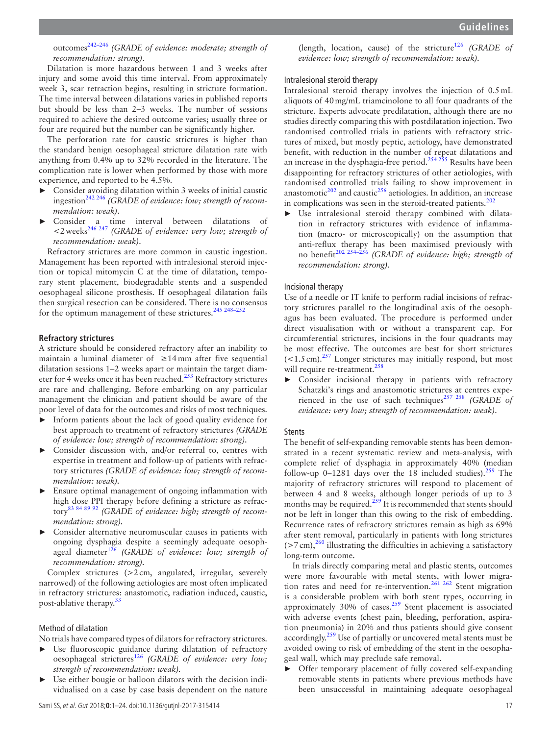outcomes[242–246](#page-22-21) *(GRADE of evidence: moderate; strength of recommendation: strong)*.

Dilatation is more hazardous between 1 and 3 weeks after injury and some avoid this time interval. From approximately week 3, scar retraction begins, resulting in stricture formation. The time interval between dilatations varies in published reports but should be less than 2–3 weeks. The number of sessions required to achieve the desired outcome varies; usually three or four are required but the number can be significantly higher.

The perforation rate for caustic strictures is higher than the standard benign oesophageal stricture dilatation rate with anything from 0.4% up to 32% recorded in the literature. The complication rate is lower when performed by those with more experience, and reported to be 4.5%.

- Consider avoiding dilatation within 3 weeks of initial caustic ingestion[242 246](#page-22-21) *(GRADE of evidence: low; strength of recommendation: weak)*.
- ► Consider a time interval between dilatations of <2week[s246 247](#page-22-22) *(GRADE of evidence: very low; strength of recommendation: weak)*.

Refractory strictures are more common in caustic ingestion. Management has been reported with intralesional steroid injection or topical mitomycin C at the time of dilatation, temporary stent placement, biodegradable stents and a suspended oesophageal silicone prosthesis. If oesophageal dilatation fails then surgical resection can be considered. There is no consensus for the optimum management of these strictures.<sup>245 248-252</sup>

#### **Refractory strictures**

A stricture should be considered refractory after an inability to maintain a luminal diameter of  $\geq 14$  mm after five sequential dilatation sessions 1–2 weeks apart or maintain the target diameter for 4 weeks once it has been reached.<sup>253</sup> Refractory strictures are rare and challenging. Before embarking on any particular management the clinician and patient should be aware of the poor level of data for the outcomes and risks of most techniques.

- ► Inform patients about the lack of good quality evidence for best approach to treatment of refractory strictures *(GRADE of evidence: low; strength of recommendation: strong).*
- ► Consider discussion with, and/or referral to, centres with expertise in treatment and follow-up of patients with refractory strictures *(GRADE of evidence: low; strength of recommendation: weak).*
- ► Ensure optimal management of ongoing inflammation with high dose PPI therapy before defining a stricture as refractory[83](#page-20-0) <sup>84</sup> <sup>89</sup> <sup>92</sup> *(GRADE of evidence: high; strength of recommendation: strong).*
- ► Consider alternative neuromuscular causes in patients with ongoing dysphagia despite a seemingly adequate oesophageal diameter[126](#page-20-33) *(GRADE of evidence: low; strength of recommendation: strong).*

Complex strictures  $(>2 \text{ cm}, \text{ angular}, \text{ is very small})$ narrowed) of the following aetiologies are most often implicated in refractory strictures: anastomotic, radiation induced, caustic, post-ablative therapy.<sup>33</sup>

#### Method of dilatation

No trials have compared types of dilators for refractory strictures.

- ► Use fluoroscopic guidance during dilatation of refractory oesophageal strictures[126](#page-20-33) *(GRADE of evidence: very low; strength of recommendation: weak).*
- Use either bougie or balloon dilators with the decision individualised on a case by case basis dependent on the nature

(length, location, cause) of the stricture<sup>126</sup> (GRADE of *evidence: low; strength of recommendation: weak).*

#### Intralesional steroid therapy

Intralesional steroid therapy involves the injection of 0.5mL aliquots of 40mg/mL triamcinolone to all four quadrants of the stricture. Experts advocate predilatation, although there are no studies directly comparing this with postdilatation injection. Two randomised controlled trials in patients with refractory strictures of mixed, but mostly peptic, aetiology, have demonstrated benefit, with reduction in the number of repeat dilatations and an increase in the dysphagia-free period.<sup>[254 255](#page-22-25)</sup> Results have been disappointing for refractory strictures of other aetiologies, with randomised controlled trials failing to show improvement in anastomotic<sup>202</sup> and caustic<sup>256</sup> aetiologies. In addition, an increase in complications was seen in the steroid-treated patients. $202$ 

Use intralesional steroid therapy combined with dilatation in refractory strictures with evidence of inflammation (macro- or microscopically) on the assumption that anti-reflux therapy has been maximised previously with no benefit<sup>202 254–256</sup> (GRADE of evidence: high; strength of *recommendation: strong).*

#### Incisional therapy

Use of a needle or IT knife to perform radial incisions of refractory strictures parallel to the longitudinal axis of the oesophagus has been evaluated. The procedure is performed under direct visualisation with or without a transparent cap. For circumferential strictures, incisions in the four quadrants may be most effective. The outcomes are best for short strictures  $\left($  < 1.5 cm).<sup>[257](#page-23-1)</sup> Longer strictures may initially respond, but most will require re-treatment.<sup>258</sup>

Consider incisional therapy in patients with refractory Schatzki's rings and anastomotic strictures at centres expe-rienced in the use of such techniques<sup>[257 258](#page-23-1)</sup> (GRADE of *evidence: very low; strength of recommendation: weak)*.

#### Stents

The benefit of self-expanding removable stents has been demonstrated in a recent systematic review and meta-analysis, with complete relief of dysphagia in approximately 40% (median follow-up 0–1281 days over the 18 included studies).<sup>[259](#page-23-3)</sup> The majority of refractory strictures will respond to placement of between 4 and 8 weeks, although longer periods of up to 3 months may be required.<sup>[259](#page-23-3)</sup> It is recommended that stents should not be left in longer than this owing to the risk of embedding. Recurrence rates of refractory strictures remain as high as 69% after stent removal, particularly in patients with long strictures  $(>7 \text{ cm})$ ,<sup>[260](#page-23-4)</sup> illustrating the difficulties in achieving a satisfactory long-term outcome.

In trials directly comparing metal and plastic stents, outcomes were more favourable with metal stents, with lower migration rates and need for re-intervention.<sup>261</sup> 262 Stent migration is a considerable problem with both stent types, occurring in approximately  $30\%$  of cases.<sup>[259](#page-23-3)</sup> Stent placement is associated with adverse events (chest pain, bleeding, perforation, aspiration pneumonia) in 20% and thus patients should give consent accordingly.<sup>[259](#page-23-3)</sup> Use of partially or uncovered metal stents must be avoided owing to risk of embedding of the stent in the oesophageal wall, which may preclude safe removal.

► Offer temporary placement of fully covered self-expanding removable stents in patients where previous methods have been unsuccessful in maintaining adequate oesophageal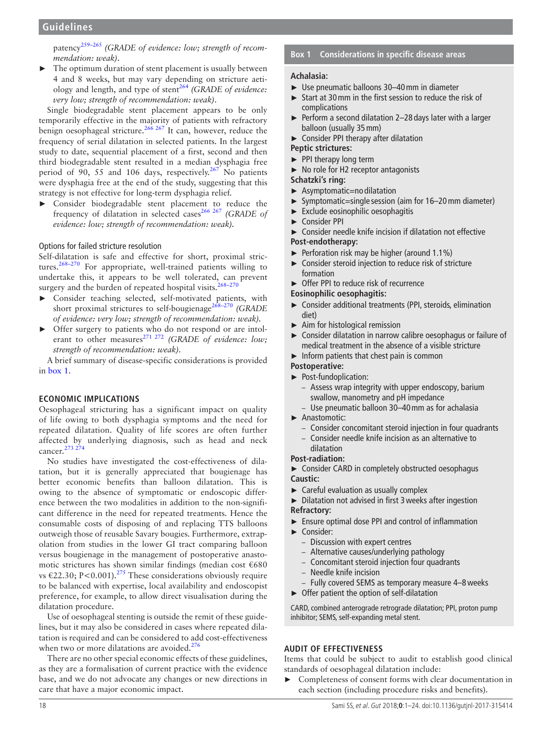patency<sup>259-265</sup> (GRADE of evidence: low; strength of recom*mendation: weak)*.

The optimum duration of stent placement is usually between 4 and 8 weeks, but may vary depending on stricture aeti-ology and length, and type of stent<sup>[264](#page-23-6)</sup> (GRADE of evidence: *very low; strength of recommendation: weak)*.

Single biodegradable stent placement appears to be only temporarily effective in the majority of patients with refractory benign oesophageal stricture.[266 267](#page-23-7) It can, however, reduce the frequency of serial dilatation in selected patients. In the largest study to date, sequential placement of a first, second and then third biodegradable stent resulted in a median dysphagia free period of 90, 55 and 106 days, respectively.<sup>267</sup> No patients were dysphagia free at the end of the study, suggesting that this strategy is not effective for long-term dysphagia relief.

Consider biodegradable stent placement to reduce the frequency of dilatation in selected cases<sup>[266 267](#page-23-7)</sup> (GRADE of *evidence: low; strength of recommendation: weak).*

# Options for failed stricture resolution

Self-dilatation is safe and effective for short, proximal strictures.<sup>268-270</sup> For appropriate, well-trained patients willing to undertake this, it appears to be well tolerated, can prevent surgery and the burden of repeated hospital visits.<sup>[268–270](#page-23-9)</sup>

- ► Consider teaching selected, self-motivated patients, with short proximal strictures to self-bougienage<sup>268-270</sup> (GRADE *of evidence: very low; strength of recommendation: weak).*
- ► Offer surgery to patients who do not respond or are intolerant to other measures<sup>271 272</sup> (GRADE of evidence: low; *strength of recommendation: weak)*.

A brief summary of disease-specific considerations is provided in [box](#page-17-0) 1.

# **Economic implications**

Oesophageal stricturing has a significant impact on quality of life owing to both dysphagia symptoms and the need for repeated dilatation. Quality of life scores are often further affected by underlying diagnosis, such as head and neck cancer. $273\overline{27}$ 

No studies have investigated the cost-effectiveness of dilatation, but it is generally appreciated that bougienage has better economic benefits than balloon dilatation. This is owing to the absence of symptomatic or endoscopic difference between the two modalities in addition to the non-significant difference in the need for repeated treatments. Hence the consumable costs of disposing of and replacing TTS balloons outweigh those of reusable Savary bougies. Furthermore, extrapolation from studies in the lower GI tract comparing balloon versus bougienage in the management of postoperative anastomotic strictures has shown similar findings (median cost €680 vs  $\epsilon$ 22.30; P<0.001).<sup>275</sup> These considerations obviously require to be balanced with expertise, local availability and endoscopist preference, for example, to allow direct visualisation during the dilatation procedure.

Use of oesophageal stenting is outside the remit of these guidelines, but it may also be considered in cases where repeated dilatation is required and can be considered to add cost-effectiveness when two or more dilatations are avoided. $2^{\frac{1}{2}}$ 

There are no other special economic effects of these guidelines, as they are a formalisation of current practice with the evidence base, and we do not advocate any changes or new directions in care that have a major economic impact.

## **Box 1 Considerations in specific disease areas**

## <span id="page-17-0"></span>**Achalasia:**

- ► Use pneumatic balloons 30–40mm in diameter
- Start at 30 mm in the first session to reduce the risk of complications
- ► Perform a second dilatation 2–28 days later with a larger balloon (usually 35mm)
- ► Consider PPI therapy after dilatation

## **Peptic strictures:**

- ► PPI therapy long term
- ► No role for H2 receptor antagonists
- **Schatzki's ring:**
- ► Asymptomatic=no dilatation
- ► Symptomatic=single session (aim for 16–20mm diameter)
- ► Exclude eosinophilic oesophagitis
- ► Consider PPI
- ► Consider needle knife incision if dilatation not effective

## **Post-endotherapy:**

- ► Perforation risk may be higher (around 1.1%)
- ► Consider steroid injection to reduce risk of stricture formation
- ► Offer PPI to reduce risk of recurrence

## **Eosinophilic oesophagitis:**

- ► Consider additional treatments (PPI, steroids, elimination diet)
- ► Aim for histological remission
- ► Consider dilatation in narrow calibre oesophagus or failure of medical treatment in the absence of a visible stricture
- $\blacktriangleright$  Inform patients that chest pain is common

## **Postoperative:**

- ► Post-fundoplication:
	- Assess wrap integrity with upper endoscopy, barium swallow, manometry and pH impedance
	- Use pneumatic balloon 30–40mm as for achalasia
- ► Anastomotic:
	- Consider concomitant steroid injection in four quadrants
	- Consider needle knife incision as an alternative to dilatation

# **Post-radiation:**

► Consider CARD in completely obstructed oesophagus **Caustic:**

► Careful evaluation as usually complex

► Dilatation not advised in first 3weeks after ingestion **Refractory:**

- ► Ensure optimal dose PPI and control of inflammation
- ► Consider:
	- Discussion with expert centres
	- Alternative causes/underlying pathology
	- Concomitant steroid injection four quadrants
	- Needle knife incision
	- Fully covered SEMS as temporary measure 4–8weeks
- ► Offer patient the option of self-dilatation

CARD, combined anterograde retrograde dilatation; PPI, proton pump inhibitor; SEMS, self-expanding metal stent.

# **Audit of effectiveness**

Items that could be subject to audit to establish good clinical standards of oesophageal dilatation include:

► Completeness of consent forms with clear documentation in each section (including procedure risks and benefits).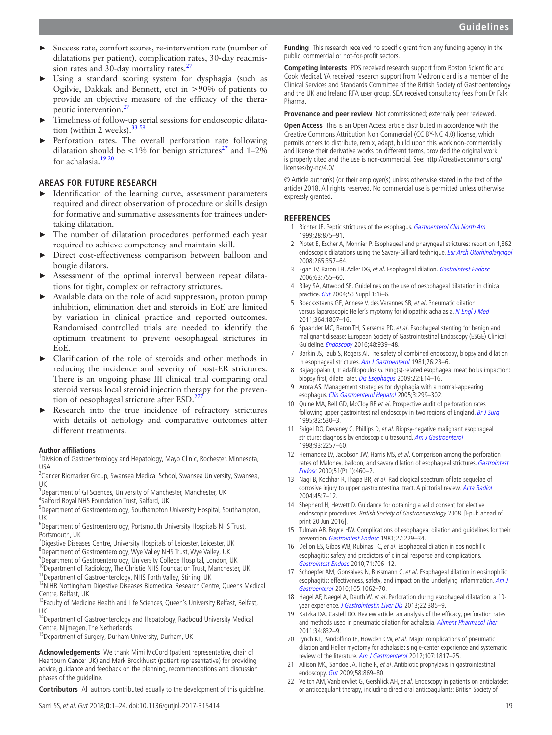- ► Success rate, comfort scores, re-intervention rate (number of dilatations per patient), complication rates, 30-day readmission rates and 30-day mortality rates. $^{27}$  $^{27}$  $^{27}$
- Using a standard scoring system for dysphagia (such as Ogilvie, Dakkak and Bennett, etc) in >90% of patients to provide an objective measure of the efficacy of the therapeutic intervention.<sup>27</sup>
- Timeliness of follow-up serial sessions for endoscopic dilatation (within 2 weeks).  $3359$  $3359$
- Perforation rates. The overall perforation rate following dilatation should be <1% for benign strictures<sup>[27](#page-19-0)</sup> and 1-2% for achalasia.[19](#page-18-15) <sup>20</sup>

## **Areas for future research**

- Identification of the learning curve, assessment parameters required and direct observation of procedure or skills design for formative and summative assessments for trainees undertaking dilatation.
- The number of dilatation procedures performed each year required to achieve competency and maintain skill.
- Direct cost-effectiveness comparison between balloon and bougie dilators.
- Assessment of the optimal interval between repeat dilatations for tight, complex or refractory strictures.
- Available data on the role of acid suppression, proton pump inhibition, elimination diet and steroids in EoE are limited by variation in clinical practice and reported outcomes. Randomised controlled trials are needed to identify the optimum treatment to prevent oesophageal strictures in EoE.
- ► Clarification of the role of steroids and other methods in reducing the incidence and severity of post-ER strictures. There is an ongoing phase III clinical trial comparing oral steroid versus local steroid injection therapy for the prevention of oesophageal stricture after  $ESD<sup>27</sup>$
- Research into the true incidence of refractory strictures with details of aetiology and comparative outcomes after different treatments.

#### **Author affiliations**

<sup>1</sup> Division of Gastroenterology and Hepatology, Mayo Clinic, Rochester, Minnesota, USA

<sup>2</sup> Cancer Biomarker Group, Swansea Medical School, Swansea University, Swansea, UK

<sup>3</sup>Department of GI Sciences, University of Manchester, Manchester, UK

4 Salford Royal NHS Foundation Trust, Salford, UK

5 Department of Gastroenterology, Southampton University Hospital, Southampton, UK

<sup>6</sup>Department of Gastroenterology, Portsmouth University Hospitals NHS Trust, Portsmouth, UK

- <sup>7</sup>Digestive Diseases Centre, University Hospitals of Leicester, Leicester, UK
- 8 Department of Gastroenterology, Wye Valley NHS Trust, Wye Valley, UK

<sup>9</sup>Department of Gastroenterology, University College Hospital, London, UK

<sup>10</sup>Department of Radiology, The Christie NHS Foundation Trust, Manchester, UK 11Department of Gastroenterology, NHS Forth Valley, Stirling, UK

<sup>12</sup>NIHR Nottingham Digestive Diseases Biomedical Research Centre, Queens Medical

Centre, Belfast, UK<br><sup>13</sup>Faculty of Medicine Health and Life Sciences, Queen's University Belfast, Belfast, UK

<sup>14</sup>Department of Gastroenterology and Hepatology, Radboud University Medical Centre, Nijmegen, The Netherlands

<sup>15</sup>Department of Surgery, Durham University, Durham, UK

**Acknowledgements** We thank Mimi McCord (patient representative, chair of Heartburn Cancer UK) and Mark Brockhurst (patient representative) for providing advice, guidance and feedback on the planning, recommendations and discussion phases of the guideline.

**Contributors** All authors contributed equally to the development of this guideline.

**Funding** This research received no specific grant from any funding agency in the public, commercial or not-for-profit sectors.

**Competing interests** PDS received research support from Boston Scientific and Cook Medical. YA received research support from Medtronic and is a member of the Clinical Services and Standards Committee of the British Society of Gastroenterology and the UK and Ireland RFA user group. SEA received consultancy fees from Dr Falk Pharma.

**Provenance and peer review** Not commissioned; externally peer reviewed.

**Open Access** This is an Open Access article distributed in accordance with the Creative Commons Attribution Non Commercial (CC BY-NC 4.0) license, which permits others to distribute, remix, adapt, build upon this work non-commercially, and license their derivative works on different terms, provided the original work is properly cited and the use is non-commercial. See: [http://creativecommons.org/](http://creativecommons.org/licenses/by-nc/4.0/) [licenses/by-nc/4.0/](http://creativecommons.org/licenses/by-nc/4.0/)

© Article author(s) (or their employer(s) unless otherwise stated in the text of the article) 2018. All rights reserved. No commercial use is permitted unless otherwise expressly granted.

## **References**

- <span id="page-18-0"></span>1 Richter JE. Peptic strictures of the esophagus. [Gastroenterol Clin North Am](http://dx.doi.org/10.1016/S0889-8553(05)70095-9) 1999;28:875–91.
- <span id="page-18-1"></span>2 Piotet E, Escher A, Monnier P. Esophageal and pharyngeal strictures: report on 1,862 endoscopic dilatations using the Savary-Gilliard technique. [Eur Arch Otorhinolaryngol](http://dx.doi.org/10.1007/s00405-007-0456-0) 2008;265:357–64.
- <span id="page-18-17"></span>3 Egan JV, Baron TH, Adler DG, et al. Esophageal dilation. [Gastrointest Endosc](http://dx.doi.org/10.1016/j.gie.2006.02.031) 2006;63:755–60.
- <span id="page-18-6"></span>4 Riley SA, Attwood SE. Guidelines on the use of oesophageal dilatation in clinical practice. [Gut](http://dx.doi.org/10.1136/gut.53.suppl_1.i1) 2004;53 Suppl 1:1i–6.
- <span id="page-18-2"></span>5 Boeckxstaens GE, Annese V, des Varannes SB, et al. Pneumatic dilation versus laparoscopic Heller's myotomy for idiopathic achalasia. [N Engl J Med](http://dx.doi.org/10.1056/NEJMoa1010502) 2011;364:1807–16.
- <span id="page-18-3"></span>6 Spaander MC, Baron TH, Siersema PD, et al. Esophageal stenting for benign and malignant disease: European Society of Gastrointestinal Endoscopy (ESGE) Clinical Guideline. **[Endoscopy](http://dx.doi.org/10.1055/s-0042-114210)** 2016;48:939-48.
- <span id="page-18-4"></span>7 Barkin JS, Taub S, Rogers AI. The safety of combined endoscopy, biopsy and dilation in esophageal strictures. [Am J Gastroenterol](http://www.ncbi.nlm.nih.gov/pubmed/7304536) 1981;76:23-6.
- <span id="page-18-5"></span>8 Rajagopalan J, Triadafilopoulos G. Ring(s)-related esophageal meat bolus impaction: biopsy first, dilate later. [Dis Esophagus](http://dx.doi.org/10.1111/j.1442-2050.2008.00894.x) 2009;22:E14-16.
- Arora AS. Management strategies for dysphagia with a normal-appearing esophagus. [Clin Gastroenterol Hepatol](http://dx.doi.org/10.1016/S1542-3565(04)00716-5) 2005;3:299–302.
- <span id="page-18-13"></span>10 Quine MA, Bell GD, McCloy RF, et al. Prospective audit of perforation rates following upper gastrointestinal endoscopy in two regions of England. [Br J Surg](http://dx.doi.org/10.1002/bjs.1800820430) 1995;82:530–3.
- <span id="page-18-7"></span>11 Faigel DO, Deveney C, Phillips D, et al. Biopsy-negative malignant esophageal stricture: diagnosis by endoscopic ultrasound. [Am J Gastroenterol](http://dx.doi.org/10.1111/j.1572-0241.1998.00629.x) 1998;93:2257–60.
- <span id="page-18-8"></span>12 Hernandez LV, Jacobson JW, Harris MS, et al. Comparison among the perforation rates of Maloney, balloon, and savary dilation of esophageal strictures. Gastrointest [Endosc](http://dx.doi.org/10.1016/S0016-5107(00)70448-2) 2000;51(Pt 1):460–2.
- <span id="page-18-9"></span>13 Nagi B, Kochhar R, Thapa BR, et al. Radiological spectrum of late sequelae of corrosive injury to upper gastrointestinal tract. A pictorial review. [Acta Radiol](http://dx.doi.org/10.1080/02841850410003329) 2004;45:7–12.
- <span id="page-18-10"></span>14 Shepherd H, Hewett D. Guidance for obtaining a valid consent for elective endoscopic procedures. British Society of Gastroenterology 2008. [Epub ahead of print 20 Jun 2016].
- <span id="page-18-11"></span>15 Tulman AB, Boyce HW. Complications of esophageal dilation and guidelines for their prevention. [Gastrointest Endosc](http://dx.doi.org/10.1016/S0016-5107(81)73230-9) 1981;27:229-34.
- <span id="page-18-12"></span>16 Dellon ES, Gibbs WB, Rubinas TC, et al. Esophageal dilation in eosinophilic esophagitis: safety and predictors of clinical response and complications. [Gastrointest Endosc](http://dx.doi.org/10.1016/j.gie.2009.10.047) 2010;71:706–12.
- <span id="page-18-20"></span>17 Schoepfer AM, Gonsalves N, Bussmann C, et al. Esophageal dilation in eosinophilic esophagitis: effectiveness, safety, and impact on the underlying inflammation. Am J [Gastroenterol](http://dx.doi.org/10.1038/ajg.2009.657) 2010;105:1062–70.
- <span id="page-18-14"></span>18 Hagel AF, Naegel A, Dauth W, et al. Perforation during esophageal dilatation: a 10 year experience. [J Gastrointestin Liver Dis](http://www.ncbi.nlm.nih.gov/pubmed/24369319) 2013;22:385–9.
- <span id="page-18-15"></span>19 Katzka DA, Castell DO. Review article: an analysis of the efficacy, perforation rates and methods used in pneumatic dilation for achalasia. [Aliment Pharmacol Ther](http://dx.doi.org/10.1111/j.1365-2036.2011.04816.x) 2011;34:832–9.
- <span id="page-18-16"></span>20 Lynch KL, Pandolfino JE, Howden CW, et al. Major complications of pneumatic dilation and Heller myotomy for achalasia: single-center experience and systematic review of the literature. [Am J Gastroenterol](http://dx.doi.org/10.1038/ajg.2012.332) 2012;107:1817-25.
- <span id="page-18-18"></span>21 Allison MC, Sandoe JA, Tighe R, et al. Antibiotic prophylaxis in gastrointestinal endoscopy. [Gut](http://dx.doi.org/10.1136/gut.2007.136580) 2009;58:869-80.
- <span id="page-18-19"></span>22 Veitch AM, Vanbiervliet G, Gershlick AH, et al. Endoscopy in patients on antiplatelet or anticoagulant therapy, including direct oral anticoagulants: British Society of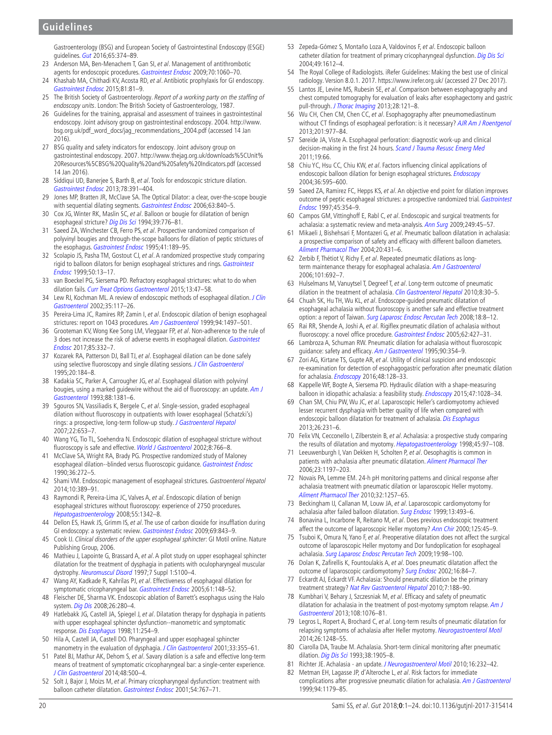Gastroenterology (BSG) and European Society of Gastrointestinal Endoscopy (ESGE) guidelines. [Gut](http://dx.doi.org/10.1136/gutjnl-2015-311110) 2016;65:374–89.

- 23 Anderson MA, Ben-Menachem T, Gan SI, et al. Management of antithrombotic agents for endoscopic procedures. [Gastrointest Endosc](http://dx.doi.org/10.1016/j.gie.2009.09.040) 2009;70:1060-70.
- 24 Khashab MA, Chithadi KV, Acosta RD, et al. Antibiotic prophylaxis for GI endoscopy. [Gastrointest Endosc](http://dx.doi.org/10.1016/j.gie.2014.08.008) 2015;81:81–9.
- <span id="page-19-1"></span>25 The British Society of Gastroenterology. Report of a working party on the staffing of endoscopy units. London: The British Society of Gastroenterology, 1987.
- 26 Guidelines for the training, appraisal and assessment of trainees in gastrointestinal endoscopy. Joint advisory group on gastrointestinal endoscopy. 2004. [http://www.](http://www.bsg.org.uk/pdf_word_docs/jag_recommendations_2004.pdf) [bsg.org.uk/pdf\\_word\\_docs/jag\\_recommendations\\_2004.pdf](http://www.bsg.org.uk/pdf_word_docs/jag_recommendations_2004.pdf) (accessed 14 Jan 2016).
- <span id="page-19-0"></span>27 BSG quality and safety indicators for endoscopy. Joint advisory group on gastrointestinal endoscopy. 2007. [http://www.thejag.org.uk/downloads%5CUnit%](http://www.thejag.org.uk/downloads%5CUnit%20Resources%5CBSG%20Quality%20and%20Safety%20Indicators.pdf) [20Resources%5CBSG%20Quality%20and%20Safety%20Indicators.pdf](http://www.thejag.org.uk/downloads%5CUnit%20Resources%5CBSG%20Quality%20and%20Safety%20Indicators.pdf) (accessed 14 Jan 2016).
- <span id="page-19-2"></span>28 Siddiqui UD, Banerjee S, Barth B, et al. Tools for endoscopic stricture dilation. [Gastrointest Endosc](http://dx.doi.org/10.1016/j.gie.2013.04.170) 2013;78:391–404.
- <span id="page-19-3"></span>29 Jones MP, Bratten JR, McClave SA. The Optical Dilator: a clear, over-the-scope bougie with sequential dilating segments. [Gastrointest Endosc](http://dx.doi.org/10.1016/j.gie.2005.08.042) 2006;63:840-5.
- <span id="page-19-4"></span>30 Cox JG, Winter RK, Maslin SC, et al. Balloon or bougie for dilatation of benign esophageal stricture? [Dig Dis Sci](http://dx.doi.org/10.1007/BF02087423) 1994;39:776-81.
- <span id="page-19-18"></span>31 Saeed ZA, Winchester CB, Ferro PS, et al. Prospective randomized comparison of polyvinyl bougies and through-the-scope balloons for dilation of peptic strictures of the esophagus. [Gastrointest Endosc](http://dx.doi.org/10.1016/S0016-5107(95)70336-5) 1995;41:189-95.
- <span id="page-19-30"></span>32 Scolapio JS, Pasha TM, Gostout CJ, et al. A randomized prospective study comparing rigid to balloon dilators for benign esophageal strictures and rings. Gastrointest [Endosc](http://dx.doi.org/10.1016/S0016-5107(99)70337-8) 1999;50:13–17.
- <span id="page-19-5"></span>33 van Boeckel PG, Siersema PD. Refractory esophageal strictures: what to do when dilation fails. [Curr Treat Options Gastroenterol](http://dx.doi.org/10.1007/s11938-014-0043-6) 2015;13:47-58.
- 34 Lew RJ, Kochman ML. A review of endoscopic methods of esophageal dilation. J Clin [Gastroenterol](http://dx.doi.org/10.1097/00004836-200208000-00001) 2002;35:117–26.
- <span id="page-19-6"></span>35 Pereira-Lima JC, Ramires RP, Zamin I, et al. Endoscopic dilation of benign esophageal strictures: report on 1043 procedures. [Am J Gastroenterol](http://dx.doi.org/10.1111/j.1572-0241.1999.01061.x) 1999;94:1497-501.
- <span id="page-19-7"></span>36 Grooteman KV, Wong Kee Song LM, Vleggaar FP, et al. Non-adherence to the rule of 3 does not increase the risk of adverse events in esophageal dilation. Gastrointest [Endosc](http://dx.doi.org/10.1016/j.gie.2016.07.062) 2017;85:332–7.
- <span id="page-19-8"></span>37 Kozarek RA, Patterson DJ, Ball TJ, et al. Esophageal dilation can be done safely using selective fluoroscopy and single dilating sessions. [J Clin Gastroenterol](http://dx.doi.org/10.1097/00004836-199504000-00003) 1995;20:184–8.
- 38 Kadakia SC, Parker A, Carrougher JG, et al. Esophageal dilation with polyvinyl bougies, using a marked guidewire without the aid of fluoroscopy: an update. Am J [Gastroenterol](http://www.ncbi.nlm.nih.gov/pubmed/8362835) 1993;88:1381–6.
- <span id="page-19-31"></span>39 Sgouros SN, Vassiliadis K, Bergele C, et al. Single-session, graded esophageal dilation without fluoroscopy in outpatients with lower esophageal (Schatzki's) rings: a prospective, long-term follow-up study. [J Gastroenterol Hepatol](http://dx.doi.org/10.1111/j.1440-1746.2006.04368.x) 2007;22:653–7.
- 40 Wang YG, Tio TL, Soehendra N. Endoscopic dilation of esophageal stricture without fluoroscopy is safe and effective. [World J Gastroenterol](http://dx.doi.org/10.3748/wjg.v8.i4.766) 2002;8:766-8.
- <span id="page-19-9"></span>McClave SA, Wright RA, Brady PG. Prospective randomized study of Maloney esophageal dilation--blinded versus fluoroscopic guidance. [Gastrointest Endosc](http://dx.doi.org/10.1016/S0016-5107(90)71022-X) 1990;36:272–5.
- <span id="page-19-10"></span>42 Shami VM. Endoscopic management of esophageal strictures. Gastroenterol Hepatol 2014;10:389–91.
- <span id="page-19-20"></span>43 Raymondi R, Pereira-Lima JC, Valves A, et al. Endoscopic dilation of benign esophageal strictures without fluoroscopy: experience of 2750 procedures. [Hepatogastroenterology](http://www.ncbi.nlm.nih.gov/pubmed/18795685) 2008;55:1342–8.
- <span id="page-19-11"></span>44 Dellon ES, Hawk JS, Grimm IS, et al. The use of carbon dioxide for insufflation during GI endoscopy: a systematic review. [Gastrointest Endosc](http://dx.doi.org/10.1016/j.gie.2008.05.067) 2009;69:843-9.
- <span id="page-19-12"></span>45 Cook IJ. Clinical disorders of the upper esophageal sphincter: GI Motil online. Nature Publishing Group, 2006.
- <span id="page-19-13"></span>46 Mathieu J, Lapointe G, Brassard A, et al. A pilot study on upper esophageal sphincter dilatation for the treatment of dysphagia in patients with oculopharyngeal muscular dystrophy. [Neuromuscul Disord](http://dx.doi.org/10.1016/S0960-8966(97)00092-8) 1997;7 Suppl 1:S100-4.
- <span id="page-19-14"></span>47 Wang AY, Kadkade R, Kahrilas PJ, et al. Effectiveness of esophageal dilation for symptomatic cricopharyngeal bar. [Gastrointest Endosc](http://dx.doi.org/10.1016/S0016-5107(04)02447-2) 2005;61:148-52.
- 48 Fleischer DE, Sharma VK. Endoscopic ablation of Barrett's esophagus using the Halo system. *[Dig Dis](http://dx.doi.org/10.1159/000177009)* 2008;26:280-4.
- 49 Hatlebakk JG, Castell JA, Spiegel J, et al. Dilatation therapy for dysphagia in patients with upper esophageal sphincter dysfunction--manometric and symptomatic response. [Dis Esophagus](http://dx.doi.org/10.1093/dote/11.4.254) 1998;11:254–9.
- 50 Hila A, Castell JA, Castell DO. Pharyngeal and upper esophageal sphincter manometry in the evaluation of dysphagia. [J Clin Gastroenterol](http://dx.doi.org/10.1097/00004836-200111000-00003) 2001;33:355-61.
- 51 Patel BJ, Mathur AK, Dehom S, et al. Savary dilation is a safe and effective long-term means of treatment of symptomatic cricopharyngeal bar: a single-center experience. [J Clin Gastroenterol](http://dx.doi.org/10.1097/MCG.0000000000000026) 2014;48:500–4.
- 52 Solt J, Bajor J, Moizs M, et al. Primary cricopharyngeal dysfunction: treatment with balloon catheter dilatation. [Gastrointest Endosc](http://dx.doi.org/10.1067/mge.2001.118442) 2001;54:767-71.
- 53 Zepeda-Gómez S, Montaño Loza A, Valdovinos F, et al. Endoscopic balloon catheter dilation for treatment of primary cricopharyngeal dysfunction. [Dig Dis Sci](http://dx.doi.org/10.1023/B:DDAS.0000043373.20913.96) 2004;49:1612–4.
- <span id="page-19-15"></span>54 The Royal College of Radiologists. iRefer Guidelines: Making the best use of clinical radiology. Version 8.0.1. 2017.<https://www.irefer.org.uk/> (accessed 27 Dec 2017).
- 55 Lantos JE, Levine MS, Rubesin SE, et al. Comparison between esophagography and chest computed tomography for evaluation of leaks after esophagectomy and gastric pull-through. [J Thorac Imaging](http://dx.doi.org/10.1097/RTI.0b013e31826ff062) 2013;28:121-8.
- 56 Wu CH, Chen CM, Chen CC, et al. Esophagography after pneumomediastinum without CT findings of esophageal perforation: is it necessary? [AJR Am J Roentgenol](http://dx.doi.org/10.2214/AJR.12.10345) 2013;201:977–84.
- <span id="page-19-16"></span>57 Søreide JA, Viste A. Esophageal perforation: diagnostic work-up and clinical decision-making in the first 24 hours. [Scand J Trauma Resusc Emerg Med](http://dx.doi.org/10.1186/1757-7241-19-66) 2011;19:66.
- <span id="page-19-17"></span>58 Chiu YC, Hsu CC, Chiu KW, et al. Factors influencing clinical applications of endoscopic balloon dilation for benign esophageal strictures. *[Endoscopy](http://dx.doi.org/10.1055/s-2004-814520)* 2004;36:595–600.
- <span id="page-19-19"></span>59 Saeed ZA, Ramirez FC, Hepps KS, et al. An objective end point for dilation improves outcome of peptic esophageal strictures: a prospective randomized trial. Gastrointest [Endosc](http://dx.doi.org/10.1016/S0016-5107(97)70143-3) 1997;45:354–9.
- <span id="page-19-21"></span>60 Campos GM, Vittinghoff E, Rabl C, et al. Endoscopic and surgical treatments for achalasia: a systematic review and meta-analysis. [Ann Surg](http://dx.doi.org/10.1097/SLA.0b013e31818e43ab) 2009;249:45-57.
- 61 Mikaeli J, Bishehsari F, Montazeri G, et al. Pneumatic balloon dilatation in achalasia: a prospective comparison of safety and efficacy with different balloon diameters. [Aliment Pharmacol Ther](http://dx.doi.org/10.1111/j.1365-2036.2004.02080.x) 2004;20:431-6.
- <span id="page-19-22"></span>62 Zerbib F, Thétiot V, Richy F, et al. Repeated pneumatic dilations as long-term maintenance therapy for esophageal achalasia. [Am J Gastroenterol](http://dx.doi.org/10.1111/j.1572-0241.2006.00385.x) 2006;101:692–7.
- 63 Hulselmans M, Vanuytsel T, Degreef T, et al. Long-term outcome of pneumatic dilation in the treatment of achalasia. *[Clin Gastroenterol Hepatol](http://dx.doi.org/10.1016/j.cgh.2009.09.020)* 2010:8:30-5.
- <span id="page-19-23"></span>64 Chuah SK, Hu TH, Wu KL, et al. Endoscope-guided pneumatic dilatation of esophageal achalasia without fluoroscopy is another safe and effective treatment option: a report of Taiwan. [Surg Laparosc Endosc Percutan Tech](http://dx.doi.org/10.1097/SLE.0b013e31815c1ba2) 2008;18:8-12.
- Rai RR, Shende A, Joshi A, et al. Rigiflex pneumatic dilation of achalasia without fluoroscopy: a novel office procedure. [Gastrointest Endosc](http://dx.doi.org/10.1016/j.gie.2005.04.008) 2005;62:427-31.
- 66 Lambroza A, Schuman RW. Pneumatic dilation for achalasia without fluoroscopic guidance: safety and efficacy. [Am J Gastroenterol](http://dx.doi.org/10.1016/S0016-5107(05)80269-X) 1995;90:354-9
- <span id="page-19-24"></span>Zori AG, Kirtane TS, Gupte AR, et al. Utility of clinical suspicion and endoscopic re-examination for detection of esophagogastric perforation after pneumatic dilation for achalasia. [Endoscopy](http://dx.doi.org/10.1055/s-0034-1392860) 2016;48:128-33.
- <span id="page-19-25"></span>68 Kappelle WF, Bogte A, Siersema PD. Hydraulic dilation with a shape-measuring balloon in idiopathic achalasia: a feasibility study. [Endoscopy](http://dx.doi.org/10.1055/s-0034-1392481) 2015;47:1028-34.
- <span id="page-19-26"></span>69 Chan SM, Chiu PW, Wu JC, et al. Laparoscopic Heller's cardiomyotomy achieved lesser recurrent dysphagia with better quality of life when compared with endoscopic balloon dilatation for treatment of achalasia. [Dis Esophagus](http://dx.doi.org/10.1111/j.1442-2050.2012.01357.x) 2013;26:231–6.
- 70 Felix VN, Cecconello I, Zilberstein B, et al. Achalasia: a prospective study comparing the results of dilatation and myotomy. [Hepatogastroenterology](http://www.ncbi.nlm.nih.gov/pubmed/9496496) 1998;45:97-108.
- 71 Leeuwenburgh I, Van Dekken H, Scholten P, et al. Oesophagitis is common in patients with achalasia after pneumatic dilatation. [Aliment Pharmacol Ther](http://dx.doi.org/10.1111/j.1365-2036.2006.02871.x) 2006;23:1197–203.
- 72 Novais PA, Lemme EM. 24-h pH monitoring patterns and clinical response after achalasia treatment with pneumatic dilation or laparoscopic Heller myotomy. [Aliment Pharmacol Ther](http://dx.doi.org/10.1111/j.1365-2036.2010.04461.x) 2010;32:1257-65.
- <span id="page-19-27"></span>73 Beckingham IJ, Callanan M, Louw JA, et al. Laparoscopic cardiomyotomy for achalasia after failed balloon dilatation. [Surg Endosc](http://dx.doi.org/10.1007/s004649901020) 1999;13:493-6.
- 74 Bonavina L, Incarbone R, Reitano M, et al. Does previous endoscopic treatment affect the outcome of laparoscopic Heller myotomy? [Ann Chir](http://dx.doi.org/10.1016/S0001-4001(00)99113-X) 2000;125:45-9.
- 75 Tsuboi K, Omura N, Yano F, et al. Preoperative dilatation does not affect the surgical outcome of laparoscopic Heller myotomy and Dor fundoplication for esophageal achalasia. [Surg Laparosc Endosc Percutan Tech](http://dx.doi.org/10.1097/SLE.0b013e31819cb127) 2009;19:98–100.
- 76 Dolan K, Zafirellis K, Fountoulakis A, et al. Does pneumatic dilatation affect the outcome of laparoscopic cardiomyotomy? [Surg Endosc](http://dx.doi.org/10.1007/s00464-001-9024-7) 2002;16:84-7.
- 77 Eckardt AJ, Eckardt VF. Achalasia: Should pneumatic dilation be the primary treatment strategy? [Nat Rev Gastroenterol Hepatol](http://dx.doi.org/10.1038/nrgastro.2010.33) 2010;7:188-90.
- 78 Kumbhari V, Behary J, Szczesniak M, et al. Efficacy and safety of pneumatic dilatation for achalasia in the treatment of post-myotomy symptom relapse. Am J [Gastroenterol](http://dx.doi.org/10.1038/ajg.2013.32) 2013;108:1076–81.
- 79 Legros L, Ropert A, Brochard C, et al. Long-term results of pneumatic dilatation for relapsing symptoms of achalasia after Heller myotomy. [Neurogastroenterol Motil](http://dx.doi.org/10.1111/nmo.12380) 2014;26:1248–55.
- 80 Ciarolla DA, Traube M. Achalasia. Short-term clinical monitoring after pneumatic dilation. [Dig Dis Sci](http://www.ncbi.nlm.nih.gov/pubmed/8404412) 1993;38:1905-8.
- <span id="page-19-28"></span>81 Richter JE. Achalasia - an update. [J Neurogastroenterol Motil](http://dx.doi.org/10.5056/jnm.2010.16.3.232) 2010;16:232-42.
- <span id="page-19-29"></span>82 Metman EH, Lagasse JP, d'Alteroche L, et al. Risk factors for immediate complications after progressive pneumatic dilation for achalasia. [Am J Gastroenterol](http://dx.doi.org/10.1111/j.1572-0241.1999.01062.x) 1999;94:1179–85.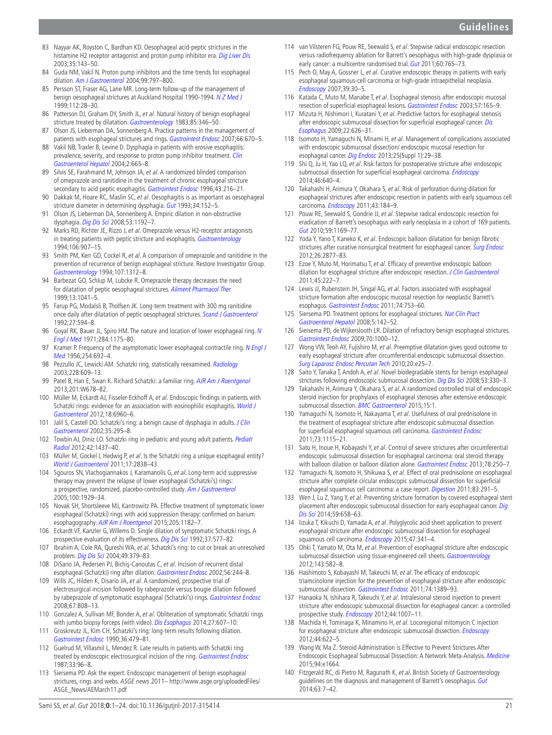- <span id="page-20-0"></span>83 Nayyar AK, Royston C, Bardhan KD. Oesophageal acid-peptic strictures in the histamine H2 receptor antagonist and proton pump inhibitor era. [Dig Liver Dis](http://dx.doi.org/10.1016/S1590-8658(03)00021-5) 2003;35:143–50.
- <span id="page-20-1"></span>84 Guda NM, Vakil N. Proton pump inhibitors and the time trends for esophageal dilation. [Am J Gastroenterol](http://dx.doi.org/10.1111/j.1572-0241.2004.04169.x) 2004;99:797–800.
- 85 Persson ST, Fraser AG, Lane MR. Long-term follow-up of the management of benign oesophageal strictures at Auckland Hospital 1990-1994. [N Z Med J](http://www.ncbi.nlm.nih.gov/pubmed/10078211) 1999;112:28–30.
- <span id="page-20-2"></span>86 Patterson DJ, Graham DY, Smith JL, et al. Natural history of benign esophageal stricture treated by dilatation. [Gastroenterology](http://www.ncbi.nlm.nih.gov/pubmed/6862159) 1983;85:346-50.
- <span id="page-20-3"></span>87 Olson JS, Lieberman DA, Sonnenberg A. Practice patterns in the management of patients with esophageal strictures and rings. [Gastrointest Endosc](http://dx.doi.org/10.1016/j.gie.2007.02.031) 2007;66:670-5.
- <span id="page-20-4"></span>88 Vakil NB, Traxler B, Levine D. Dysphagia in patients with erosive esophagitis: prevalence, severity, and response to proton pump inhibitor treatment. Clin [Gastroenterol Hepatol](http://dx.doi.org/10.1016/S1542-3565(04)00289-7) 2004;2:665–8.
- <span id="page-20-5"></span>89 Silvis SE, Farahmand M, Johnson JA, et al. A randomized blinded comparison of omeprazole and ranitidine in the treatment of chronic esophageal stricture secondary to acid peptic esophagitis. [Gastrointest Endosc](http://dx.doi.org/10.1016/S0016-5107(96)70319-X) 1996;43:216-21.
- 90 Dakkak M, Hoare RC, Maslin SC, et al. Oesophagitis is as important as oesophageal stricture diameter in determining dysphagia. [Gut](http://dx.doi.org/10.1136/gut.34.2.152) 1993;34:152-5.
- 91 Olson JS, Lieberman DA, Sonnenberg A. Empiric dilation in non-obstructive dysphagia. *[Dig Dis Sci](http://dx.doi.org/10.1007/s10620-007-0024-x)* 2008;53:1192-7.
- <span id="page-20-6"></span>92 Marks RD, Richter JE, Rizzo J, et al. Omeprazole versus H2-receptor antagonists in treating patients with peptic stricture and esophagitis. [Gastroenterology](http://dx.doi.org/10.1016/0016-5085(94)90749-8) 1994;106:907–15.
- 93 Smith PM, Kerr GD, Cockel R, et al. A comparison of omeprazole and ranitidine in the prevention of recurrence of benign esophageal stricture. Restore Investigator Group. [Gastroenterology](http://dx.doi.org/10.1016/0016-5085(94)90532-0) 1994;107:1312–8.
- 94 Barbezat GO, Schlup M, Lubcke R. Omeprazole therapy decreases the need for dilatation of peptic oesophageal strictures. [Aliment Pharmacol Ther](http://dx.doi.org/10.1046/j.1365-2036.1999.00582.x) 1999;13:1041–5.
- 95 Farup PG, Modalsli B, Tholfsen JK. Long-term treatment with 300 mg ranitidine once daily after dilatation of peptic oesophageal strictures. [Scand J Gastroenterol](http://dx.doi.org/10.3109/00365529209000124) 1992;27:594–8.
- <span id="page-20-7"></span>96 Goyal RK, Bauer JL, Spiro HM. The nature and location of lower esophageal ring. N [Engl J Med](http://dx.doi.org/10.1056/NEJM197105272842103) 1971;284:1175–80.
- <span id="page-20-8"></span>97 Kramer P. Frequency of the asymptomatic lower esophageal contractile ring. N Engl J [Med](http://dx.doi.org/10.1056/NEJM195604122541503) 1956;254:692–4.
- <span id="page-20-9"></span>98 Pezzullo JC, Lewicki AM. Schatzki ring, statistically reexamined. [Radiology](http://dx.doi.org/10.1148/radiol.2283021162) 2003;228:609–13.
- 99 Patel B, Han E, Swan K. Richard Schatzki: a familiar ring. [AJR Am J Roentgenol](http://dx.doi.org/10.2214/AJR.13.10748) 2013;201:W678–82.
- <span id="page-20-10"></span>100 Müller M, Eckardt AJ, Fisseler-Eckhoff A, et al. Endoscopic findings in patients with Schatzki rings: evidence for an association with eosinophilic esophagitis. World J [Gastroenterol](http://dx.doi.org/10.3748/wjg.v18.i47.6960) 2012;18:6960–6.
- <span id="page-20-11"></span>101 Jalil S, Castell DO. Schatzki's ring: a benign cause of dysphagia in adults. J Clin [Gastroenterol](http://www.ncbi.nlm.nih.gov/pubmed/12352291) 2002;35:295–8.
- 102 Towbin AJ, Diniz LO. Schatzki ring in pediatric and young adult patients. Pediatr [Radiol](http://dx.doi.org/10.1007/s00247-012-2482-3) 2012;42:1437–40.
- 103 Müller M, Gockel I, Hedwig P, et al. Is the Schatzki ring a unique esophageal entity? [World J Gastroenterol](http://dx.doi.org/10.3748/wjg.v17.i23.2838) 2011;17:2838–43.
- 104 Sgouros SN, Vlachogiannakos J, Karamanolis G, et al. Long-term acid suppressive therapy may prevent the relapse of lower esophageal (Schatzki's) rings: a prospective, randomized, placebo-controlled study. [Am J Gastroenterol](http://dx.doi.org/10.1111/j.1572-0241.2005.41184.x) 2005;100:1929–34.
- <span id="page-20-12"></span>105 Novak SH, Shortsleeve MJ, Kantrowitz PA. Effective treatment of symptomatic lower esophageal (Schatzki) rings with acid suppression therapy: confirmed on barium esophagography. [AJR Am J Roentgenol](http://dx.doi.org/10.2214/AJR.15.14704) 2015;205:1182-7.
- <span id="page-20-13"></span>106 Eckardt VF, Kanzler G, Willems D. Single dilation of symptomatic Schatzki rings. A prospective evaluation of its effectiveness. [Dig Dis Sci](http://www.ncbi.nlm.nih.gov/pubmed/1551348) 1992;37:577-82.
- <span id="page-20-14"></span>107 Ibrahim A, Cole RA, Qureshi WA, et al. Schatzki's ring: to cut or break an unresolved problem. [Dig Dis Sci](http://dx.doi.org/10.1023/B:DDAS.0000020489.96582.cd) 2004;49:379–83.
- <span id="page-20-15"></span>108 DiSario JA, Pedersen PJ, Bichiş-Canoutas C, et al. Incision of recurrent distal esophageal (Schatzki) ring after dilation. [Gastrointest Endosc](http://dx.doi.org/10.1016/S0016-5107(02)70185-5) 2002;56:244-8.
- <span id="page-20-17"></span>109 Wills JC, Hilden K, Disario JA, et al. A randomized, prospective trial of electrosurgical incision followed by rabeprazole versus bougie dilation followed by rabeprazole of symptomatic esophageal (Schatzki's) rings. [Gastrointest Endosc](http://dx.doi.org/10.1016/j.gie.2007.10.062) 2008;67:808–13.
- <span id="page-20-16"></span>110 Gonzalez A, Sullivan MF, Bonder A, et al. Obliteration of symptomatic Schatzki rings with jumbo biopsy forceps (with video). [Dis Esophagus](http://dx.doi.org/10.1111/dote.12167) 2014;27:607-10.
- 111 Groskreutz JL, Kim CH. Schatzki's ring: long-term results following dilation. [Gastrointest Endosc](http://dx.doi.org/10.1016/S0016-5107(90)71119-4) 1990;36:479–81.
- 112 Guelrud M, Villasmil L, Mendez R. Late results in patients with Schatzki ring treated by endoscopic electrosurgical incision of the ring. [Gastrointest Endosc](http://dx.doi.org/10.1016/S0016-5107(87)71518-1) 1987;33:96–8.
- <span id="page-20-18"></span>113 Siersema PD. Ask the expert: Endoscopic management of benign esophageal strictures, rings and webs. ASGE news 2011– [http://www.asge.org/uploadedFiles/](http://www.asge.org/uploadedFiles/ASGE_News/AEMarch11.pdf) [ASGE\\_News/AEMarch11.pdf](http://www.asge.org/uploadedFiles/ASGE_News/AEMarch11.pdf)
- <span id="page-20-19"></span>114 van Vilsteren FG, Pouw RE, Seewald S, et al. Stepwise radical endoscopic resection versus radiofrequency ablation for Barrett's oesophagus with high-grade dysplasia or early cancer: a multicentre randomised trial. [Gut](http://dx.doi.org/10.1136/gut.2010.229310) 2011;60:765-73.
- 115 Pech O, May A, Gossner L, et al. Curative endoscopic therapy in patients with early esophageal squamous-cell carcinoma or high-grade intraepithelial neoplasia. [Endoscopy](http://dx.doi.org/10.1055/s-2006-945040) 2007;39:30–5.
- 116 Katada C, Muto M, Manabe T, et al. Esophageal stenosis after endoscopic mucosal resection of superficial esophageal lesions. [Gastrointest Endosc](http://dx.doi.org/10.1067/mge.2003.73) 2003;57:165–9.
- 117 Mizuta H, Nishimori I, Kuratani Y, et al. Predictive factors for esophageal stenosis after endoscopic submucosal dissection for superficial esophageal cancer. *Dis* [Esophagus](http://dx.doi.org/10.1111/j.1442-2050.2009.00954.x) 2009;22:626–31.
- <span id="page-20-23"></span>118 Isomoto H, Yamaguchi N, Minami H, et al. Management of complications associated with endoscopic submucosal dissection/ endoscopic mucosal resection for esophageal cancer. [Dig Endosc](http://dx.doi.org/10.1111/j.1443-1661.2012.01388.x) 2013;25(Suppl 1):29-38.
- <span id="page-20-20"></span>119 Shi Q, Ju H, Yao LQ, et al. Risk factors for postoperative stricture after endoscopic submucosal dissection for superficial esophageal carcinoma. [Endoscopy](http://dx.doi.org/10.1055/s-0034-1365648) 2014;46:640–4.
- <span id="page-20-25"></span>120 Takahashi H, Arimura Y, Okahara S, et al. Risk of perforation during dilation for esophageal strictures after endoscopic resection in patients with early squamous cell carcinoma. **[Endoscopy](http://dx.doi.org/10.1055/s-0030-1256109)** 2011;43:184-9.
- <span id="page-20-21"></span>121 Pouw RE, Seewald S, Gondrie JJ, et al. Stepwise radical endoscopic resection for eradication of Barrett's oesophagus with early neoplasia in a cohort of 169 patients. [Gut](http://dx.doi.org/10.1136/gut.2010.210229) 2010;59:1169–77.
- <span id="page-20-22"></span>122 Yoda Y, Yano T, Kaneko K, et al. Endoscopic balloon dilatation for benign fibrotic strictures after curative nonsurgical treatment for esophageal cancer. [Surg Endosc](http://dx.doi.org/10.1007/s00464-012-2273-9) 2012;26:2877–83.
- <span id="page-20-24"></span>123 Ezoe Y, Muto M, Horimatsu T, et al. Efficacy of preventive endoscopic balloon dilation for esophageal stricture after endoscopic resection. [J Clin Gastroenterol](http://dx.doi.org/10.1097/MCG.0b013e3181f39f4e) 2011;45:222–7.
- 124 Lewis JJ, Rubenstein JH, Singal AG, et al. Factors associated with esophageal stricture formation after endoscopic mucosal resection for neoplastic Barrett's esophagus. [Gastrointest Endosc](http://dx.doi.org/10.1016/j.gie.2011.05.031) 2011;74:753–60.
- 125 Siersema PD. Treatment options for esophageal strictures. Nat Clin Pract [Gastroenterol Hepatol](http://dx.doi.org/10.1038/ncpgasthep1053) 2008;5:142–52.
- <span id="page-20-33"></span>126 Siersema PD, de Wijkerslooth LR. Dilation of refractory benign esophageal strictures. [Gastrointest Endosc](http://dx.doi.org/10.1016/j.gie.2009.07.004) 2009;70:1000–12.
- 127 Wong VW, Teoh AY, Fujishiro M, et al. Preemptive dilatation gives good outcome to early esophageal stricture after circumferential endoscopic submucosal dissection. [Surg Laparosc Endosc Percutan Tech](http://dx.doi.org/10.1097/SLE.0b013e3181c922a7) 2010;20:e25–7.
- 128 Saito Y, Tanaka T, Andoh A, et al. Novel biodegradable stents for benign esophageal strictures following endoscopic submucosal dissection. [Dig Dis Sci](http://dx.doi.org/10.1007/s10620-007-9873-6) 2008;53:330-3.
- <span id="page-20-26"></span>129 Takahashi H, Arimura Y, Okahara S, et al. A randomized controlled trial of endoscopic steroid injection for prophylaxis of esophageal stenoses after extensive endoscopic submucosal dissection. **[BMC Gastroenterol](http://dx.doi.org/10.1186/s12876-014-0226-6)** 2015;15:1.
- <span id="page-20-27"></span>130 Yamaguchi N, Isomoto H, Nakayama T, et al. Usefulness of oral prednisolone in the treatment of esophageal stricture after endoscopic submucosal dissection for superficial esophageal squamous cell carcinoma. [Gastrointest Endosc](http://dx.doi.org/10.1016/j.gie.2011.02.005) 2011;73:1115–21.
- <span id="page-20-28"></span>131 Sato H, Inoue H, Kobayashi Y, et al. Control of severe strictures after circumferential endoscopic submucosal dissection for esophageal carcinoma: oral steroid therapy with balloon dilation or balloon dilation alone. [Gastrointest Endosc](http://dx.doi.org/10.1016/j.gie.2013.01.008) 2013;78:250-7.
- 132 Yamaguchi N, Isomoto H, Shikuwa S, et al. Effect of oral prednisolone on esophageal stricture after complete circular endoscopic submucosal dissection for superficial esophageal squamous cell carcinoma: a case report. [Digestion](http://dx.doi.org/10.1159/000321093) 2011;83:291-5.
- <span id="page-20-29"></span>133 Wen J, Lu Z, Yang Y, et al. Preventing stricture formation by covered esophageal stent placement after endoscopic submucosal dissection for early esophageal cancer. Dig [Dis Sci](http://dx.doi.org/10.1007/s10620-013-2958-5) 2014;59:658–63.
- <span id="page-20-30"></span>134 Iizuka T, Kikuchi D, Yamada A, et al. Polyglycolic acid sheet application to prevent esophageal stricture after endoscopic submucosal dissection for esophageal squamous cell carcinoma. [Endoscopy](http://dx.doi.org/10.1055/s-0034-1390770) 2015;47:341-4.
- <span id="page-20-31"></span>135 Ohki T, Yamato M, Ota M, et al. Prevention of esophageal stricture after endoscopic submucosal dissection using tissue-engineered cell sheets. [Gastroenterology](http://dx.doi.org/10.1053/j.gastro.2012.04.050) 2012;143:582–8.
- 136 Hashimoto S, Kobayashi M, Takeuchi M, et al. The efficacy of endoscopic triamcinolone injection for the prevention of esophageal stricture after endoscopic submucosal dissection. [Gastrointest Endosc](http://dx.doi.org/10.1016/j.gie.2011.07.070) 2011;74:1389-93.
- 137 Hanaoka N, Ishihara R, Takeuchi Y, et al. Intralesional steroid injection to prevent stricture after endoscopic submucosal dissection for esophageal cancer: a controlled prospective study. [Endoscopy](http://dx.doi.org/10.1055/s-0032-1310107) 2012;44:1007-11.
- 138 Machida H, Tominaga K, Minamino H, et al. Locoregional mitomycin C injection for esophageal stricture after endoscopic submucosal dissection. [Endoscopy](http://dx.doi.org/10.1055/s-0032-1306775) 2012;44:622–5.
- 139 Wang W, Ma Z. Steroid Administration is Effective to Prevent Strictures After Endoscopic Esophageal Submucosal Dissection: A Network Meta-Analysis. [Medicine](http://dx.doi.org/10.1097/MD.0000000000001664) 2015;94:e1664.
- <span id="page-20-32"></span>140 Fitzgerald RC, di Pietro M, Ragunath K, et al. British Society of Gastroenterology guidelines on the diagnosis and management of Barrett's oesophagus. [Gut](http://dx.doi.org/10.1136/gutjnl-2013-305372) 2014;63:7–42.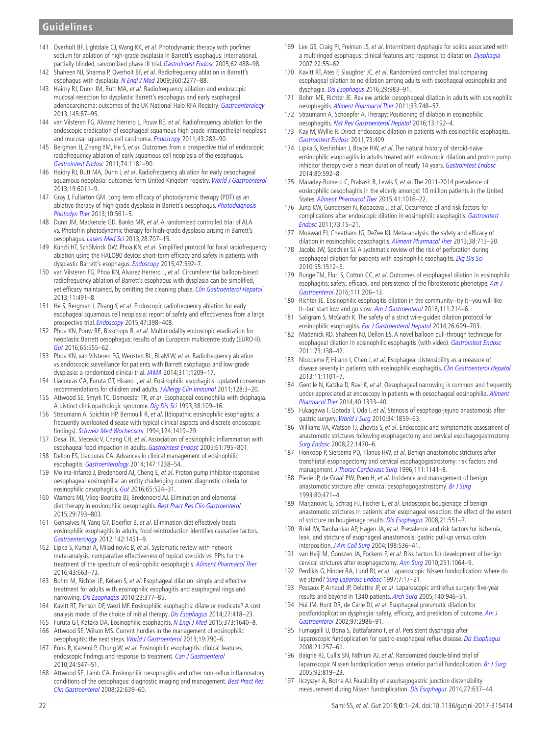- <span id="page-21-0"></span>141 Overholt BF, Lightdale CJ, Wang KK, et al. Photodynamic therapy with porfimer sodium for ablation of high-grade dysplasia in Barrett's esophagus: international, partially blinded, randomized phase III trial. [Gastrointest Endosc](http://dx.doi.org/10.1016/j.gie.2005.06.047) 2005;62:488-98.
- <span id="page-21-1"></span>142 Shaheen NJ, Sharma P, Overholt BF, et al. Radiofrequency ablation in Barrett's esophagus with dysplasia. [N Engl J Med](http://dx.doi.org/10.1056/NEJMoa0808145) 2009;360:2277-88.
- <span id="page-21-2"></span>143 Haidry RJ, Dunn JM, Butt MA, et al. Radiofrequency ablation and endoscopic mucosal resection for dysplastic Barrett's esophagus and early esophageal adenocarcinoma: outcomes of the UK National Halo RFA Registry. [Gastroenterology](http://dx.doi.org/10.1053/j.gastro.2013.03.045) 2013;145:87–95.
- <span id="page-21-3"></span>144 van Vilsteren FG, Alvarez Herrero L, Pouw RE, et al. Radiofrequency ablation for the endoscopic eradication of esophageal squamous high grade intraepithelial neoplasia and mucosal squamous cell carcinoma. [Endoscopy](http://dx.doi.org/10.1055/s-0030-1256309) 2011;43:282–90.
- <span id="page-21-4"></span>145 Bergman JJ, Zhang YM, He S, et al. Outcomes from a prospective trial of endoscopic radiofrequency ablation of early squamous cell neoplasia of the esophagus. [Gastrointest Endosc](http://dx.doi.org/10.1016/j.gie.2011.05.024) 2011;74:1181–90.
- <span id="page-21-5"></span>146 Haidry RJ, Butt MA, Dunn J, et al. Radiofrequency ablation for early oesophageal squamous neoplasia: outcomes form United Kingdom registry. [World J Gastroenterol](http://dx.doi.org/10.3748/wjg.v19.i36.6011) 2013;19:6011–9.
- 147 Gray J, Fullarton GM. Long term efficacy of photodynamic therapy (PDT) as an ablative therapy of high grade dysplasia in Barrett's oesophagus. *Photodiagnosis* [Photodyn Ther](http://dx.doi.org/10.1016/j.pdpdt.2013.06.002) 2013;10:561–5.
- 148 Dunn JM, Mackenzie GD, Banks MR, et al. A randomised controlled trial of ALA vs. Photofrin photodynamic therapy for high-grade dysplasia arising in Barrett's oesophagus. [Lasers Med Sci](http://dx.doi.org/10.1007/s10103-012-1132-1) 2013;28:707-15.
- <span id="page-21-6"></span>149 Künzli HT, Schölvinck DW, Phoa KN, et al. Simplified protocol for focal radiofrequency ablation using the HALO90 device: short-term efficacy and safety in patients with dysplastic Barrett's esophagus. [Endoscopy](http://dx.doi.org/10.1055/s-0034-1391436) 2015;47:592-7.
- 150 van Vilsteren FG, Phoa KN, Alvarez Herrero L, et al. Circumferential balloon-based radiofrequency ablation of Barrett's esophagus with dysplasia can be simplified, yet efficacy maintained, by omitting the cleaning phase. [Clin Gastroenterol Hepatol](http://dx.doi.org/10.1016/j.cgh.2012.12.005) 2013;11:491–8.
- 151 He S, Bergman J, Zhang Y, et al. Endoscopic radiofrequency ablation for early esophageal squamous cell neoplasia: report of safety and effectiveness from a large prospective trial. [Endoscopy](http://dx.doi.org/10.1055/s-0034-1391285) 2015;47:398-408.
- 152 Phoa KN, Pouw RE, Bisschops R, et al. Multimodality endoscopic eradication for neoplastic Barrett oesophagus: results of an European multicentre study (EURO-II). [Gut](http://dx.doi.org/10.1136/gutjnl-2015-309298) 2016;65:555–62.
- 153 Phoa KN, van Vilsteren FG, Weusten BL, BLaM W, et al. Radiofrequency ablation vs endoscopic surveillance for patients with Barrett esophagus and low-grade dysplasia: a randomized clinical trial. [JAMA](http://dx.doi.org/10.1001/jama.2014.2511) 2014;311:1209–17.
- <span id="page-21-7"></span>154 Liacouras CA, Furuta GT, Hirano I, et al. Eosinophilic esophagitis: updated consensus recommendations for children and adults. [J Allergy Clin Immunol](http://dx.doi.org/10.1016/j.jaci.2011.02.040) 2011;128:3–20.
- <span id="page-21-8"></span>155 Attwood SE, Smyrk TC, Demeester TR, et al. Esophageal eosinophilia with dysphagia. A distinct clinicopathologic syndrome. [Dig Dis Sci](http://www.ncbi.nlm.nih.gov/pubmed/8420741) 1993;38:109–16.
- 156 Straumann A, Spichtin HP, Bernoulli R, et al. [Idiopathic eosinophilic esophagitis: a frequently overlooked disease with typical clinical aspects and discrete endoscopic findings]. [Schweiz Med Wochenschr](http://www.ncbi.nlm.nih.gov/pubmed/7939509) 1994;124:1419–29.
- <span id="page-21-9"></span>157 Desai TK, Stecevic V, Chang CH, et al. Association of eosinophilic inflammation with esophageal food impaction in adults. [Gastrointest Endosc](http://dx.doi.org/10.1016/S0016-5107(05)00313-5) 2005;61:795-801.
- <span id="page-21-10"></span>158 Dellon ES, Liacouras CA. Advances in clinical management of eosinophilic esophagitis. [Gastroenterology](http://dx.doi.org/10.1053/j.gastro.2014.07.055) 2014;147:1238–54.
- <span id="page-21-11"></span>159 Molina-Infante J, Bredenoord AJ, Cheng E, et al. Proton pump inhibitor-responsive oesophageal eosinophilia: an entity challenging current diagnostic criteria for eosinophilic oesophagitis. [Gut](http://dx.doi.org/10.1136/gutjnl-2015-310991) 2016;65:524-31.
- <span id="page-21-12"></span>160 Warners MJ, Vlieg-Boerstra BJ, Bredenoord AJ. Elimination and elemental diet therapy in eosinophilic oesophagitis. [Best Pract Res Clin Gastroenterol](http://dx.doi.org/10.1016/j.bpg.2015.06.013) 2015;29:793–803.
- 161 Gonsalves N, Yang GY, Doerfler B, et al. Elimination diet effectively treats eosinophilic esophagitis in adults; food reintroduction identifies causative factors. [Gastroenterology](http://dx.doi.org/10.1053/j.gastro.2012.03.001) 2012;142:1451–9.
- <span id="page-21-13"></span>162 Lipka S, Kumar A, Miladinovic B, et al. Systematic review with network meta-analysis: comparative effectiveness of topical steroids vs. PPIs for the treatment of the spectrum of eosinophilic oesophagitis. [Aliment Pharmacol Ther](http://dx.doi.org/10.1111/apt.13537) 2016;43:663–73.
- <span id="page-21-14"></span>163 Bohm M, Richter JE, Kelsen S, et al. Esophageal dilation: simple and effective treatment for adults with eosinophilic esophagitis and esophageal rings and narrowing. [Dis Esophagus](http://dx.doi.org/10.1111/j.1442-2050.2010.01051.x) 2010;23:377–85.
- <span id="page-21-15"></span>164 Kavitt RT, Penson DF, Vaezi MF. Eosinophilic esophagitis: dilate or medicate? A cost analysis model of the choice of initial therapy. [Dis Esophagus](http://dx.doi.org/10.1111/j.1442-2050.2012.01409.x) 2014;27:418–23.
- <span id="page-21-21"></span>165 Furuta GT, Katzka DA. Eosinophilic esophagitis. [N Engl J Med](http://dx.doi.org/10.1056/NEJMra1502863) 2015;373:1640-8. 166 Attwood SE, Wilson MS. Current hurdles in the management of eosinophilic
- <span id="page-21-19"></span>oesophagitis: the next steps. [World J Gastroenterol](http://dx.doi.org/10.3748/wjg.v19.i6.790) 2013;19:790-6. 167 Enns R, Kazemi P, Chung W, et al. Eosinophilic esophagitis: clinical features, endoscopic findings and response to treatment. [Can J Gastroenterol](http://dx.doi.org/10.1155/2010/341925) 2010;24:547–51.
- 168 Attwood SE, Lamb CA. Eosinophilic oesophagitis and other non-reflux inflammatory conditions of the oesophagus: diagnostic imaging and management. Best Pract Res [Clin Gastroenterol](http://dx.doi.org/10.1016/j.bpg.2007.12.003) 2008;22:639–60.
- <span id="page-21-17"></span>169 Lee GS, Craig PI, Freiman JS, et al. Intermittent dysphagia for solids associated with a multiringed esophagus: clinical features and response to dilatation. [Dysphagia](http://dx.doi.org/10.1007/s00455-006-9043-6) 2007;22:55–62.
- <span id="page-21-16"></span>170 Kavitt RT, Ates F, Slaughter JC, et al. Randomized controlled trial comparing esophageal dilation to no dilation among adults with esophageal eosinophilia and dysphagia. [Dis Esophagus](http://dx.doi.org/10.1111/dote.12398) 2016;29:983-91.
- 171 Bohm ME, Richter JE. Review article: oesophageal dilation in adults with eosinophilic oesophagitis. [Aliment Pharmacol Ther](http://dx.doi.org/10.1111/j.1365-2036.2011.04593.x) 2011;33:748–57.
- 172 Straumann A, Schoepfer A. Therapy: Positioning of dilation in eosinophilic oesophagitis. [Nat Rev Gastroenterol Hepatol](http://dx.doi.org/10.1038/nrgastro.2016.38) 2016;13:192–4.
- 173 Kay M, Wyllie R. Direct endoscopic dilation in patients with eosinophilic esophagitis. [Gastrointest Endosc](http://dx.doi.org/10.1016/j.gie.2010.06.002) 2011;73:409.
- <span id="page-21-20"></span>174 Lipka S, Keshishian J, Boyce HW, et al. The natural history of steroid-naïve eosinophilic esophagitis in adults treated with endoscopic dilation and proton pump inhibitor therapy over a mean duration of nearly 14 years. [Gastrointest Endosc](http://dx.doi.org/10.1016/j.gie.2014.02.012) 2014;80:592–8.
- 175 Maradey-Romero C, Prakash R, Lewis S, et al. The 2011-2014 prevalence of eosinophilic oesophagitis in the elderly amongst 10 million patients in the United States. [Aliment Pharmacol Ther](http://dx.doi.org/10.1111/apt.13171) 2015;41:1016–22.
- 176 Jung KW, Gundersen N, Kopacova J, et al. Occurrence of and risk factors for complications after endoscopic dilation in eosinophilic esophagitis. [Gastrointest](http://dx.doi.org/10.1016/j.gie.2010.09.036)  [Endosc](http://dx.doi.org/10.1016/j.gie.2010.09.036) 2011;73:15–21.
- 177 Moawad FJ, Cheatham JG, DeZee KJ. Meta-analysis: the safety and efficacy of dilation in eosinophilic oesophagitis. [Aliment Pharmacol Ther](http://dx.doi.org/10.1111/apt.12438) 2013;38:713-20.
- 178 Jacobs JW, Spechler SJ. A systematic review of the risk of perforation during esophageal dilation for patients with eosinophilic esophagitis. [Dig Dis Sci](http://dx.doi.org/10.1007/s10620-010-1165-x) 2010;55:1512–5.
- 179 Runge TM, Eluri S, Cotton CC, et al. Outcomes of esophageal dilation in eosinophilic esophagitis: safety, efficacy, and persistence of the fibrostenotic phenotype. Am J [Gastroenterol](http://dx.doi.org/10.1038/ajg.2015.399) 2016;111:206–13.
- <span id="page-21-18"></span>180 Richter JE. Eosinophilic esophagitis dilation in the community--try it--you will like It--but start low and go slow. [Am J Gastroenterol](http://dx.doi.org/10.1038/ajg.2015.433) 2016:111:214-6.
- 181 Saligram S, McGrath K. The safety of a strict wire-guided dilation protocol for eosinophilic esophagitis. [Eur J Gastroenterol Hepatol](http://dx.doi.org/10.1097/MEG.0000000000000103) 2014;26:699-703.
- <span id="page-21-23"></span>182 Madanick RD, Shaheen NJ, Dellon ES. A novel balloon pull-through technique for esophageal dilation in eosinophilic esophagitis (with video). [Gastrointest Endosc](http://dx.doi.org/10.1016/j.gie.2010.09.034) 2011;73:138–42.
- 183 Nicodème F, Hirano I, Chen J, et al. Esophageal distensibility as a measure of disease severity in patients with eosinophilic esophagitis. [Clin Gastroenterol Hepatol](http://dx.doi.org/10.1016/j.cgh.2013.03.020) 2013;11:1101–7.
- <span id="page-21-22"></span>184 Gentile N, Katzka D, Ravi K, et al. Oesophageal narrowing is common and frequently under-appreciated at endoscopy in patients with oesophageal eosinophilia. Aliment [Pharmacol Ther](http://dx.doi.org/10.1111/apt.12977) 2014;40:1333–40.
- <span id="page-21-24"></span>185 Fukagawa T, Gotoda T, Oda I, et al. Stenosis of esophago-jejuno anastomosis after gastric surgery. [World J Surg](http://dx.doi.org/10.1007/s00268-010-0609-y) 2010;34:1859–63.
- <span id="page-21-25"></span>186 Williams VA, Watson TJ, Zhovtis S, et al. Endoscopic and symptomatic assessment of anastomotic strictures following esophagectomy and cervical esophagogastrostomy. [Surg Endosc](http://dx.doi.org/10.1007/s00464-007-9653-6) 2008;22:1470–6.
- <span id="page-21-26"></span>187 Honkoop P, Siersema PD, Tilanus HW, et al. Benign anastomotic strictures after transhiatal esophagectomy and cervical esophagogastrostomy: risk factors and management. [J Thorac Cardiovasc Surg](http://dx.doi.org/10.1016/S0022-5223(96)70215-5) 1996;111:1141-8.
- <span id="page-21-31"></span>188 Pierie JP, de Graaf PW, Poen H, et al. Incidence and management of benign anastomotic stricture after cervical oesophagogastrostomy. [Br J Surg](http://dx.doi.org/10.1002/bjs.1800800422) 1993;80:471–4.
- <span id="page-21-32"></span>189 Marjanovic G, Schrag HJ, Fischer E, et al. Endoscopic bougienage of benign anastomotic strictures in patients after esophageal resection: the effect of the extent of stricture on bougienage results. [Dis Esophagus](http://dx.doi.org/10.1111/j.1442-2050.2008.00819.x) 2008;21:551-7.
- 190 Briel JW, Tamhankar AP, Hagen JA, et al. Prevalence and risk factors for ischemia, leak, and stricture of esophageal anastomosis: gastric pull-up versus colon interposition. [J Am Coll Surg](http://dx.doi.org/10.1016/j.jamcollsurg.2003.11.026) 2004;198:536-41.
- 191 van Heijl M, Gooszen JA, Fockens P, et al. Risk factors for development of benign cervical strictures after esophagectomy. [Ann Surg](http://dx.doi.org/10.1097/SLA.0b013e3181deb4b7) 2010;251:1064-9
- <span id="page-21-27"></span>192 Perdikis G, Hinder RA, Lund RJ, et al. Laparoscopic Nissen fundoplication: where do we stand? [Surg Laparosc Endosc](http://dx.doi.org/10.1097/00019509-199702000-00005) 1997;7:17-21.
- 193 Pessaux P, Arnaud JP, Delattre JF, et al. Laparoscopic antireflux surgery: five-year results and beyond in 1340 patients. [Arch Surg](http://dx.doi.org/10.1001/archsurg.140.10.946) 2005;140:946-51.
- <span id="page-21-28"></span>194 Hui JM, Hunt DR, de Carle DJ, et al. Esophageal pneumatic dilation for postfundoplication dysphagia: safety, efficacy, and predictors of outcome. Am J [Gastroenterol](http://dx.doi.org/10.1111/j.1572-0241.2002.07115.x) 2002;97:2986–91.
- <span id="page-21-29"></span>195 Fumagalli U, Bona S, Battafarano F, et al. Persistent dysphagia after laparoscopic fundoplication for gastro-esophageal reflux disease. [Dis Esophagus](http://dx.doi.org/10.1111/j.1442-2050.2007.00773.x) 2008;21:257–61.
- 196 Baigrie RJ, Cullis SN, Ndhluni AJ, et al. Randomized double-blind trial of laparoscopic Nissen fundoplication versus anterior partial fundoplication. [Br J Surg](http://dx.doi.org/10.1002/bjs.4803) 2005;92:819–23.
- <span id="page-21-30"></span>197 Ilczyszyn A, Botha AJ. Feasibility of esophagogastric junction distensibility measurement during Nissen fundoplication. [Dis Esophagus](http://dx.doi.org/10.1111/dote.12130) 2014;27:637-44.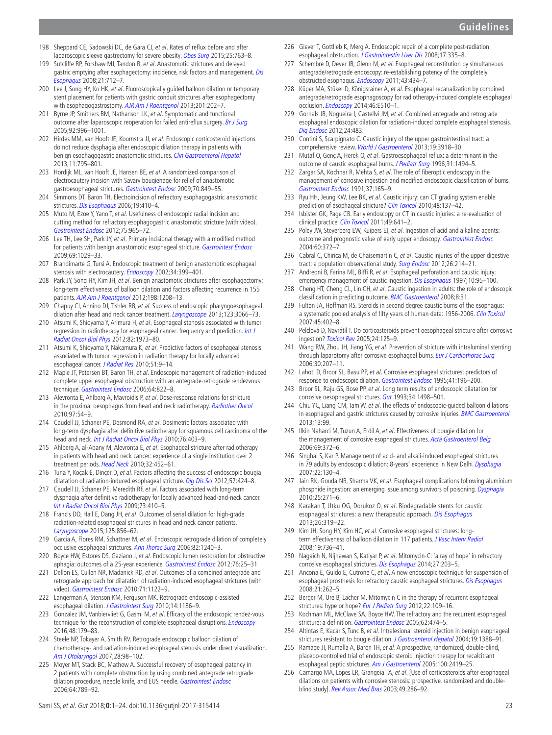- <span id="page-22-0"></span>198 Sheppard CE, Sadowski DC, de Gara CJ, et al. Rates of reflux before and after laparoscopic sleeve gastrectomy for severe obesity. [Obes Surg](http://dx.doi.org/10.1007/s11695-014-1480-y) 2015;25:763-8.
- <span id="page-22-2"></span>199 Sutcliffe RP, Forshaw MJ, Tandon R, et al. Anastomotic strictures and delayed gastric emptying after esophagectomy: incidence, risk factors and management. Dis [Esophagus](http://dx.doi.org/10.1111/j.1442-2050.2008.00865.x) 2008;21:712–7.
- <span id="page-22-1"></span>200 Lee J, Song HY, Ko HK, et al. Fluoroscopically guided balloon dilation or temporary stent placement for patients with gastric conduit strictures after esophagectomy with esophagogastrostomy. [AJR Am J Roentgenol](http://dx.doi.org/10.2214/AJR.12.9420) 2013;201:202-7.
- <span id="page-22-3"></span>201 Byrne JP, Smithers BM, Nathanson LK, et al. Symptomatic and functional outcome after laparoscopic reoperation for failed antireflux surgery. [Br J Surg](http://dx.doi.org/10.1002/bjs.4914) 2005;92:996–1001.
- <span id="page-22-4"></span>202 Hirdes MM, van Hooft JE, Koornstra JJ, et al. Endoscopic corticosteroid injections do not reduce dysphagia after endoscopic dilation therapy in patients with benign esophagogastric anastomotic strictures. [Clin Gastroenterol Hepatol](http://dx.doi.org/10.1016/j.cgh.2013.01.016) 2013;11:795–801.
- <span id="page-22-5"></span>203 Hordijk ML, van Hooft JE, Hansen BE, et al. A randomized comparison of electrocautery incision with Savary bougienage for relief of anastomotic gastroesophageal strictures. [Gastrointest Endosc](http://dx.doi.org/10.1016/j.gie.2009.02.023) 2009;70:849–55.
- 204 Simmons DT, Baron TH. Electroincision of refractory esophagogastric anastomotic strictures. [Dis Esophagus](http://dx.doi.org/10.1111/j.1442-2050.2006.00605.x) 2006;19:410-4.
- <span id="page-22-6"></span>205 Muto M, Ezoe Y, Yano T, et al. Usefulness of endoscopic radial incision and cutting method for refractory esophagogastric anastomotic stricture (with video). [Gastrointest Endosc](http://dx.doi.org/10.1016/j.gie.2012.01.012) 2012;75:965–72.
- 206 Lee TH, Lee SH, Park JY, et al. Primary incisional therapy with a modified method for patients with benign anastomotic esophageal stricture. [Gastrointest Endosc](http://dx.doi.org/10.1016/j.gie.2008.07.018) 2009;69:1029–33.
- 207 Brandimarte G, Tursi A. Endoscopic treatment of benign anastomotic esophageal stenosis with electrocautery. [Endoscopy](http://dx.doi.org/10.1055/s-2002-25293) 2002;34:399-401.
- 208 Park JY, Song HY, Kim JH, et al. Benign anastomotic strictures after esophagectomy: long-term effectiveness of balloon dilation and factors affecting recurrence in 155 patients. [AJR Am J Roentgenol](http://dx.doi.org/10.2214/AJR.11.7608) 2012;198:1208–13.
- <span id="page-22-7"></span>209 Chapuy CI, Annino DJ, Tishler RB, et al. Success of endoscopic pharyngoesophageal dilation after head and neck cancer treatment. [Laryngoscope](http://dx.doi.org/10.1002/lary.24268) 2013;123:3066-73.
- 210 Atsumi K, Shioyama Y, Arimura H, et al. Esophageal stenosis associated with tumor regression in radiotherapy for esophageal cancer: frequency and prediction. *Int J* [Radiat Oncol Biol Phys](http://dx.doi.org/10.1016/j.ijrobp.2011.01.047) 2012;82:1973–80.
- 211 Atsumi K, Shioyama Y, Nakamura K, et al. Predictive factors of esophageal stenosis associated with tumor regression in radiation therapy for locally advanced esophageal cancer. [J Radiat Res](http://dx.doi.org/10.1269/jrr.09073) 2010;51:9-14.
- <span id="page-22-8"></span>212 Maple JT, Petersen BT, Baron TH, et al. Endoscopic management of radiation-induced complete upper esophageal obstruction with an antegrade-retrograde rendezvous technique. [Gastrointest Endosc](http://dx.doi.org/10.1016/j.gie.2006.06.026) 2006;64:822–8.
- 213 Alevronta E, Ahlberg A, Mavroidis P, et al. Dose-response relations for stricture in the proximal oesophagus from head and neck radiotherapy. [Radiother Oncol](http://dx.doi.org/10.1016/j.radonc.2010.04.021) 2010;97:54–9.
- 214 Caudell JJ, Schaner PE, Desmond RA, et al. Dosimetric factors associated with long-term dysphagia after definitive radiotherapy for squamous cell carcinoma of the head and neck. [Int J Radiat Oncol Biol Phys](http://dx.doi.org/10.1016/j.ijrobp.2009.02.017) 2010;76:403–9.
- 215 Ahlberg A, al-Abany M, Alevronta E, et al. Esophageal stricture after radiotherapy in patients with head and neck cancer: experience of a single institution over 2 treatment periods. [Head Neck](http://dx.doi.org/10.1002/hed.21201) 2010;32:452-61.
- 216 Tuna Y, Koçak E, Dinçer D, et al. Factors affecting the success of endoscopic bougia dilatation of radiation-induced esophageal stricture. [Dig Dis Sci](http://dx.doi.org/10.1007/s10620-011-1875-8) 2012;57:424-8.
- <span id="page-22-9"></span>217 Caudell JJ, Schaner PE, Meredith RF, et al. Factors associated with long-term dysphagia after definitive radiotherapy for locally advanced head-and-neck cancer. [Int J Radiat Oncol Biol Phys](http://dx.doi.org/10.1016/j.ijrobp.2008.04.048) 2009;73:410–5.
- <span id="page-22-10"></span>218 Francis DO, Hall E, Dang JH, et al. Outcomes of serial dilation for high-grade radiation-related esophageal strictures in head and neck cancer patients. [Laryngoscope](http://dx.doi.org/10.1002/lary.24987) 2015;125:856–62.
- <span id="page-22-13"></span>219 Garcia A, Flores RM, Schattner M, et al. Endoscopic retrograde dilation of completely occlusive esophageal strictures. [Ann Thorac Surg](http://dx.doi.org/10.1016/j.athoracsur.2006.05.040) 2006;82:1240-3.
- 220 Boyce HW, Estores DS, Gaziano J, et al. Endoscopic lumen restoration for obstructive aphagia: outcomes of a 25-year experience. [Gastrointest Endosc](http://dx.doi.org/10.1016/j.gie.2012.02.037) 2012;76:25-31.
- 221 Dellon ES, Cullen NR, Madanick RD, et al. Outcomes of a combined antegrade and retrograde approach for dilatation of radiation-induced esophageal strictures (with video). [Gastrointest Endosc](http://dx.doi.org/10.1016/j.gie.2009.12.057) 2010;71:1122-9.
- 222 Langerman A, Stenson KM, Ferguson MK. Retrograde endoscopic-assisted esophageal dilation. [J Gastrointest Surg](http://dx.doi.org/10.1007/s11605-010-1205-z) 2010;14:1186-9.
- <span id="page-22-11"></span>223 Gonzalez JM, Vanbiervliet G, Gasmi M, et al. Efficacy of the endoscopic rendez-vous technique for the reconstruction of complete esophageal disruptions. [Endoscopy](http://dx.doi.org/10.1055/s-0034-1393129) 2016;48:179–83.
- <span id="page-22-14"></span>224 Steele NP, Tokayer A, Smith RV. Retrograde endoscopic balloon dilation of chemotherapy- and radiation-induced esophageal stenosis under direct visualization. [Am J Otolaryngol](http://dx.doi.org/10.1016/j.amjoto.2006.07.003) 2007;28:98–102.
- <span id="page-22-12"></span>225 Moyer MT, Stack BC, Mathew A. Successful recovery of esophageal patency in 2 patients with complete obstruction by using combined antegrade retrograde dilation procedure, needle knife, and EUS needle. [Gastrointest Endosc](http://dx.doi.org/10.1016/j.gie.2006.06.081) 2006;64:789–92.
- 226 Giever T, Gottlieb K, Merg A. Endoscopic repair of a complete post-radiation esophageal obstruction. [J Gastrointestin Liver Dis](http://www.ncbi.nlm.nih.gov/pubmed/18836631) 2008;17:335–8.
- 227 Schembre D, Dever JB, Glenn M, et al. Esophageal reconstitution by simultaneous antegrade/retrograde endoscopy: re-establishing patency of the completely obstructed esophagus. [Endoscopy](http://dx.doi.org/10.1055/s-0030-1256075) 2011;43:434–7.
- 228 Küper MA, Stüker D, Königsrainer A, et al. Esophageal recanalization by combined antegrade/retrograde esophagoscopy for radiotherapy-induced complete esophageal occlusion. **[Endoscopy](http://dx.doi.org/10.1055/s-0034-1365786)** 2014;46:E510-1.
- 229 Gornals JB, Nogueira J, Castellyi JM, et al. Combined antegrade and retrograde esophageal endoscopic dilation for radiation-induced complete esophageal stenosis. [Dig Endosc](http://dx.doi.org/10.1111/j.1443-1661.2012.01342.x) 2012;24:483.
- <span id="page-22-15"></span>230 Contini S, Scarpignato C. Caustic injury of the upper gastrointestinal tract: a comprehensive review. [World J Gastroenterol](http://dx.doi.org/10.3748/wjg.v19.i25.3918) 2013;19:3918–30.
- 231 Mutaf O, Genç A, Herek O, et al. Gastroesophageal reflux: a determinant in the outcome of caustic esophageal burns. [J Pediatr Surg](http://dx.doi.org/10.1016/S0022-3468(96)90163-3) 1996;31:1494-5.
- <span id="page-22-16"></span>232 Zargar SA, Kochhar R, Mehta S, et al. The role of fiberoptic endoscopy in the management of corrosive ingestion and modified endoscopic classification of burns. [Gastrointest Endosc](http://dx.doi.org/10.1016/S0016-5107(91)70678-0) 1991;37:165–9.
- <span id="page-22-17"></span>233 Ryu HH, Jeung KW, Lee BK, et al. Caustic injury: can CT grading system enable prediction of esophageal stricture? [Clin Toxicol](http://dx.doi.org/10.3109/15563650903585929) 2010;48:137-42.
- 234 Isbister GK, Page CB. Early endoscopy or CT in caustic injuries: a re-evaluation of clinical practice. [Clin Toxicol](http://dx.doi.org/10.3109/15563650.2011.604035) 2011;49:641-2.
- <span id="page-22-18"></span>235 Poley JW, Steyerberg EW, Kuipers EJ, et al. Ingestion of acid and alkaline agents: outcome and prognostic value of early upper endoscopy. [Gastrointest Endosc](http://dx.doi.org/10.1016/S0016-5107(04)01722-5) 2004;60:372–7.
- 236 Cabral C, Chirica M, de Chaisemartin C, et al. Caustic injuries of the upper digestive tract: a population observational study. [Surg Endosc](http://dx.doi.org/10.1007/s00464-011-1857-0) 2012;26:214-21
- 237 Andreoni B, Farina ML, Biffi R, et al. Esophageal perforation and caustic injury: emergency management of caustic ingestion. [Dis Esophagus](http://dx.doi.org/10.1093/dote/10.2.95) 1997;10:95-100.
- Cheng HT, Cheng CL, Lin CH, et al. Caustic ingestion in adults: the role of endoscopic classification in predicting outcome. [BMC Gastroenterol](http://dx.doi.org/10.1186/1471-230X-8-31) 2008;8:31.
- <span id="page-22-19"></span>239 Fulton JA, Hoffman RS. Steroids in second degree caustic burns of the esophagus: a systematic pooled analysis of fifty years of human data: 1956-2006. [Clin Toxicol](http://dx.doi.org/10.1080/15563650701285420) 2007;45:402–8.
- 240 Pelclová D, Navrátil T. Do corticosteroids prevent oesophageal stricture after corrosive ingestion? [Toxicol Rev](http://dx.doi.org/10.2165/00139709-200524020-00006) 2005;24:125-9.
- <span id="page-22-20"></span>241 Wang RW, Zhou JH, Jiang YG, et al. Prevention of stricture with intraluminal stenting through laparotomy after corrosive esophageal burns. [Eur J Cardiothorac Surg](http://dx.doi.org/10.1016/j.ejcts.2006.03.068) 2006;30:207–11.
- <span id="page-22-21"></span>242 Lahoti D, Broor SL, Basu PP, et al. Corrosive esophageal strictures: predictors of response to endoscopic dilation. [Gastrointest Endosc](http://dx.doi.org/10.1016/S0016-5107(95)70337-3) 1995;41:196-200.
- 243 Broor SL, Raju GS, Bose PP, et al. Long term results of endoscopic dilatation for corrosive oesophageal strictures. [Gut](http://dx.doi.org/10.1136/gut.34.11.1498) 1993;34:1498–501.
- 244 Chiu YC, Liang CM, Tam W, et al. The effects of endoscopic-guided balloon dilations in esophageal and gastric strictures caused by corrosive injuries. [BMC Gastroenterol](http://dx.doi.org/10.1186/1471-230X-13-99) 2013;13:99.
- <span id="page-22-23"></span>245 Ilkin Naharci M, Tuzun A, Erdil A, et al. Effectiveness of bougie dilation for the management of corrosive esophageal strictures. [Acta Gastroenterol Belg](http://www.ncbi.nlm.nih.gov/pubmed/17343078) 2006;69:372–6.
- <span id="page-22-22"></span>246 Singhal S, Kar P. Management of acid- and alkali-induced esophageal strictures in 79 adults by endoscopic dilation: 8-years' experience in New Delhi. [Dysphagia](http://dx.doi.org/10.1007/s00455-006-9064-1) 2007;22:130–4.
- 247 Jain RK, Gouda NB, Sharma VK, et al. Esophageal complications following aluminium phosphide ingestion: an emerging issue among survivors of poisoning. [Dysphagia](http://dx.doi.org/10.1007/s00455-009-9251-y) 2010;25:271–6.
- 248 Karakan T, Utku OG, Dorukoz O, et al. Biodegradable stents for caustic esophageal strictures: a new therapeutic approach. [Dis Esophagus](http://dx.doi.org/10.1111/j.1442-2050.2012.01418.x) 2013;26:319–22.
- 249 Kim JH, Song HY, Kim HC, et al. Corrosive esophageal strictures: long-term effectiveness of balloon dilation in 117 patients. [J Vasc Interv Radiol](http://dx.doi.org/10.1016/j.jvir.2008.01.015) 2008;19:736–41.
- 250 Nagaich N, Nijhawan S, Katiyar P, et al. Mitomycin-C: 'a ray of hope' in refractory corrosive esophageal strictures. [Dis Esophagus](http://dx.doi.org/10.1111/dote.12092) 2014;27:203–5.
- 251 Ancona E, Guido E, Cutrone C, et al. A new endoscopic technique for suspension of esophageal prosthesis for refractory caustic esophageal strictures. [Dis Esophagus](http://dx.doi.org/10.1111/j.1442-2050.2007.00778.x) 2008;21:262–5.
- 252 Berger M, Ure B, Lacher M. Mitomycin C in the therapy of recurrent esophageal strictures: hype or hope? [Eur J Pediatr Surg](http://dx.doi.org/10.1055/s-0032-1311695) 2012;22:109-16.
- <span id="page-22-24"></span>253 Kochman ML, McClave SA, Boyce HW. The refractory and the recurrent esophageal stricture: a definition. [Gastrointest Endosc](http://dx.doi.org/10.1016/j.gie.2005.04.050) 2005;62:474-5.
- <span id="page-22-25"></span>254 Altintas E, Kacar S, Tunc B, et al. Intralesional steroid injection in benign esophageal strictures resistant to bougie dilation. [J Gastroenterol Hepatol](http://dx.doi.org/10.1111/j.1440-1746.2004.03491.x) 2004;19:1388-91.
- 255 Ramage JI, Rumalla A, Baron TH, et al. A prospective, randomized, double-blind, placebo-controlled trial of endoscopic steroid injection therapy for recalcitrant esophageal peptic strictures. [Am J Gastroenterol](http://dx.doi.org/10.1111/j.1572-0241.2005.00331.x) 2005;100:2419-25.
- <span id="page-22-26"></span>256 Camargo MA, Lopes LR, Grangeia TA, et al. [Use of corticosteroids after esophageal dilations on patients with corrosive stenosis: prospective, randomized and doubleblind study]. *[Rev Assoc Med Bras](http://www.ncbi.nlm.nih.gov/pubmed/14666354)* 2003;49:286–92.